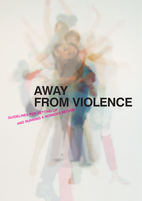# **AWAY FROM VIOLENCE**

GUIDELINES FOR SETTING UP<br>AND RUNNING A WOMEN'S REFUGE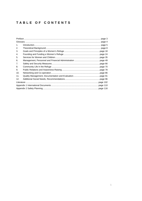# TABLE OF CONTENTS

| $\mathbf{1}$ . |  |          |
|----------------|--|----------|
| 2.             |  |          |
| 3.             |  | page 18. |
| 4.             |  | page 24  |
| 5.             |  | page 35. |
| 6.             |  | page 49  |
| 7.             |  | page 66. |
| 8.             |  | page 70. |
| 9.             |  | page 78. |
| 10.            |  | page 86  |
| 11.            |  | page 91. |
| 12.            |  |          |
|                |  |          |
|                |  |          |
|                |  |          |
|                |  |          |

 $\overline{1}$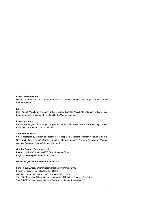#### **Project co-ordination:**

WAVE Co-ordination Office / Austrian Women's Shelter Network, Bacherplatz 10/4, A-1050 Vienna, Austria

#### **Editors:**

Birgit Appelt (WAVE Co-ordination Office), Verena Kaselitz (WAVE Co-ordination Office), Rosa Logar (Domestic Violence Intervention Centre Vienna, Austria)

#### **Project partners:**

Patricia Lopes (AMCV, Portugal), Angela Romanin (Casa delle Donne Bologna, Italy), Sirkka Perttu (National Women's Line, Finland)

#### **Associate partners:**

Sevi Chatzifotiou (University of Heraklion, Greece), Elke Griemens (Women's Refuge Erftkreis, Germany), Judit Herman (NaNE, Hungary), Sandra Messner (Refuge Association Vienna, Austria), Anamaria Simon (Artemis, Romania)

**Graphic Design:** Eveline Wiebach **Layout:** Marinela Vecerik (WAVE Co-ordination Office) **English Language Editing:** Paul Catty

**Place and year of publication**: Vienna 2004

**Funded by:** European Commission, Daphne Programme 2003 Finnish Ministry for Social Affairs and Health Austrian Federal Ministry of Health and Women's Affairs The Chief Executive Office, Vienna – International Relations & Women's Affairs The Chief Executive Office, Vienna – Frauenbüro der Stadt Wien MA 57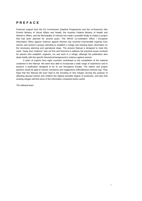# **PREFACE**

Financial support from the EU Commission (Daphne Programme) and the co-financiers (the Finnish Ministry of Social Affairs and Health, the Austrian Federal Ministry of Health and Women's Affairs, and the Municipality of Vienna) has made it possible finally to realise a project that had been planned for several years. The WAVE Co-ordination Office / European Information Office against Violence against Women has received innumerable inquiries from women and women's groups intending to establish a refuge and needing basic information on the necessary planning and operational steps. The present Manual is designed to meet this need. "Away from Violence" sets out first and foremost to address the practical issues involved for women who establish, organise, run and work in a refuge, although the publication also deals briefly with the specific theoretical background to violence against women.

A team of experts from eight countries contributed to the compilation of the material contained in this Manual. We were thus able to incorporate a wide range of experience and to produce a publication designed to be of use throughout Europe. The editors and project partners would be glad to receive comments and suggestions (office@wave-network.org). They hope that this Manual will soon lead to the founding of new refuges serving the purpose of affording abused women and children the highest possible degree of protection, and also that existing refuges will find some of the information contained herein useful.

The editorial team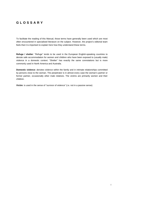# **GLOSSARY**

To facilitate the reading of this Manual, those terms have generally been used which are most often encountered in specialised literature on the subject. However, the project's editorial team feels that it is important to explain here how they understand these terms.

**Refuge / shelter**: "Refuge" tends to be used in the European English-speaking countries to denote safe accommodation for women and children who have been exposed to (usually male) violence in a domestic context. "Shelter" has exactly the same connotations but is more commonly used in North America and Australia.

**Domestic violence**: denotes violence within the family and in intimate relationships committed by persons close to the woman. The perpetrator is in almost every case the woman's partner or former partner, occasionally other male relatives. The victims are primarily women and their children.

**Victim**: is used in the sense of "survivor of violence" (i.e. not in a passive sense)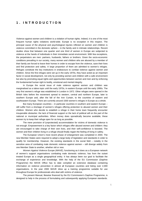# **1. INTRODUCTION**

Violence against women and children is a violation of human rights. Indeed, it is one of the most frequent human rights violations world-wide. Europe is no exception in this respect. The principal cause of the physical and psychological injuries inflicted on women and children is violence committed in the domestic sphere – in the family and in intimate relationships. Recent studies show that between one quarter and one third of women in Europe are subjected to violence at the hands of individuals in their immediate social environment. With few exceptions, the perpetrators are men: partners, husbands, fathers or brothers. Given the socio-economic conditions prevailing in our society, many women and children who are abused by a member of their family are forced to leave their homes in order to escape from the violence, save their lives and find protection and safety. A large proportion of them are admitted to women's refuges. Refuges constitute the key institutions in endeavours to combat violence against women and children. Since the first refuges were set up in the early 1970s, they have acted as an important factor in social development, not only by providing women and children with a safe environment but also by promoting equal rights and opportunities between women and men and by enforcing the fundamental human right to bodily, emotional and mental integrity.

In Europe the social issue of male violence against women and children was marginalised as a taboo topic until the early 1970s, in eastern Europe until the early 1990s. The very first women's refuge was established in London in 1972. Other refuges were opened in the British Isles before the movement spread to western, central and northern Europe, later to southern Europe and, after the fall of the Iron Curtain, to the countries of eastern and southeastern Europe. There are currently around 1500 women's refuges in Europe as a whole.

But many European countries – in particular countries in southern and eastern Europe – still suffer from a shortage of women's refuges offering protection to abused women and their children. Women who decide to establish a refuge in their home town frequently encounter insuperable obstacles: the lack of financial support or the lack of political will on the part of the national or municipal authorities. When money does sporadically become available, these women try to keep their refuge open for as long as possible.

The mere provision of (unprotected) accommodation for victims of domestic violence is not enough. Empowerment is a key factor which refuges offer abused women and childern: they are encouraged to take charge of their own lives, and their self-confidence is boosted. The women and their children living in a refuge should finally regain the feeling of living in safety.

The European Union's most recent phase of enlargement was completed in 2004. The new Member States were required to adopt a large body of legislation and standards in order to qualify for membership. However, the existing standards in the social field – notably in the sensitive area of combating male domestic violence against women – still diverge widely from one Member State to another, whether old or new.

*Women Against Violence Europe (WAVE)*, functioning as it does as a European network of women's support organisations combating male domestic violence, has from the outset treated Europe as a single geographical entity. It has always been our goal to facilitate the exchange of experience and knowledge. With the help of the EU Commission (Daphne Programme) the WAVE Office has to date compiled an extensive database containing information on violence prevention in almost all European countries and listing over 2,000 organisations. In the year 2000 WAVE drew up a training programme suitable for use throughout Europe for professionals who deal with victims of violence.

The present Manual, likewise financed by the EU Commission's Daphne Programme, is designed to help in the process of formulating and subsequently applying European standards.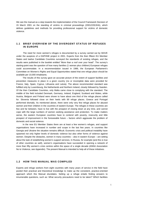We see the manual as a step towards the implementation of the Council Framework Decision of 15 March 2001 on the standing of victims in criminal proceedings (2001/220/JHA), which defines guidelines and methods for providing professional support for victims of domestic violence.

## **1.1 BRIEF OVERVIEW OF THE DIVERGENT STATUS OF REFUGES IN EUROPE**

The need for more women's refuges is documented by a survey carried out by WAVE under the auspices of a DAPHNE project in 2001. Experts from the then fifteen EU Member States and twelve Candidate Countries surveyed the standards of existing refuges, and the results were published in the booklet entitled "More than a roof over your head". The survey's starting-point was the question of how many families (1 woman plus children) European refuges could accommodate. In a recommendation issued in 1986, the European Parliament's Committee on Women's Rights and Equal Opportunities stated that one refuge place should be available per 10,000 inhabitants.

The results of this survey gave an accurate picture of the extent of support facilities and prevention measures in place in a given country (no or incomplete data were provided for France, Italy, Spain, Cyprus, Lithuania and Latvia). The above recommended standard was fulfilled only by Luxembourg, the Netherlands and Northern Ireland, closely followed by Sweden. Of the then Candidate Countries, only Malta came close to complying with the standard. The middle of the field included Denmark, Germany, Ireland, England, Scotland and Wales, while Austria, Belgium and Finland were shown to have about one third of the refuge places called for. Slovenia followed close on their heels with 89 refuge places. Greece and Portugal performed dismally. As mentioned above, there were only very few refuge places for abused women and their children in the countries of eastern Europe. The refuges in these countries are few and far between, have to live with the prospect of closing down at any time, and cannot cope with the large numbers of women seeking assistance and protection. To make matters worse, the eastern European countries have to contend with poverty, insecurity and little prospect of improvement in the foreseeable future – factors which aggravate the problem of domestic and social violence.

In the new EU Member States there are at least a few women's refuges, and support organisations have increased in number and scope in the last few years. In countries like Georgia and Ukraine the situation remains difficult. Economic crisis and political instability have spawned not only higher levels of domestic violence but also other forms of violence against women. Despite the obstacles, women in many countries – also in eastern Europe – are setting about the task of establishing women's support services. In Russia, for example (and this is true of other countries as well), women's organisations have succeeded in opening a network of more than fifty women's crisis centres within the space of a single decade (ANNA Association No to Violence, see Appendix). The present Manual is intended to help all of these initiatives.

## **1.2 HOW THIS MANUAL WAS COMPILED**

Experts and refuge workers from eight countries with many years of service in the field have pooled their practical and theoretical knowledge to make up the consistent, practice-oriented approach which this Manual elucidates. Setting up a refuge entails finding answers to innumerable questions, such as: What security precautions need to be taken? Which facilities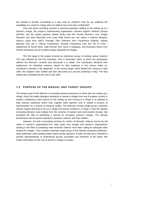are needed to provide counselling or a play area for children? How do you publicise the availability of a women's refuge when its address has to be kept confidential?

 Over and above providing answers to practical questions relating to the setting up of a women's refuge, the project's implementing organisation, *Women Against Violence Europe (WAVE)*, and the project partners (Sirkka Perttu from the Finnish Women's Line, Angela Romanin and Elisa Marchiani from Casa delle Donne per non subire a violenza Bologna, Patricia Lopes from AMCV Portugal, Elke Griemens from Frauenhaus Erftkreis, Sandra Messner from the 3. Wiener Frauenhaus, Sevaste Chatzifotiou from the TEI of Crete / Department of Social Work, Judit Herman from Nane in Budapest, and Anamaria Simon from Artemis Romania) set out to define quality standards for refuges.

 The first stage in the project involved an extensive survey of existing source material. This was followed by the first workshop, held in December 2003, at which the participants defined the Manual's contents and discussed it in detail. The contributors declared their preferences for individual sections, based on their expertise in the various fields (cf. contributors' portraits in the Appendix). In the second stage, which lasted from January to April 2004, the chapters were drafted and then discussed at a second workshop in May. The final editing was completed by the end of July 2004.

#### **1.3 PURPOSE OF THE MANUAL AND TARGET GROUPS**

The primary goal of this Manual is to provide practical assistance to those who are setting up a refuge. Given the widely divergent standards in women's refuges from one European country to another, publishing a joint manual on the setting up and running of a refuge is an attempt to help improve standards where they urgently need attention and to initiate a process of harmonisation as a means to enhance quality. The Manual's primary target group comprises women experts planning to set up a refuge and women working in a refuge. It was the steadily increasing demand, most notably from the countries of eastern and south-eastern Europe, that prompted the idea of publishing a manual for European women's refuges. The ultimate beneficiaries will be women exposed to domestic violence and their children.

 However, the task of providing services for victims of domestic violence cannot be left solely to women's organisations.For many years now refuges and women's organisations working in the field of combating male domestic violence have been calling for adequate state funding for refuges. Thus, another important target group of this Manual comprises politicians, state authorities, state funding bodies and/or private sponsors. Finally, the Manual is intended to provide representatives of professional groups, journalists and members of the public with further information on the role of women's refuges in society.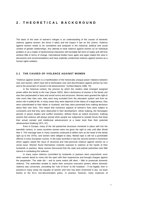# **2. THEORETICAL BACKGROUND**

The basis of the work of women's refuges is an understanding of the causes of domestic violence against women, the forms it takes and the impact it has on the victims. Violence against women needs to be considered and analysed in the historical, political and social context of gender relationships. Any attempt to treat violence against women as an individual problem or as a matter of dysfunctional interaction will inevitably fall short of reality and will thus achieve little in terms of change. International bodies have again and again stated this view in documents and recommendations and have explicitly condemned violence against women as a human rights violation.

## **2.1 THE CAUSES OF VIOLENCE AGAINST WOMEN**

"Violence against women is a manifestation of the historically unequal power relations between men and women, which have led to domination over and discrimination against women by men and to the prevention of women's full advancement." (United Nations 1996, 75)

In the historical context, the process by which the modern state emerged assigned power within the family to the man (Sauer 2002). Men's dominance of women in the family unit was then perpetuated in laws and social norms and structures. Women were granted the right to vote much later than men, they were long excluded from the education system and from an active role in political life, in many areas they were deprived of the status of a legal person, they were subordinated to their father or husband, and they were prevented from making decisions about their own lives. This meant that numerous aspects of women's lives were subject to constraints and that they were obstructed in their development. Johan Galtung, the Norwegian pioneer in peace studies and conflict resolution, defines these as violent structures. Galtung asserts that violence will always prevail when people are subjected to outside forces that keep their actual somatic and intellectual advancement at a lower level than their potential advancement (Galtung 1971, 57).

Even in Europe, many of the old patriarchal structures remained in place well into the twentieth century. In some countries women were not given the right to vote until after World War II. The marriage laws in many countries continued to define men as the head of the family right up to the 1970s, and women were obliged to obey. Marital rape is still not a punishable offence in every European country. In the early seventies it was the second women's movement which (again) raised the issue of structural and inter-personal violence against women as a social issue. Women found themselves routinely exposed to violence at the hands of their husbands or partners. Many women discovered that the state and judicial authorities took little interest in combating this violence.

In many cases violence committed by husbands or partners went unpunished, even when women dared to come into the open with their experiences and brought charges against the perpetrator. The state did – and to some extent still does – little to prosecute domestic violence. The authorities tended to waive their exclusive executive powers where domestic violence was concerned, conceding the "rule of force" to the husband – if not legally, then in practice.In many areas the equality of women and men has been enshrined in law, not least thanks to the EU's non-discrimination policy. In practice, however, many instances of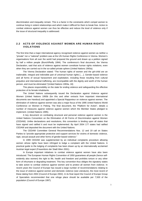discrimination and inequality remain. This is a factor in the constraints which compel women to continue living in violent relationships and which make it difficult for them to break free. Action to combat violence against women can thus be effective and reduce the level of violence only if the issue of structural inequality is addressed.

## **2.2 ACTS OF VIOLENCE AGAINST WOMEN ARE HUMAN RIGHTS VIOLATIONS**

The first time that a major international agency recognised violence against women as neither a "private" nor a "national" problem was at the UN Human Rights Conference in Vienna. Women's organisations from all over the world had prepared the ground and drawn up a petition signed by half a million people (Bunch/Reilly 1994). The conference's final document, the Vienna Declaration, said that acts of violence against women constitute human rights violations, even when they are carried out in the so-called private sphere (United Nations 1993a).

The Vienna Declaration stated: "The human rights of women and the girl-child are an inalienable, integral and indivisible part of universal human rights [.....]. Gender-based violence and all forms of sexual harassment and exploitation, including those resulting from cultural prejudice and international trafficking, are incompatible with the dignity and worth of the human person, and must be eliminated."(United Nations 1993a, 18)

This places responsibility on the state for ending violence and safeguarding the effective protection of its female inhabitants.

The United Nations subsequently issued the Declaration against Violence against Women (United Nations 1993b (for this and other extracts from important international documents see Handout) and appointed a Special Rapporteur on violence against women. The elimination of violence against women was also a major focus of the 1995 United Nations World Conference on Women in Peking. The final document, the "Platform for Action", details a number of measures against violence against women which the Member States pledged to implement. (United Nations 1995).

A key document on combating structural and personal violence against women is the United Nations Convention on the Elimination of All Forms of Discrimination against Women (CEDAW). Unlike declarations and resolutions, this convention is binding upon all states that have signed and ratified it and must be implemented. By April 2004 177 states had ratified CEDAW and deposited the document with the United Nations.

The CEDAW Committee General Recommendations Nos. 12 and 19 call on States Parties to "provide appropriate protective and support services for victims of domestic violence, rape, sexual assault and other forms of gender-based violence."

In 1999 CEDAW was supplemented by an individual complaints procedure allowing women whose rights have been infringed to lodge a complaint with the United Nations. A practical guide to the lodging of complaints has been drawn up by an internationally acclaimed Austrian legal expert (Frauenbüro der Stadt Wien 2001).

In Europe important initiatives to combat violence against women have also been introduced. The European Human Rights Convention of 1950 guarantees all people (hence selfevidently also women) the right to life, health and freedom and prohibits torture or any other form of inhumane or degrading treatment. This key convention thus obliges the signatory states to take action to combat violence against women and to protect all women from violence. In recent years the Council of Europe has issued a large number of recommendations relating to the issue of violence against women and domestic violence (see Literature), the most recent of these dating from 2002 (Council of Europe 2002). In its final report the Council of Europe Group of Specialists recommended that one refuge place should be available per 7,500 of the population (Council of Europe 1997).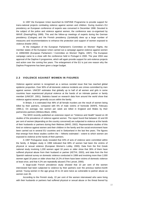In 1997 the European Union launched its DAPHNE Programme to provide support for trans-national projects combating violence against women and children. During Austria's EU presidency an European conference of experts was convened in December 1998. Devoted to the subject of the police and violence against women, the conference was co-organised by WAVE (Dearing/Förg 1999). This and the follow-up meetings of experts during the German presidency (Cologne) and the Finnish presidency (Jyväskylä) drew up a large number of measures and recommendations to enhance the protection and support of women exposed to violence (Keeler 2001).

At the instigation of the European Parliament's Committee on Women' Rights, the member states of the European Union carried out a campaign against violence against women in 1999/2000 (European Parliament / Committee on Women' Rights, 1997). The European campaign came to a close with the conference held in Portugal in 2000. The year 2004 saw approval of the Daphne II programme, which will again provide support for anti-violence projects and action over the coming five years. The enlargement of the EU is just one reason why the Daphne Programme has been given a larger budget.

## **2.3 VIOLENCE AGAINST WOMEN IN FIGURES**

Violence against women is recognised as a serious societal issue that has reached global epidemic proportion. Over 90% of all domestic violence incidents are crimes committed by men against women. UNICEF estimates that globally up to half of all women and girls in some countries have experienced physical violence at the hands of an intimate partner or family member (UNICEF, 2001). Statistics based on research data from around the world show that violence against women generally occurs within the family.

In Britain, it is estimated that 48% of all female murders are the result of women being killed by their partners, compared with 6% of male victims of homicide (WAFE, February 1998,1). On average, two women per week are killed in England and Wales by their partners/ex-partners (Mirlees-Black, 1995).

The WHO recently published an extensive report on "Violence and Health" based on 48 studies of the prevalence of violence against women. The report found that between 10 and 69 per cent of women (depending on the country concerned) are subjected to violence at the hands of their husbands or partners during their lifetimes (WHO, 2002). Representative studies of this kind on violence against women and their children in the family and the social environment have been carried out in several EU countries and in Switzerland in the last few years. The figures that emerge from these studies confirm the – hitherto estimated – extent to which women are exposed to violence at the hands of their partners.

A 1997 Portuguese study revealed that 43% of acts of violence were committed within the family. A Belgian study in 1998 indicated that 68% of women had been the victims of physical or sexual violence (European Women's Lobby, 2000). Data from the first Greek national study involving 1,200 women aged 18 years or older show that 36% of them have suffered physical abuse from their husband or partner (KETHI, 2003), and data from the first Spanish national survey on domestic violence conducted in 1999 and involving more than 2,000 women aged 18 years or older show that 14.2% of them have been victims of domestic violence at least once, and that 4.2% are repeatedly abused (The Lancet, 2000).

A large-scale French prevalence study showed that 10 per cent of the women interviewed had been subjected to violence by their partners over the previous twelve-month period. Young women in the age group 20 to 24 were twice as vulnerable to partner abuse as women over 45.

According to the Finnish study, 22 per cent of the women interviewed who were living with their husbands or partners had suffered physical or sexual abuse or the threat thereof by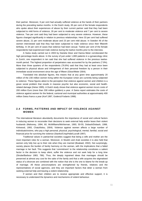their partner. Moreover, 9 per cent had actually suffered violence at the hands of their partners during the preceding twelve months. In the Dutch study, 65 per cent of the female respondents who spoke about their experiences of abuse by their current partner said that they had been subjected to mild forms of violence, 26 per cent to moderate violence and 7 per cent to severe violence. Two per cent said they had been subjected to very severe violence. However, these figures changed significantly in relation to previous relationships. Here 33 per cent had suffered severe abuse, 21 per cent moderate abuse and 23 per cent mild abuse. In Sweden 46 of the women interviewed said that they had been subjected to male violence since their fifteenth birthday. In 34 per cent of cases that violence had been sexual. Twelve per cent of the female respondents had experienced male violence during the twelve months prior to the interview.

A Swiss study carried out in 2003 by Daniela Gloor and Hanna Meier corroborated the high percentage levels above. In the survey of just under 1,800 patients in a gynaecology clinic in Zurich, one respondent in ten said that she had suffered violence in the previous twelvemonth period. The highest proportion of perpetrators was accounted for by the partners (7.9%). More than three quarters of the respondents (76.8%) said that they had at least once been subjected to physical abuse and infringement of their personal freedom by a person in their immediate social environment since the age of fifteen (Gloor/Meier 2004).

Translated into absolute figures, this means that at any given time approximately 20 million of the 230 million women living within the European Union are currently being subjected to violence. These figures attest to the perception that violence against women and children is a grave social problem that results in massive psychic but also economic, social and healthrelated damage (Heise 1995). A Dutch study shows that violence against women incurs costs of 200 million Euro (more than 330 million guilders) a year. A Swiss report estimates the costs of violence against women for the federal, cantonal and municipal authorities at approximately 400 million Swiss francs a year (Korf 1997, Godenzi/Yodanis 1998).

## **2.4 FORMS, PATTERNS AND IMPACT OF VIOLENCE AGAINST WOMEN**

The international literature abundantly documents the importance of social and cultural factors in inducing women to reconsider their decisions to seek external help and/or leave their violent husbands (Mahoney, 1994, 60, McWilliams/McKiernan, 1993, 50-55, Dobash/Dobash, 1998, Kirkwood, 1993, Chatzifotiou, 2004). Violence against women affects a large number of individuals/victims, who pay a high personal, physical, psychological, mental, familial, social and financial price for surviving the violence (Stanko/Crisp/Hale/Lucraft 1997).

Traditional values in patriarchal societies suggest that being a wife and mother are the most important roles for a woman. Moreover, in Muslim and Arab societies it is also held that women only fully live up to their role when they are married (Boabaid, 2002). Not surprisingly, society places the burden of family harmony on the woman, with the implications that a failed marriage is her fault. This suggests that 'commitment' to the relationship constitutes a salient factor in the decision to keep silent, suffer the violence and not seek help for a long time (Strube/Barbour 1983, 786). Thus, the deeply ingrained ideas that marriages should be preserved at almost any cost for the sake of the family and that a wife acquires the stigmatised status of a divorcee are combined with the notion that she is the one to blame for the break-up of marriage. All these preconceptions are strengthened by friends, relatives and the representatives of social agencies, and they are important factors that deter a woman from seeking external help and leaving a violent relationship.

If women and their children are to receive appropriate and effective support, it is necessary to understand the dynamics and mechanisms of violent behaviour.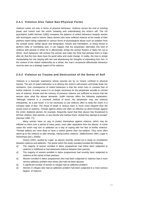#### **2.4.1 Violence Also Takes Non-Physical Forms**

Violence exists not only in terms of physical behaviour. Violence serves the end of exerting power and control over the victim, breaking and subordinating the victim's will. The US psychiatrist Judith Herman (1992) compares the patterns of violent behaviour towards women with techniques used in torture. Many women who have suffered violence at the hands of their partners report being subjected to various forms of psychological abuse such as isolation from the outside world, verbal abuse and denigration, threats and intimidation, or being forced to perform futile or humiliating acts. It can happen that the perpetrator alternates this kind of violence with periods in which he is affectionate, brings the woman flowers or takes her out to dinner. Such behaviour will confuse the woman and make her think that perhaps there is hope after all, that the man does have his good sides and could change. In reality, the man is simply manipulating her into staying with him and abandoning her thoughts of separating from him. In the context of the violent relationship as a whole, the man's occasional affectionate behaviour must be seen as a strategic aspect of his violence.

## **2.4.2 Violence as Trauma and Destruction of the Sense of Self**

Violence is a traumatic experience whose wounds are by no means confined to physical injuries. The aim of violent behaviour is to destroy the victim's self-esteem and break down her resistance. One consequence of violent behaviour is that the victim lives in constant fear of further violence. In many cases it is no longer necessary for the perpetrator actually to commit acts of violence: threats and the memory of previous violence are sufficient to ensure that the woman does what the abuser demands. Judith Herman offers the following explanation: "Although violence is a universal method of terror, the perpetrator may use violence infrequently, as a last resort. It is not necessary to use violence often to keep the victim in a constant state of fear. The threat of death or serious harm is much more frequent than the actual resort to violence. Threats against others are often as effective as direct threats against the victim. Battered women, for example, frequently report that their abuser has threatened to kill their children, their parents, or any friends who harbour them, should they attempt to escape" (Herman 1992, 77).

Many women have no way to protect themselves against violence, which may be inflicted on them over a period of many years, even after separation from the abuser. In some cases the victim may turn to addiction as a way of coping with her fear of further violence. "Female addicts are more likely to have a violent partner than non-addicts. They more often stand up to the violence or take revenge, risking further violence." (Miller/Downs 1993, Logar in HeXenhaus (ed.), 2002b).

Downs (2001, quoted by Logar, as above) recently carried out a study on correlations between violence and addiction. The points which the study revealed included the following:

- $#$  The majority of women enrolled in detox programmes had either been subjected to violence in childhood or had witnessed violence between their parents;
- x The majority of women enrolled in detox programmes had recently been subjected to violence at the hands of their partners;
- $#$  Women enrolled in detox programmes who had been subjected to violence had a more serious addiction problem than those who had not been abused;
- $#$  A significant number of women in refuges had an addiction problem;
- $#$  Women in refuges who had an addiction problem had been subjected to a more serious degree of violence.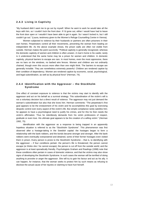## **2.4.3 Living in Captivity**

"My husband didn't want me to go out by myself. When he went to work he would take all the keys with him, so I couldn't lock the front door. If I'd gone out, either I would have had to leave the front door open or I wouldn't have been able to get in again. So I wasn't locked in, but I still couldn't go out." (Laura, testimony given to the Women's Refuge Counselling Centre in Vienna).

Women subjected to violence by their husbands or partners are often prisoners in their own homes. Perpetrators control all their movements, preventing the woman from leading an independent life. As the above example shows, the prison walls are often not visible from outside. Herman makes the point succinctly: "Political captivity is generally recognized, whereas the domestic captivity of women and children is often unseen. A man's home is his castle; rarely is it understood that the same home may be a prison for women and children. In domestic captivity, physical barriers to escape are rare. In most homes, even the most oppressive, there are no bars on the windows, no barbed wire fences. Women and children are not ordinarily chained, though even this occurs more often than one might think. The barriers to escape are generally invisible. They are nonetheless extremely powerful. Children are rendered captive by their condition of dependency. Women are rendered captive by economic, social, psychological, and legal subordination, as well as by physical force" (Herman, 74).

## **2.4.4 Identification with the Aggressor – the Stockholm Syndrome**

One effect of constant exposure to violence is that the victims may start to identify with the aggressor and act on his behalf as a survival strategy. This subordination of the victim's will is not a voluntary decision but a direct result of violence. The aggressor may not just demand the woman's subordination but also that she loves him. Herman comments: "The perpetrator's first goal appears to be the enslavement of his victim and he accomplishes this goal by exercising despotic control over every aspect of the victim's life. But simple compliance rarely satisfies him; he appears to have a psychological need to justify his crimes, and for this he then needs the victim's affirmation. Thus he relentlessly demands from his victim professions of respect, gratitude or even love. His ultimate goal appears to be the creation of a willing victim." (Herman 1992, 75)

Identification with the aggressor as a response to being trapped in an apparently hopeless situation is referred to as the "Stockholm Syndrome". This phenomenon was first observed after a hostage-taking in the Swedish capital: the hostages began to form a relationship with the bank robbers, and the bonds became stronger and stronger. After the bank robbers were eventually overpowered and detained, some of their former hostages even visited them in prison. Every person is prone to the Stockholm Syndrome – that is, to identifying with the aggressor – if four conditions pertain: the person's life is threatened; the person cannot escape (or thinks she / he cannot escape); the person is cut off from the outside world; and the aggressor is at least sporadically friendly. Psychologists Graham and Rawlings (1998) note that these conditions often pertain in cases of domestic violence, and that the victims may also show signs of developing the Stockholm Syndrome. In such cases the woman will be terrified of doing anything to provoke or anger the aggressor. She will try to gain his favour and act as his ally. It can happen, for instance, that the woman seeks to protect him by such means as refusing to disclose the actual cause of her injuries or claiming to have hurt herself.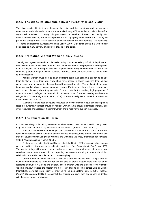#### **2.4.5 The Close Relationship between Perpetrator and Victim**

The close relationship that exists between the victim and the perpetrator and the woman's economic or social dependence on the man make it very difficult for her to defend herself. A stigma still attaches to bringing charges against a member of one's own family. For understandable reasons, women have problems speaking openly about violence and calling the police. On average only 25% of cases of domestic violence are ever reported. The remaining 75% remain undeclared (European Women's Lobby, 2000). Experience shows that women may be abused as many as thirty times before they go to the police.

#### **2.4.6 Protecting Migrant Women from Violence**

The plight of migrant women in a violent relationship is often especially difficult. If they have not been issued a visa of their own, their resident permit ties them to the perpetrator, which places them at a higher risk of being abused. This dependence can only be countered if all European countries guarantee migrant women separate residence and work permits that do not tie them to their husbands.

Migrant women must also be given sufficient social and economic support to enable them to start a life of their own. They often have access to fewer resources than abused women, and in many countries they are barred from social benefits. This makes it all the more important to admit abused migrant women to refuges. For them and their children a refuge may well be the only place where they are safe. This accounts for the relatively high proportion of migrant women in refuges. In Denmark, for instance, 32% of women seeking admission to refuges in 2002 were migrants (L.O.K.K., 2004). In Austria foreigners accounted for more than half of the women admitted.

Women's refuges need adequate resources to provide mother-tongue counselling for at least the numerically largest groups of migrant women. Multi-lingual information material and other resources are necessary if migrant women are to receive the support they need.

#### **2.4.7 The Impact on Children**

Children are always affected by violence committed against their mothers, and in many cases they themselves are abused by their fathers or stepfathers. (Hester / Mullender 2003).

Research has shown that ninety per cent of children are either in the same or the next room when violence occurs. One third of them witness the abuse, try to protect their mother and may be abused themselves (Asian Women and Domestic Violence, Information for Advisors, 1995, 2 / Women Against Rape, 1998, 2).

A study carried out in the United States established that in 70% of cases in which women were abused the children were also subjected to violence (see Bowker/Arbitell/McFerron 1988). The fear that things will worsen if the abused woman takes action and seeks help from outside constitutes an important reason for not reporting the violence, deciding to stay in the violent relationship and suffer the violence, and not seeking help.

Children therefore need the safe surroundings and the support which refuges offer as much as their mothers do. Women's refuges are also children's refuges. More than half of the residents of refuges in Europe are children. Those children who are exposed to their father's violent behaviour towards the mother are more likely later to become perpetrators or victims themselves. Boys are more likely to grow up to be perpetrators, girls to suffer violence (Appelt/Höllriegl/Logar 2001). It is essential that children are given help and support in dealing with their experiences of violence.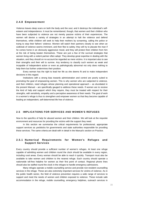#### **2.4.8 Empowerment**

Violence leaves deep scars on both the body and the soul, and it destroys the individual's selfesteem and independence. It must be remembered, though, that women and their children who have been subjected to violence are not merely passive victims of their experiences. The women will devise a variety of strategies in an attempt to halt the violence and defend themselves, while children will seek to help their mothers by screaming, calling the police or trying to stop their fathers' violence. Women will watch their partners closely to see when an outbreak of violence seems imminent, and then flee to safety; they will try to placate the man if he comes home in an obviously aggressive mood, and they will protect their children from him at the risk of being beaten themselves. These are just a few of the survival strategies that women living with a violent partner often adopt. They develop great expertise in dealing with the situation, and they should on no account be regarded as mere victims. It is important also to see their strengths and their will to survive. Any tendency to classify such women as weak and incapable of independent action or even as pathologically abnormal not only does nothing to help them but further undermines their position.

Every woman has the right to lead her life as she deems fit and to make independent decisions in this regard.

Institutions with a strong bias towards administration and control are poorly suited to promoting the goal of empowering women. This is why women who are subjected to violence, and their children, need refuges whose planning and operational approach – as elucidated in the present Manual – are specifically gauged to address these needs. If women are to receive the kind of help and support which they require, they must be treated with respect for their strengths, with sensitivity, empathy and a perceptive awareness of their needs. The goal of work in a women's refuge is thus to strengthen and empower women so that they become capable of leading an independent, self-determined life free of violence.

#### **2.5 IMPLICATIONS FOR SERVICES AND WOMEN'S REFUGES**

Now to the specifics of help for abused women and their children. We will look at the requisite environment and resources for providing the victims with the support they need.

In this section we summarise the critical requirements for professional, appropriate support services as yardsticks for governments and state authorities responsible for providing these services. The same criteria are dealt with in detail in the Manual's section on Practice.

## **2.5.1 Numerical Requirements for Women's Refuges and Support Services**

Every country should provide a sufficient number of women's refuges. At least one refuge capable of admitting women and children round the clock should be available in every region, including rural areas. Every woman should be able to reach it quickly. Transport must also be available to take women and children to the nearest refuge. Each country should operate a nationwide toll-free helpline for women as their first point of contact. Regional phone lines should also be staffed round the clock in the refuges to handle emergency admissions.

Many refuges operate a mobile counselling service and provide non-resident counselling services in the refuge. These are also extremely important services for victims of violence. As in the public health sector, the field of violence prevention requires a wide range of services to support and meet the needs of women and children exposed to violence. These include safe accommodation in the refuge, mobile counselling, emergency helplines, outreach services in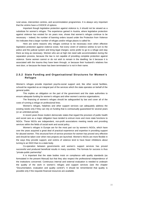rural areas, intervention centres, and accommodation programmes. It is always very important that the victims have a CHOICE of options.

Important though legislative protection against violence is, it should not be viewed as a substitute for women's refuges. The experience gained in Austria, where legislative protection against violence has existed for six years now, shows that women's refuges continue to be necessary – indeed, the number of banning orders issued under the Protection from Violence Act indicates that a larger number of refuges and/or refuge places is called for.

Here are some reasons why refuges continue to be necessary even when effective legislative protection against violence exists. Not every victim of violence wishes to turn to the police and the judicial system and bring legal charges; some prefer to go to a refuge and stay there as long as necessary. Women who are at high risk need safe accommodation during the separation process, because the law is not capable of providing complete protection against violence. Some women cannot or do not wish to remain in the dwelling: be it because it is associated with the trauma they have been through, or because their husband's relatives live next door, or because the lease has been terminated or is not in their name.

## **2.5.2 State Funding and Organisational Structures for Women's Refuges**

Women's refuges provide important psycho-social support and, like other social facilities, schould be regarded as an integral part of the services which the state operates on behalf of the general public.

This implies an obligation on the part of the government and the state authorities to ensure adequate funding for women's refuges and other women's service organisations.

The financing of women's refuges should be safeguarded by law and cover all of the costs of running a refuge on professional lines.

Women's refuges, helplines and other support services can adequately address the existing needs only if they can rely on funding that is contractually guaranteed for several years (or an unlimited period).

In recent years those modern democratic states that regard the provision of public health and social care as a major obligation have tended to entrust more and more state functions to NGOs. These NGOs are independent, non-profit associations meeting needs and providing services within the fields of social work and social policy.

Women's refuges in Europe are for the most part run by women's NGOs, which have over the years acquired a great deal of practical experience and expertise in providing support for abused women. This structural form of service provision for women has proved very effective and should be taken over when new projects are launched. Women's NGOs are more flexible in the ways they provide support, and victims of violence tend to have fewer inhibitions about turning to an NGO than to a state body.

Co-operation between governments and women's support services has proved successful and produced beneficial results in many countries. The formula for success is thus "private-public partnership".

It is important that the state bodies insist on compliance with quality standards (as formulated in the present Manual) but that they also respect the professional independence of the institutions concerned. Continuous internal and external evaluation is needed to underpin the quality of the work in women's refuges and support services (see the chapter "Documentation, evaluation and quality control"). It should be remembered that quality is possible only if the requisite financial resources are available.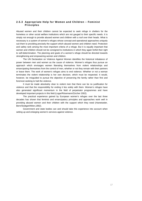## **2.5.3 Appropriate Help for Women and Children – Feminist Principles**

Abused women and their children cannot be expected to seek refuge in shelters for the homeless or other social welfare institutions which are not gauged to their specific needs. It is simply not enough to provide abused women and children with a roof over their heads. What is necessary is a system of women's refuges whose concept and operational approaches uniquely suit them to providing precisely the support which abused women and children need. Protection and safety rank among the most important criteria of a refuge. But it is equally important that women and children should not be consigned to institutions in which they again forfeit their right to self-determination. The planning and goals of a women's refuge should be directed towards strengthening and empowering women and children.

 The UN Declaration on Violence Against Women identifies the historical imbalance of power between men and women as the cause of violence. Women's refuges thus pursue an approach which envisages women liberating themselves from violent relationships and emancipating themselves from the control of men, whether or not they remain with their partners or leave them. The work of women's refuges aims to end violence. Whether or not a woman terminates the violent relationship is her own decision, which must be respected. It would, however, be misguided to pursue the objective of preserving the family rather than first and foremost seeking to halt the violence.

 It must be made absolutely clear to violent men that there can be no justification for violence and that the responsibility for ending it lies solely with them. Women's refuges have also generated significant momentum in the field of perpetrator programmes and have developed important projects in this field (Logar/Rösemann/Zürcher 2002).

 The practical experience gained by European women's refuges over the last three decades has shown that feminist and emancipatory principles and approaches work well in providing abused women and their children with the support which they need (Hanetseder, Bern/Stuttgart/Wien,1992).

 Government and state bodies can and should take this experience into account when setting up and enlarging women's services against violence.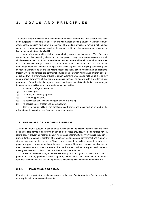# **3. GOALS AND PRINCIPLES**

A women's refuge provides safe accommodation in which women and their children who have been subjected to domestic violence can live without fear of being abused. A women's refuge offers special services and safety precautions. The guiding principle of working with abused women is a strong commitment to advocate women's rights and the empowerment of women to live an independent and dignified life.

Women's refuges fulfil a vital role in combating violence against women. Their functions go far beyond just providing shelter and a safe place to stay. In a refuge women and their children receive the kind of support which enables them to deal with their traumatic experiences, to end the violence, to regain their self-esteem, and to lay the foundations for a self-determined and independent life. Women's refuges offer crisis support and on-going counselling and support in all matters related to the violent experience (legal issues, housing and job problems, therapy). Women's refuges are communal environments in which women and children become acquainted with a different way of living together. Women's refuges also fulfil a public role: they seek to raise awareness of the issue of domestic violence, co-operate with and offer training programmes for professionals, organise events, participate in activities in the field, are engaged in preventative activities for schools, and much more besides.

A women's refuge is defined by:

- $#$  its specific goals,
- $\#$  its clearly defined target groups,
- $#$  its operating principles,
- $\#$  its specialised services and staff (see chapters 5 and 7),
- $#$  its specific safety precautions (see chapter 6).

Only if a refuge fulfils all the functions listed above and described below and in the relevant chapters can the term "women's refuge" be applied.

## **3.1 THE GOALS OF A WOMEN'S REFUGE**

A women's refuge pursues a set of goals which should be clearly defined from the very beginning. This serves to ensure the quality of the services provided. Women's refuges have a role to play in preventing violence against women and children. By their very nature they aim to prevent further violence in that they offer victims of violence a safe environment and support to stop a recurrence of the violence. Abused women and their children need thorough care, practical support und accompaniment in legal procedures. They need counsellors who support them. Services have to meet the needs of abused women. Both crisis support and long-term therapy are needed in order to overcome the traumatic experiences.

However, women's refuges usually also take part in or organise activities in the field of primary and tertiary prevention (see chapter 5). Thus, they play a key role in an overall approach to combating and preventing domestic violence against women and their children.

## **3.1.1 Protection and safety**

First of all it is important for victims of violence to be safe. Safety must therefore be given the utmost priority in refuges (see chapter 7).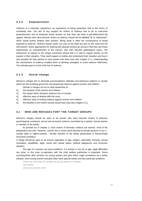#### **3.1.2 Empowerment**

Violence is a traumatic experience, an experience of being powerless and at the mercy of somebody else. The aim of any support for victims of violence has to be to overcome powerlessness and to empower these women so that they can lead a self-determined life (again). Women who have become victims of violence should not be labelled "ill" or "distressed", which would further weaken their position. Being weak is often the consequence of being exposed to violence. Violence leaves marks not only on the body but also on the mind and the self-esteem. Some approaches for working with abused women go wrong in that they see these weaknesses as characteristics of the women, who then become pathological cases. The experience of experts in the refuge movement shows that it is vital to regard women as the experts in their situation. They need support to realise and understand their situation and how it was possible for their partner to exert power over them (see also chapter 5.1.). Understanding the mechanisms of violence enables them to develop strategies to resist violence effectively. The ultimate goal is to live a life free of violence.

## **3.1.3 Social change**

Women's refuges aim to eliminate preconceptions, attitudes and behaviour patterns in society which are the breeding ground for and perpetuate violence against women and children.

- Women's refuges set out to raise awareness of:
- $#$  the situation of the women and children
- $#$  the impact which domestic violence has on society
- $\epsilon$  effective wavs of dealing with the issue
- $#$  effective ways of ending violence against women and children
- $#$  the benefits a non-violent society would have (see also chapter 5.3.).

## **3.2 WHO ARE REFUGES FOR? THE TARGET GROUPS**

Women's refuges should be open to all women who have become victims of physical, psychological, emotional, sexual and economic violence committed by a partner, former partner or member of the family.

As pointed out in chapter 2, most victims of domestic violence are women, most of the perpetrators are men. However, women are in some cases abused by female partners or by a – usually older or higher-ranking – female member of the family (particularly in hierarchically structured societies).

A refuge should be open to all women regardless of age, religion, nationality, ethnicity, sexual orientation, disabilities, legal, social and marital status, political allegiances and economic situation.

The age of a woman can pose problems. If a woman is not yet of age, legal difficulties can arise. In this case co-operation with the child welfare authorities is important. Some countries/cities offer services for young women and girls which might sometimes be a better solution, since young women and girls often have special needs and face particular problems.

There are more than 30 refuges for young women in Sweden See ROKS: www.roks.se/index.html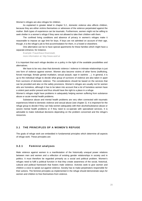Women's refuges are also refuges for children.

As explained in greater detail in chapter 5.2., domestic violence also affects children, because they are either victims themselves or witnesses of the violence perpetrated against the mother. Both types of experience can be traumatic. Furthermore, women might not be willing to seek shelter in a women's refuge if they were not allowed to take their children with them.

The confined living conditions and absence of privacy in women's refuges make it reasonable to impose an age limit for boys. If boys are not admitted on account of their age, though, it is the refuge's job to find accommodation for them, in a hostel or elsewhere.

One alternative can be to have special apartments for these families which might have a separate entrance, for instance.

Example: Frauenhaus Eisenstadt, more information at: http://www.aoef.at

It is important that each refuge decides on a policy in the light of the available possibilities and alternatives.

We have to be very clear that domestic violence / violence in intimate relationships is just one form of violence against women. Women also become victims of other forms (trafficking, forced marriage, female genital mutilation, sexual assault, rape in wartime …). In general, it is up to the individual refuge to decide what group of survivors of violence are also taken in apart from survivors of domestic violence. The considerations should be based on the services that can be provided and also on the safety provisions. Women's refuges are usually not for women who are homeless, although it has to be taken into account that a lot of homeless women have a violent past and/or present and thus should have the right to a place in a refuge.

Women's refuges might have problems in adequately helping women suffering from substance abuse or acute mental health problems.

Substance abuse and mental health problems are very often connected with traumatic experiences linked to domestic violence and sexual abuse (see chapter 2). It is important for the refuge group to decide if they can help women adequately with their alcohol/substance abuse or severe mental health problems or if they need to co-operate with specialised services. It is advisable to make individual decisions depending on the problem concerned and the refuge's resources.

## **3.1 THE PRINCIPLES OF A WOMEN'S REFUGE**

The goals of refuge work are embedded in fundamental principles which determine all aspects of refuge work. These principles are:

## **3.2.1 Feminist analyses**

Male violence against women is a manifestation of the historically unequal power relations between men and women and a reflection of existing gender relationships in society and in politics. It must therefore be regarded primarily as a social and political problem. Women's refuges need to fulfil a political function in that they create awareness of the social, historical, cultural and political framework that fosters male violence. Activists seek to give women and children a voice to speak out against violence. Society has to make perpetrators responsible for their actions. The feminist principles as implemented in the refuge should demonstrate ways for women and children to free themselves from violence.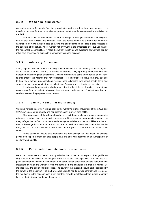## **3.2.2 Women helping women**

Abused women suffer greatly from being dominated and abused by their male partners. It is therefore important for them to receive support and help from a female counsellor specialised in the field.

Women victims of violence also suffer from being in a weak position and from having lost faith in their own abilities and strength. Thus, the refuge serves as a model for women to experience their own ability to lead an active and self-determined life. This is also reflected in the structure of the refuge, where women not only work at the grassroots level but also handle the household responsibilities. It helps the women to rethink and overcome stereotyped gender roles. This principle also applies to other women's support services.

#### **3.2.3 Advocacy for women**

Acting against violence means adopting a clear stance and condemning violence against women in all its forms ("There is no excuse for violence"). Trying to stay neutral on what has happened entails the pitfall of tolerating violence. Women who come to the refuge do not have to offer proof of the violence they have undergone. It is important to believe what they say and to treat them without preconceptions. Victims need advocates who stand beside them and support them at every step that needs to be taken. Advocacy and solidarity are essential.

It is always the perpetrator who is responsible for the violence. Adopting a clear stance against any form of violent behaviour demonstrates condemnation of violent acts but not condemnation of the perpetrator as a person.

#### **3.2.4 Team work (and flat hierarchies)**

Women's refuges trace their origins back to the women's (rights) movement of the 1960s and 1970s, which called for equality and non-discrimination in every area of life.

The organisation of the refuge should also reflect these goals by promoting democratic principles, sharing power and avoiding excessively hierarchical or bureaucratic structures. In many refuges the staff work as a team, and management duties and responsibilities are shared. Even if the refuge has a director, it is still important to work on a team basis and to involve the refuge workers in all the decisions and enable them to participate in the development of the service.

These structures ensure that interaction and relationships are not based on exerting power from top to bottom but that people can live and work together in an atmosphere of solidarity and equality.

## **3.2.5 Participation and democratic structures**

Democratic structures and the opportunity to be involved in the various aspects of refuge life are very important principles. In all refuges there are regular meetings which are the basis of participation for the women. It is important to be careful that women's refuges are not turned into institutions in which the women's lives are dominated and controlled but that the women are included in all the operational processes. The power of the husband should not be replaced by the power of the institution. The staff are called upon to handle power carefully and to enforce the regulations in the house in such a way that they provide orientation without putting too many limits on the individual freedom of the women.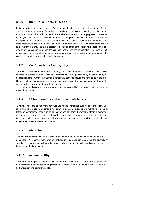## **3.2.6 Right to self-determination**

It is important to respect women's right to decide about their lives (see Section 3.1.2."Empowerment"). Very often relatives, friends and professionals in caring organisations try to tell the woman what to do. Some think she should separate from the perpetrator, others tell her to give him another chance. Unfortunately, it happens quite often that these people are disappointed or even annoyed if she does not follow their advice. Such advice can create even more pressure for the woman and is experienced as not helpful at all. It is important to convey to the woman that only she is in a position to decide and that her decision will be respected. The aim of an intervention is to end the violence, not to end the relationship. The right to selfdetermination is an important principle. How long a woman wants to stay in the refuge and if she wants to separate or not is solely up to the woman.

## **3.2.7 Confidentiality / Anonymity**

To protect a woman's rights and her integrity, it is necessary that she is able to decide which information is passed on. Therefore no information should be passed on by the refuge or by the counselling centre without the woman's consent. Exceptions should and have to be made if the life and health of women or children are at stake (i.e. suicide attempts, acute danger through the violent partner, or women abusing their children).

Women should also have the right to receive counselling and support without having to reveal their identity.

#### **3.2.8 24 hour service and no time limit for stay**

A woman who has to flee from her husband needs immediate support and protection. She should be able to reach a women's refuge 24 hours a day every day. In women's refuges at least one staff member should be on call so that she can admit the woman. If there is more than one refuge in a town, at least one should be able to take a woman and her children in at any time. In principle, women and their children should be able to stay until they feel safe and empowered to lead a life without violence.

## **3.2.9 Diversity**

The diversity of women should not only be respected but be seen as something valuable that is encouraged. An asset of many women's refuges is refuge workers who reflect the diversity of society. They can offer additional language skills and a better understanding of the specific background of migrant women.

## **3.2.10 Accountability**

A refuge has a responsibility and is answerable to the women and children, to the organisation and its members and to society in general. The activities and the conduct of the refuge have to be transparent and comprehensible.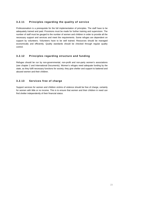## **3.2.11 Principles regarding the quality of service**

Professionalism is a prerequisite for the full implementation of principles. The staff have to be adequately trained and paid. Provisions must be made for further training and supervision. The number of staff must be gauged to the number of women and children in order to provide all the necessary support and services and meet the requirements. Some refuges are dependent on support by volunteers. Volunteers have to be well trained. Resources should be managed economically and efficiently. Quality standards should be checked through regular quality control.

## **3.2.12 Principles regarding structure and funding**

Refuges should be run by non-governmental, non-profit and non-party women's associations (see chapter 2 and International Documents). Women's refuges need adequate funding by the state, as they fulfil necessary functions for society; they give shelter and support to battered and abused women and their children.

## **3.2.13 Services free of charge**

Support services for women and children victims of violence should be free of charge, certainly for women with little or no income. This is to ensure that women and their children in need can find shelter independently of their financial status.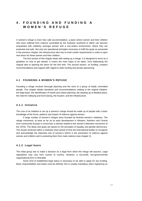# **4. FOUNDING AND FUNDING A WOMEN'S REFUGE**

A women's refuge is more than safe accommodation, a place where women and their children who have suffered from violence committed by the husband, boyfriend or father can become acquainted with solidarity amongst women and a non-violent environment, where they are protected and safe. Not only are operational principles necessary to fulfil the goals as presented in the previous chapter; the infrastructure also has to meet certain requirements in order to open new doors for these women and their children.

The first section of this chapter deals with setting up a refuge. It is designed to serve as a guideline on how to get started. It covers the main steps to be taken, from elaborating the original idea to opening the doors for the first time. The second section, on funding, contains recommendations and support with regard to state funding and private sponsoring.

## **4.1 FOUNDING A WOMEN'S REFUGE**

Founding a refuge involves thorough planning and the work of a group of totally committed people. This chapter details standards and recommendations relating to the original initiative, the legal basis, the identification of needs and outline planning, the drawing up of detailed plans, the need for lobbying and fund-raising, the location, and the infrastructure.

## **4.1.1 Initiative**

The core of an initiative to set up a women's refuge should be made up of people with a basic knowledge of the forms, patterns and impact of violence against women.

A large number of women's refuges were founded by feminist women's initiatives. The refuge movement, at least as far as its early development in Western, Northern and Central (non-communist) Europe is concerned, is directly related to the women's liberation movement of the 1970s. The ideas and goals are based on the principles of equality and gender-democracy. The results achieved within a relatively short period of time led international bodies to recognise and acknowledge the important role of women's NGOs in the prevention of violence against women and children and in protecting them from male violence (see chapter 2).

## **4.1.2 Legal basis**

The initial group has to make a decision on a legal form which the refuge will assume. Legal stipulations may vary from country to country. However, a non-profit, non-governmental organisational form is desirable.

Some kind of established legal status is necessary to be able to apply for any funding. Basic responsibilities and duties must be defined; this is usually mandatory when registering an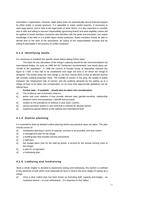association / organisation. However, legal status does not automatically secure financial support by either public or private sponsors. It is advisable to make careful inquiries, if necessary to seek legal advice, and to look at the legal basis of other NGOs. It is also important to consider who is able and willing to assume responsibility (governing board) and what eligibility criteria will be applied to board members (someone who identifies with the goals and principles, has expert knowledge of the field or is a public figure and/or politician). Board members should be able to devote time to the work of the association, be aware of the responsibilities involved and be willing to participate in the process of conflict resolution.

## **4.1.3 Identifying needs**

It is necessary to establish the specific needs before taking further steps.

The basis for any calculation of the refuge's capacity should be two recommendations by international bodies. As early as 1986 the EU Parliament recommended "one family place per 10,000 of the population". In 1998 the Council of Europe Group of Specialists reduced this figure to 7,500. It thus has to be established how large the area is for which the refuge is designed. The further away the next refuge is, the less chance there is that an abused woman will consider seeking protection there. The mobility of women in the area, the quality of public transport, the employment rate of women, and the publicity attracted by the setting up of a refuge all have to be taken into consideration; so no more than approximate guidelines can be offered here.

#### **Further data – if available – should also be taken into consideration:**

- $\neq$  The incidence rate of domestic violence
- $\#$  police and court statistics if they provide relevant data (gender-sensitive, relationship between victim and perpetrator / plaintiff and accused)
- $\#$  studies on the prevalence of violence in your area / country
- $#$  service provision system in your area that is relevant for abused women
- $#$  experience gained hitherto at the national and international level

## **4.1.4 Outline planning**

It is essential to draw up detailed outline planning before any practical steps are taken. This plan should consist of:

- $#$  substantive planning in terms of capacity, services to be provided, and duty rosters
- $#$  a management plan for the refuge
- $#$  a building plan that includes security precautions
- $#$  a staff plan
- $#$  two budget plans (one for the start-up phase, a second for the annual running costs of the refuge)
- $#$  a plan for co-operation
- $#$  a fundraising plan.

## **4.1.5 Lobbying and fundraising**

Since a whole chapter is devoted to awareness raising and fundraising, this section is confined to key elements of both which must especially be born in mind in the early stages of setting up a refuge.

 $#$  Once a clear outline plan has been drawn up (including staff, capacity and budget – as explained above) – or even beforehand – it is important to find "allies".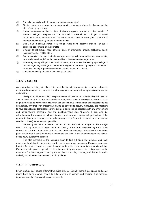- $#$  Not only financially well-off people can become supporters!
- $#$  Finding partners and supporters means creating a network of people who support the idea of setting up a refuge.
- $\#$  Create awareness of the problem of violence against women and the benefits of women's refuges. Prepare concise information material. Don't forget to quote recommendations, resolutions etc. by international bodies of which your country is a member (see chapter 2)! Quote research results!
- e# But: Create a positive image of a refuge! Avoid using negative images. For public purposes, concentrate on the benefits!
- x Different target groups need different kinds of information (media, politicians, social institutions, other NGOs, etc.).
- $#$  Try to establish personal contacts. Arrange meetings with local politicians, local media, local social services, influential personalities in the community / target area.
- $\epsilon$  When negotiating with politicians and sponsors, make it clear that setting up a refuge is just the beginning. A refuge has certain running costs per year. Try to get a commitment for further funding. Again quote international documents and research.
- $#$  Consider launching an awareness raising campaign.

## **4.1.6 Location**

An appropriate building not only has to meet the capacity requirements as defined above; it must also be designed and located in such a way as to ensure maximum protection for women and children.

Ideally it should be feasible to keep the refuge address secret. If the building is located in a small town and/or in a rural area and/or in a very open society, keeping the address secret might turn out to be very difficult. However, this doesn't have to mean that it is impossible to set up a refuge, only that even greater care has to be devoted to security measures. It is important to have sophisticated technical security equipment and good co-operation with law enforcement and administrative personnel and the neighbourhood (see "Safety"). It can also be advantageous if a woman can choose between a close and a distant refuge location. If the perpetrator has been assessed as very dangerous, it is preferable to accommodate the woman (and her children) as far away as possible.

Depending on the size needed, various options are open. A refuge can be a single house or an apartment in a larger apartment building. If it is an existing building, it has to be checked to see if the requirements as laid out under the headings "Infrastructure and Room plan" can be met. If sufficient financial means are available, it can be advantageous to have a house newly built for the purpose.

It is also advisable at the planning stage to find out about the technical and legal requirements relating to the building and to meet these where necessary. Problems may arise from the fact that a refuge has special safety needs but is at the same time a public building. Emergency exits pose a special problem, because they are required to be kept open in the event of a fire. We suggest consulting the architect or building company and the public works authority to find a creative solution to such problems.

## **4.1.7 Infrastructure**

Life in a refuge is of course different from living at home. Usually, there is less space, and some rooms have to be shared. This puts a lot of strain on women and children. It is therefore important to make life as comfortable as possible.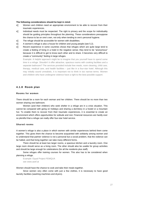#### **The following considerations should be kept in mind:**

- $#$  Women and children need an appropriate environment to be able to recover from their traumatic experiences.
- $#$  Individual needs must be respected. The right to privacy and the scope for individuality should be guiding principles throughout the planning. These considerations presuppose the chance to be on one's own, not only when tending to one's personal hygiene.
- $#$  The refuge should be accessible for women with disabilities.
- $\#$  A women's refuge is also a house for children and young people (see 5.2).
- $#$  Recent experience in some countries shows that refuges which are quite large tend to create a feeling of living in a hotel in the negative sense; they tend to be "anonymous" because it is difficult to get to know each other and to share. It becomes very difficult to create a "community" feeling in large refuges.

Example: A helpful approach might be to imagine that you yourself have to spend some time in a refuge. Shouldn't it offer attractive, spacious rooms with cooking facilities and a separate bathroom? The services provided include free meals, room cleaning, child care, therapy, medical care, and health facilities – just like in a four-star hotel. Although this may initially sound unrealistic, it is important not to think in too narrow terms. Women and children who have undergone violence have a right to the best possible support.

#### **4.1.8 Room plan**

## **Rooms for women**

There should be a room for each woman and her children. There should be no more than two women sharing one bathroom.

Women (and their children) who seek shelter in a refuge are in a crisis situation. This cannot be compared with going on holidays and sharing a dormitory in a hostel or a mountain hut. To enable them to recover from their traumatic experiences, it is essential to create an environment which offers opportunities for solitude and rest. Financial resources are hardly ever so plentiful that a refuge can really offer four-star hotel service.

#### **Shared rooms**

A women's refuge is also a place in which women with similar experiences behind them come together. This gives them the chance to become acquainted with solidarity among women and to understand that partner violence is not a personal but a social problem, that the violence can be halted, and that living together can take many different forms.

There should be at least two larger rooms, a spacious kitchen and a laundry room. One large room should serve as a living room. The other should also be usable for group activities and should be large enough for celebrations (for all the residents plus staff).

Some refuges offer training courses for women. This also has to be considered when planning a refuge.

Example: Equal Project FEMQUA see www.aoef.at

Women should have the chance to cook and take their meals together.

Since women very often come with just a few clothes, it is necessary to have good laundry facilities (washing machines and dryers).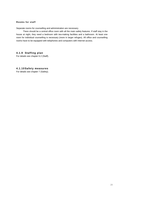## **Rooms for staff**

Separate rooms for counselling and administration are necessary.

There should be a central office room with all the main safety features. If staff stay in the house at night, they need a bedroom with tea-making facilities and a bathroom. At least one room for individual counselling is necessary (more in larger refuges). All office and counselling rooms have to be equipped with telephones and computers with Internet access.

#### **4.1.9 Staffing plan**

For details see chapter 6.2 (Staff).

## **4.1.10 Safety measures**

For details see chapter 7 (Safety).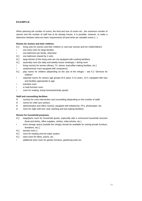## **EXAMPLE:**

When planning the number of rooms, the kind and size of rooms etc., the maximum number of women and the number of staff has to be already known. It is possible, however, to make a distinction between what are basic requirements ( ) and what are valuable extras ( ).

#### **Rooms for women and their children:**

- living units for women and their children (1 room per woman and her child/children): one extra room for large families
	- one bathroom per family, otherwise
- ഞ one bathroom shared by 2 units
- large kitchen (if the living units are not equipped with cooking facilities)
- assembly room (for daily and weekly house meetings) = dining room living room(s) for women (library, TV, stereo, tea/coffee-making facilities, etc.) study/seminar room equipped with computers
- play rooms for children (depending on the size of the refuge) see 5.2 "Services for children"
	- separate rooms for various age groups (0-5 years, 6-12 years, 12+), equipped with toys and facilities appropriate to age:
	- activities room
	- a multi-function room
	- room for reading, doing homework/study (quiet)

#### **Staff and counselling facilities:**

room(s) for crisis intervention and counselling (depending on the number of staff) rooms for child care workers

administrative and office room(s), equipped with telephones, PCs, photocopier, fax room for night shift (incl. bed, washing and tea-making facilities)

#### **Rooms for household purposes:**

- large store room for household goods, especially with a communal household structure (food and drinks, office supplies, clothes, toilet articles, etc.)
	- extra storage space (outside the refuge) should be available for storing private furniture, donations, etc.
- laundry room
- room for heating and hot water system
- store room for bikes, prams, etc.
	- additional store room for garden furniture, gardening tools etc.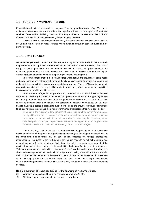#### **4.2 FUNDING A WOMEN'S REFUGE**

Financial considerations are crucial in all aspects of setting up and running a refuge. The extent of financial resources has an immediate and significant impact on the quality of staff and services offered and on the living conditions in a refuge. They can be seen as a clear indicator of the value society attaches to combating violence against women.

Raising sufficient financial support is usually one of the most difficult tasks when trying to set up and run a refuge. In most countries raising funds is difficult in both the public and the private sectors.

## **4.2.1 State Funding**

Women's refuges are victim service institutions performing an important social function. As such they should rank on a par with the other social services which the state provides. The state is obliged to afford protection from all forms of violence in private and public contexts. By extension, governments and state bodies are called upon to provide adequate funding for women's refuges and other women's support organisations (see chapter 2).

In recent decades modern democratic states which regard the provision of basic health and social care as one of their most important functions have tended to entrust more and more of the state's responsibilities to non-governmental organisations. These NGOs are independent, non-profit associations receiving public funds in order to perform social or socio-political functions and to provide specific services.

Most women's refuges in Europe are run by women's NGOs, which have in the past decades acquired a great deal of expertise and practical experience in supporting female victims of partner violence. This form of service provision for women has proved effective and should be adopted when new refuges are established, because women's NGOs are more flexible than public bodies in organising support systems on the ground. Moreover, victims tend to be less reluctant to seek help from non-governmental organisations than from state bodies.

Example: In the Austrian federal province of Upper Austria all the women's refuges are run by NGOs, and their existence is enshrined in law. All four women's refuges in Vienna have signed a contract with the municipal authorities covering their financing for an unlimited period. The Spanish province of Andalusia has approved an action plan to run for several years which includes the financing of the province's refuges.

Understandably, state bodies that finance women's refuges require compliance with quality standards and the provision of professional services (see the chapter on Standards). At the same time it is important that the state bodies recognise the refuges' professional independence. The quality of the work done in the refuges needs to be subject to internal and external evaluation (see the chapter on Evaluation). It should be remembered, though, that the quality of support services depends on the availability of adequate funding and other resources. Violence against women and children also incurs "costs". As the studies quoted in chapter 2 show, violence against women and children – apart from having a social impact – is a major drain on the financial resources of the state and the public authorities. Investment in preventive action, by bringing about a "less violent" future, thus also reduces public expenditure on the costs incurred by (domestic) violence. This is particularly true of the funding of women's support services.

#### **Here is a summary of recommendations for the financing of women's refuges:**

- $#$  Women's refuges should be run by professional women's NGOs.
- $#$  The financing of refuges should be enshrined in legislation.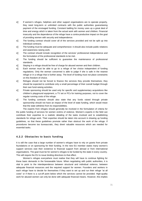- $#$  If women's refuges, helplines and other support organisations are to operate properly, they need long-term or unlimited contracts with the public authorities guaranteeing payment of the envisaged funding. Constant battling for money uses up a great deal of time and energy which is taken from the actual work with women and children. Financial insecurity and the dependence of the refuge have a contra-productive impact on the goal of providing women with security and independence.
- $#$  The funding contract should cover all of the services provided and not be split up into individual contracts.
- $#$  The funding must be adequate and comprehensive: it should also include public relations and awareness raising work.
- $#$  The contract should include recognition of the services' professional independence and the formulation of the professional standards to be met.
- $#$  The funding should be sufficient to quarantee the maintenance of professional standards.
- $#$  Staying in a refuge should be free of charge for abused women and their children.
- $#$  Each woman must be able to go to a refuge of her choice independent of funding regulations. Only the woman concerned is able to judge if she is safe in the nearest refuge or in a refuge that is further away. The level of funding must not place constraints on this freedom of choice.
- $\notin$  Refuges should not be forced to finance the services they provide themselves; they should be expected to contribute only a small percentage of their overall budget through their own fund-raising activities.
- $#$  Private sponsoring should be used only for specific and supplementary acquisitions like children's playground equipment, a TV set or PCs for training purposes, not to cover the regular running costs of the refuge.
- $#$  The funding contracts should also state that any funds raised through private sponsorship should not have an impact of the level of state funding, which would mean that the state withdrew from its responsibilities.

The experts from refuges should generally be involved in the formulation of criteria for the public funding of services for women victims of violence. Women's experts in the field can contribute their expertise to a realistic detailing of the tasks involved and to establishing standards for refuge work. Their expertise should be taken into account in drawing up funding guidelines, so that these guidelines promote rather than obstruct the work of the refuge. If procedures become too bureaucratic, they divert valuable resources which are needed for essential tasks.

## **4.2.2 Obstacles to basic funding**

It is still the case that a large number of women's refuges have to rely on grants from private foundations or on sponsoring for their funding. In the new EU member states many women's support services owe their existence to financial support from abroad or from international organisations. The goal must be for women's refuges to be funded by the state in every country. This will require the EU to issue binding directives to that effect.

Women's refuges everywhere must realise that they will have to continue fighting for these basic demands in the foreseeable future. When negotiating with public authorities, it is vital to point to the interdependence between structural and individual violence, between adequate financial resources and the required support for women. Founders and workers in each refuge have to decide for themselves if they want to set up and run their refuge "at all costs" or if there is a cut-off point below which the services cannot be provided. High-quality work for abused women can only be done with adequate financial means. However, this implies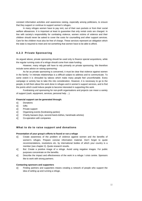constant information activities and awareness raising, especially among politicians, to ensure that they support or continue to support women's refuges.

In many refuges women have to pay rent, out of their own pockets or from their social welfare allowances. It is important at least to guarantee that only rental costs are charged. In line with society's responsibility for combating violence, women victims of violence and their children should never be asked to cover the costs for counselling and other support services. Care for the children must also be free of charge. These services represent an obligation which the state is required to meet and not something that women have to be able to afford.

## **4.2.3 Private Sponsoring**

As argued above, private sponsoring should be used only to finance special acquisitions, while the regular running costs of a refuge should come from state funding.

However, many refuges still have to rely primarily on private sponsoring. We therefore include some advice on raising sponsoring:

As far as private sponsoring is concerned, it must be clear that violence against women in the family / in intimate relationships is a difficult subject to address and to communicate. To some extent it is shrouded by taboos which make many people feel uncomfortable. Every campaign or activity has to take this into consideration. However, it is necessary to go to the people, to tell them about the work done in refuges and in women's support services, and to find the points which could induce people to become interested in supporting this work.

Fundraising und sponsoring for non-profit organisations and projects can mean a variety of support (cash, equipment, services, personal help …).

#### **Financial support can be generated through:**

- $#$  Donations
- $#$  Gifts
- $#$  Private support
- $#$  Organising events (fundraising parties)
- $#$  Charity bazaars (toys, second-hand-clothes, handmade articles)
- $#$  Co-operation with companies

## **What to do to raise support and donations**

#### **Presentation of your group's efforts to found or run a refuge**

- $#$  Create awareness of the problem of violence against women and the benefits of women's refuges. Prepare concise information material. Don't forget to quote recommendations, resolutions etc. by international bodies of which your country is a member (see chapter 2). Quote research results.
- $#$  But: Create a positive image of a refuge. Avoid using negative images. For public purposes concentrate on the benefits.
- $#$  Describe the impact and effectiveness of the work in a refuge / crisis centre. Sponsors like to work with strong partners.

#### **Contacting sponsors and supporters**

 $#$  Finding partners and supporters means creating a network of people who support the idea of setting up and running a refuge.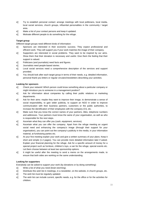- $#$  Try to establish personal contact: arrange meetings with local politicians, local media, local social services, church groups, influential personalities in the community / target area.
- $\#$  Make a list of your contact persons and keep it updated.
- $#$  Motivate different people to do something for the refuge.

#### **Target group**

Different target groups need different kinds of information:

- $#$  Sponsors are interested in their economic success. They expect professional and efficient work. They will support you if your work matches the image of their company.
- $#$  Supporters are interested in social problems. They want to be inspired by our aims. Show them that their donation is necessary and useful. Give them the feeling that their support is valued.
- $#$  Politicians (and journalists) need facts and figures.
- $#$  Journalists need people-based stories.
- $#$  Local social services need a comprehensive description of the services and support provided.
- $\#$  You should look after each target group in terms of their needs, e.g. detailed information, personal thank-you letters or regular circulars/newsletters describing your activities.

#### **Looking for sponsors**

- $\epsilon$  Check your network! Which person could know something about a particular company or might introduce you to someone in a management position?
- $#$  Ask for information about companies by calling their public relations or marketing departments.
- $#$  Ask for their aims: maybe they want to improve their image, to demonstrate a sense of social responsibility, to gain wider publicity, to support an NGO in order to improve communication with their business partners, customers or the public authorities, to increase the identification of their employees with the company (CI), etc.
- $#$  Make sure that you know the correct names of your partners, titles, telephone numbers and addresses. Your partners must know the same of your organisation, as well as who is responsible for the next steps.
- $#$  Ascertain what they can offer you (cash, equipment, services).
- $#$  Ascertain what you can offer the company. Apart from the refuge meeting an urgent social need and enhancing the company's image (through their support for your organisation), you can point out the company's publicity in the media, in your information material, at fundraising parties etc.
- $#$  At your first meeting explain your work and give a written summary of your plans. Keep it short and simple (1-2 pages). You can provide more detailed information later if asked. Explain your financial planning for the refuge. Ask for a specific amount of money for a special project such as furniture, children's toys, a van for the refuge, special events etc. Let them choose between at least two sponsorship options.
- $\notin$  It might be useful after the meeting to send a memo on the arrangements made, to ensure that both sides are working on the same understanding.

#### **Looking for supporters**

Everybody can be asked to support your work (by donations or by doing something):

- $#$  Write a list of what you need (brain-storming).
- $#$  Distribute this wish list in meetings, in a newsletter, on the website, in church groups, etc.
- $#$  The wish list must be regularly updated.
- $#$  The wish list can include current, specific needs, e.g. for the office or for the activities for children.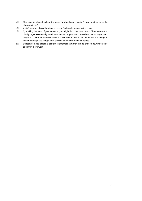- $#$  The wish list should include the need for donations in cash ("if you want to leave the shopping to us").
- $#$  A staff member should hand out a receipt / acknowledgment to the donor.
- $#$  By making the most of your contacts, you might find other supporters. Church groups or charity organisations might well want to support your work. Musicians, bands might want to give a concert; artists could make a public sale of their art for the benefit of a refuge. A neighbour might like to repair the bicycles of the children in the refuge.
- $#$  Supporters need personal contact. Remember that they like to choose how much time and effort they invest.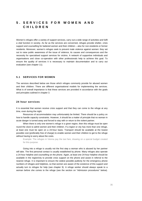# **5. SERVICES FOR WOMEN AND CHILDREN**

Women's refuges offer a variety of support services, carry out a wide range of activities and fulfil a vital function in society. As far as the services are concerned, refuges provide shelter, crisis support and counselling for battered women and their children – also for non-residents or former residents. Moreover, women's refuges seek to prevent male violence against women: they set out to raise public awareness of the issue of violence, its causes and consequences and the necessity for specialised support services for victims. A network of supportive individuals and organisations and close co-operation with other professionals help to achieve this goal. To ensure the quality of services it is necessary to maintain documentation and to carry out evaluation (see chapter 11).

## **5.1 SERVICES FOR WOMEN**

The services described below are those which refuges commonly provide for abused women and their children. There are different organisational models for implementing the services. What is of overall importance is that these services are provided in accordance with the goals and principles outlined in chapter 3.

#### **24 hour services**

It is essential that women receive crisis support and that they can come to the refuge at any time, even during the night.

 Resources of accommodation may unfortunately be limited. There should be a policy on how to handle capacity constraints. However, it should be a matter of principle that no woman in acute danger is turned away and forced to stay with or return to the violent partner.

When there is only one women's refuge in a given region, then this refuge must be open round the clock to admit women and their children. If a region or city has more than one refuge, at least one must be open on a 24-hour basis. Transport should be available at the lowest possible cost (preferably free of charge) to enable women and their children to get to the refuge without having to worry about the costs.

Example: The refuges in Vienna pay the taxi fare, drawing on a special budget created for this purpose.

Going into a refuge is usually not the first step a woman who is abused by her partner will take. The first personal contact is usually established by phone. Many refuges also operate a 24-hour helpline and counselling on the phone. Again, at least one 24-hour helpline should be available in the region/city to provide crisis support on the phone and assist in referral to the nearest refuge. It is important to ensure the widest possible publicity for the emergency phone numbers of refuges and helplines, so that women are aware of the existence of this support and actually turn to refuges for help (see chapter 9). A refuge worker should always speak to a woman before she comes to the refuge (see the section on "Admission procedures" below).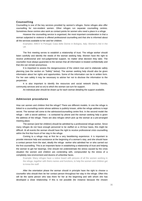## **Counselling**

Counselling is one of the key services provided by women's refuges. Some refuges also offer counselling for non-resident women. Other refuges run separate counselling centres. Sometimes these centres also work as contact points for women who need a place in a refuge.

However the counselling service is organised, the most important consideration is that a woman subjected to violence is offered professional counselling and that she is informed about all the services available to her and her children.

Examples: AMCV in Portugal; Casa delle Donne in Bologna, Italy; Women's Aid in the UK

The first meeting serves to establish a relationship of trust. The refuge worker should listen carefully and identify the needs of the woman seeking help. Women have the right to receive professional and non-judgemental support, no matter what decision they take. The counsellor must always guarantee to the woman that all information is treated confidentially and that she can remain anonymous.

It is important to assess the dangerousness of the violent man and to elaborate safety planning (see the section on "Safety" below). The woman seeking help should also be given information about her rights and opportunities. Some of the information can be in written form. For her own safety it may be necessary to advise her not to disclose the information to the perpetrator.

It is also important to identify the resources and social network (family, friends, community services and so on) to which the woman can turn for support.

An individual plan should be drawn up for each woman detailing the support available.

## **Admission procedures**

How can women and children find the refuge? There are different models. In one the refuge is linked to a counselling centre whose address is publicly known, while the refuge address is kept secret. The woman will come to the admission/counselling centre first. In the second model the refuge – with a secret address – is contacted by phone and the woman seeking help is given the address of the refuge. There are also refuges which pick up the woman at a pre-arranged meeting place.

The woman (and her children) should be admitted by a professional refuge worker. Since many refuges do not have enough personnel to be staffed on a 24-hour basis, this might be difficult. At all events the woman should have the right to receive professional crisis counselling within the first few hours of her stay in the refuge.

Coming to a refuge may at first be a very bewildering experience. It is important to provide intensive help and assistance at the beginning of a woman's stay, and she should have a contact person from the start, ideally the refuge worker who admitted her or who carried out the first counselling. This is an important factor in establishing a relationship of trust and helping the woman to get her bearings. One should not underestimate the stress caused by the crisis situation the women and children are contending with, compounded by the stress of a completely new environment and dozens of unfamiliar faces.

Example: Many refuges have a notice board with pictures of all the women working in the refuge, together with theirs names and functions, to help the women and children get to know the staff.

After the orientation phase the woman should in principle have the right to choose a counsellor who should then be her contact person throughout her stay in the refuge. Often this will be the same person who was there for her at the beginning and with whom she has developed a close relationship. If this is not possible (for instance because the chosen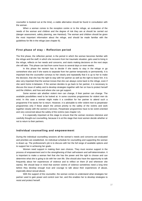counsellor is booked out at the time), a viable alternative should be found in consultation with the woman.

When a woman comes to the reception centre or to the refuge, an evaluation of the needs of the woman and children and the degree of risk they are at should be carried out (danger assessment, safety planning, see Handout). The woman and children should be given the most important information about the refuge, and should be made familiar with the guidelines for life in the refuge (see chapter 8).

## **First phase of stay – Reflection period**

The first phase, the reflection period, is the period in which the woman becomes familiar with the refuge and the staff, in which she recovers from her traumatic situation, gets used to living in the refuge, reflects on her needs and concerns, and starts making decisions on the next steps she will take. This phase can last from some hours to several days or even weeks.

In this phase the women has to decide if she wants to stay in the refuge or go somewhere else and if she wants to separate from her partner temporarily or permanently. It is important that the counsellor conveys to her clearly and repeatedly that it is up to her to make the decision, that she has the right to stay with her partner as well as the right to leave him. It is also very important that the woman knows that she can always come back to the refuge, even if she went home in-between. If the woman decides to go back to her partner, it is necessary to discuss the issue of safety and to develop strategies together with her on how to protect herself and the children, and how and where she can get support.

Some women ask whether violent men can change, if their partner can change. The available possibilities need to be looked at. In some countries programmes for violent men do exist. In this case a woman might make it a condition for her partner to attend such a programme if he wants her to return. However, it is advisable to refer violent men to perpetrator programmes only if these attach the utmost priority to the safety of the victims and work together closely with the women's services. Perpetrator programmes have to be victim-oriented and very concerned about the safety of the victims (see chapter 12).

It is especially important at this stage to ensure that the woman receives intensive and carefully thought-out counselling, because it is at this stage that most women decide whether or not to return to their partners.

## **Individual counselling and empowerment**

During the individual counselling sessions all the woman's needs and concerns are evaluated and priorities are established. An individual schedule for counselling and supporting the woman is drawn up. The professional's job is to discuss with her the full range of available options and to support her in achieving her goals.

Women need support in making their own choices. They must receive support in the process of empowerment and in the strengthening of their self-esteem and self-determination. It is important to make a woman feel that she has the power and the right to choose and can determine what she is going to do with her own life. She should also have the opportunity to talk frequently about her experiences of violence and to reflect on them (if and whenever she wants). We should bear in mind that women victims of violence sometimes need a long time before they develop enough trust and courage to talk about their experiences of abuse, especially about sexual abuse.

With the support of the counsellor, the woman comes to understand what strategies her partner used to gain power and control over her, and this enables her to develop strategies to resist and protect herself.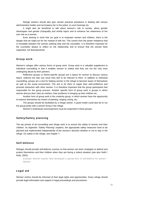Refuge workers should also give women practical assistance in dealing with various administrative bodies and accompany her to the police, to court hearings etc.

It might also be beneficial to talk about women's role in society, about gender stereotypes and gender (in)equality and similar topics and to enhance her awareness of her own role as a woman.

Even bearing in mind that our goal is to empower women and children, there is the danger that we might act for her instead of with her. This comes from the power imbalance that is inevitable between the woman seeking help and the counsellor. It is therefore important for the counsellor always to reflect on the relationship and to ensure that the woman feels supported, not disempowered.

## **Group work**

Women's refuges offer various forms of group work. Group work is a valuable supplement to individual counselling in that it enables women to realise that they are not the only ones undergoing abuse by their partners.

Reflection groups or theme-specific groups are a space for women to discuss various topics: violence but also any issue they feel to be relevant to them. In addition to individual counselling, groups are a tool for helping women in the refuge to become aware of themselves as well as the social environment. The aim is for them to regain their self-confidence and promote interaction with other women. It is therefore important that the group participants feel responsible for the group process. Another specific form of group work is groups in which women discuss their roles as mothers, their problems in bringing up their children etc.

Another form of group work is the creativity group, in which women have the opportunity to express themselves by means of painting, singing, acting, etc.

The groups should be facilitated by a refuge worker. A good model could also be to run the group jointly with a women living in the refuge.

Women's (individual) voices/opinions must be respected in these groups.

# **Safety/Safety planning**

The top priority of all counselling and refuge work is to ensure the safety of women and their children. As Appendix "Safety Planning" explains, the appropriate safety measures have to be planned and implemented independently of the woman's decision whether or not to stay in the refuge. On safety in the refuge, see chapter 7.

# **Self-defence**

Refuges should provide self-defence courses so that women can learn strategies to defend and protect themselves and their children when they are facing a violent situation (see also Seith / Kelly, 2003).

Example: Women experts have developed a special form of self-defence for women – WenDo.

## **Legal aid**

Women victims should be informed of their legal rights and opportunities. Every refuge should provide legal information and support in legal proceedings and procedures.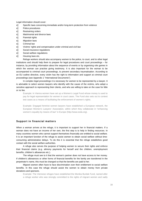Legal information should cover:

- $#$  Specific laws concerning immediate and/or long-term protection from violence
- $#$  Police procedures
- $#$  Restraining orders
- $#$  Matrimonial and divorce laws
- $#$  Parental rights
- $#$  Migration laws
- $\neq$ # Criminal law
- $#$  Victims' rights and compensation under criminal and civil law
- $#$  Social insurance regulations
- $#$  Social welfare regulations
- $#$  Housing laws etc.

Refuge workers should also accompany women to the police, to court, and to other legal institutions and should help them to prepare for legal procedures and court proceedings – for instance, by providing information about the sequence of events or by organising role games in which the woman can practise giving testimony. It is also important for the woman to be accompanied to criminal court proceedings, to prevent secondary traumatisation. According to an EU outline directive, every victim has the right to information and support at criminal court proceedings (see Appendix 1 "International Documents").

In complex legal proceedings it is necessary for women to be represented by a lawyer. It is advisable to select women lawyers who identify with the cause of the victims, who adopt a sensitive approach to representing their clients, and who are willing to take on the case for little or no fee.

Example: In Vienna women have set up a Women's Legal Fund whose money is used to pay for legal representation for women in court cases. The Fund also sets out to contest test cases as a means of facilitating the enforcement of women's rights.

Example: Engaged feminist women lawyers have established a European network, the European Women's Lawyers' Association, within which they collaborate in "enhancing women's equality by means of law" in Europe (http://www.ewla.org).

# **Support in financial matters**

When a woman arrives at the refuge, it is important to support her in financial matters. If a woman does not have an income of her own, the first step is to help in finding resources. In many countries women who cannot support themselves financially are entitled to social welfare. It is an important function of the refuge to assist women to obtain social welfare without timeconsuming administrative delays. To do this it is essential that the refuge establishes good contact with the social welfare authorities.

A refuge also serves the purpose of helping women to secure their rights and enforce their financial claims (e.g. alimony payments for herself and the children, unemployment benefits, children's allowances etc.).

The refuge must see to it that the woman's partner does not have access to her money. If children's allowances or other forms of financial benefits for the family are transferred in the perpetrator's name, this must be changed so that the benefits are paid to her.

Migrant women often have to face discrimination over their entitlement to social welfare benefits. In this case the refuge should assist the women to obtain money from private donations and sponsors.

Example: The Viennese refuges have established the Monika Burdak Fund, named after a refuge worker who was strongly committed to the rights of migrant women and sadly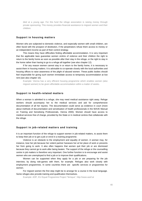died at a young age. For this fund the refuge association is raising money through private sponsoring. This money provides financial assistance to migrant women and their children.

## **Support in housing matters**

Women who are subjected to domestic violence, and especially women with small children, are often faced with the prospect of destitution, if the perpetrators refuse them access to money or an independent income as part of their control strategy.

This means they have difficulties finding affordable accommodation. It is very important that the applicable laws guarantee women victims of violence and their children the right to return to the family home as soon as possible after their stay in the refuge, or the right to stay in the home rather than having to go to a refuge all together (see also chapter 12).

If for any reason women cannot stay in or return to the family home, it is necessary to assist them in housing matters. It is advisable to co-operate closely with the local authorities and housing offices to raise awareness of the plight of abused women. These public bodies should feel responsible for giving such women immediate access to temporary accommodation at low rent (see also chapter 10).

Example: Vienna has a very efficient housing programme which enables women (also migrant women) to be given affordable accommodation within a matter of weeks.

# **Support in health-related matters**

When a woman is admitted to a refuge, she may need medical assistance right away. Refuge workers should accompany her to the medical services and ask for comprehensive documentation of all her injuries. The documentation could serve as evidence in court (more about methods of documentation and sensitisation of health professionals in the WAVE Manual on Training and Sensitising Professionals, Vienna 2000). Women should have access to medical services free of charge, provided by the State or in medical centres that collaborate with the refuge.

## **Support in job-related matters and training**

It is an important function of the refuge to support women in job-related matters, to assist them to keep their job or to get a job or enrol in a training programme.

Violence is an obstacle to the employment and equality of women. A woman may, for instance, lose her job because her violent partner harasses her at her place of work or prevents her from going to work. It also often happens that women quit their job or are dismissed because they cannot go to work after being beaten. The support of the refuge or the counselling centre in job matters is therefore very important. One further function is to encourage and assist women who are unemployed to find a job or to improve their qualifications.

Women can be supported when they apply for a job or are preparing for the job interview, by doing role-games with them, for example. Refuges also work closely with employment programmes. In some countries there are specific services or programmes for women.

For migrant women the first step might be to arrange for a course in the local language. Some refuges also provide training and qualification themselves.

Example: AÖF, EU Equal Programme Project "femqua", http://www.aoef.at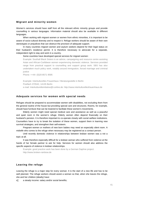## **Migrant and minority women**

Women's services should have staff from all the relevant ethnic minority groups and provide counselling in various languages. Information material should also be available in different languages.

When working with migrant women or women from ethnic minorities, it is important to be aware of socio-cultural diversity and to respect it. Refuge workers should be aware of their own stereotypes or prejudices that can obstruct the provision of adequate support.

In many countries migrant women and asylum seekers depend for their legal status on their husband's residence permit. It is therefore necessary to advocate for a separate, independent right to stay and work in a country.

Some countries have developed special services for migrant women:

Example: Southall Black Sisters is an advice, campaigning and resource centre assisting Asian and African-Caribbean women experiencing domestic violence. Services provided range from practical support to counselling and support group work. SBS has also undertaken much policy work, notably around immigration, forced marriage and criminal justice

Phone: ++44- (0)20-8571 9595

Example: Interkulturelles Frauenhaus / Beratungsstelle in Berlin Postfach 370542, 14135 Berlin e-mail: Interkulturelleinitiative@t-online.de: http://www.interkulturellesfrauenhaus.de

# **Adequate services for women with special needs**

Refuges should be prepared to accommodate women with disabilities, not excluding them from the general routine of the house but providing special care and structures. Rooms, for example, should have furniture that can be lowered to facilitate these women's movements.

Elderly women might need special medical care and assistance as well as a peaceful and quiet room in the women's refuge. Elderly women often depend financially on their husband's pension. It is therefore important to co-operate closely with social welfare institutions. Counsellors have to try to break the isolation of these women, support them in learning new survival strategies, and strengthen their self-esteem.

Pregnant women or mothers of new born babies may need an especially silent room. A midwife who comes to the refuge when necessary may be registered as a contact person.

Until recently domestic violence in relationships between lesbian women was a not a topic at all.

It was therefore especially difficult for a lesbian woman who suffered from violence at the hands of her female partner to ask for help. Services for women should also address the specific aspects of violence in lesbian relationships.

Example: good practice work has been done by a German Daphne project:

http://www.broken-rainbow.de

# **Leaving the refuge**

Leaving the refuge is a major step for every woman. It is the start of a new life and has to be well planned. The refuge workers should assist a woman so that, when she leaves the refuge, she and her children (ideally) have:

 $\#$  a steady income: salary and/or social benefits;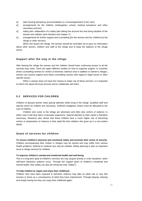- $\#$  safe housing (temporary accommodation or a house/apartment of her own);
- $#$  arrangements for the children: kindergarten, school, medical assistance and other necessary services;
- $#$  safety plan: elaboration of a safety plan taking into account the new living situation of the woman and children (see Handout and chapter 7);
- $#$  arrangements for further support and counselling (for the woman and her children) by the refuge or other services.

When she leaves the refuge, the woman should be reminded not to pass on information about other women, children and staff at the refuge and to keep the address of the refuge secret.

## **Support after the stay in the refuge**

After leaving the refuge the woman and her children should have continuing access to all the services they need. There are again different models on how to organise support. In countries where counselling centres for victims of domestic violence exist in addition to women's refuges, women can receive support from these counselling centres with regard to legal issues or other specific issues.

When a woman does not have the chance to make use of these services, it is important to inform her about the local services and to collaborate with them.

# **5.2 SERVICES FOR CHILDREN**

Children of abused women need special attention while living in the refuge. Qualified staff and special rooms for children are necessary. Sufficient budgetary means must be allocated to the care of children.

Children who come to the refuge are witnesses and often also victims of violence; in either case it will have been a traumatic experience. Special attention to their needs is therefore necessary. Research also shows that these children face a much higher risk of becoming victims or perpetrators of violence in their adult life than children who grow up in a non-violent family.

## **Goals of services for children**

#### **To ensure children's physical and emotional safety and promote their sense of security**.

Children accompanying their mother in refuges may be injured and may suffer from various health problems. Referral to medical care may be needed. Safety planning is also an important issue in refuge services for children.

## **To improve children's mental and emotional health and well-being**.

This is a long-term goal of children's services but may acquire priority in crisis situations, when self-harm behaviour patterns occur. Through the support given to children's emotional and mental health, their safety can also be enhanced (see "Safety").

## **To help children to regain and enjoy their childhood**.

Children who have been exposed to domestic violence may take an adult role or may feel anxious or tense as a consequence of what they have experienced. Through playing, relaxing and simply having fun they can enjoy their childhood again.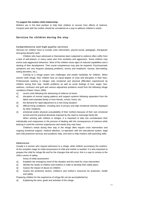#### **To support the mother-child relationship.**

Mothers are in the best position to help their children to recover from effects of violence. Conjoint work with the mother should be considered as a way to address children's needs.

## **Services for children during the stay**

#### **Comprehensive and high-quality services**

Services for children have to include crisis intervention, psycho-social, pedagogic, therapeutic and group-dynamic work.

Children who have witnessed or themselves been subjected to violence often suffer from a lack of self-esteem, in many cases also from anxieties and aggression. Some children may evince auto-aggressive behaviour. Most of the children show signs of reduced capabilities and a slowing of their development. Their social competences may also be impaired. Psychosomatic symptoms are very frequent (sleeping problems, tummy and headache, nausea, bed-wetting, eating disorders, etc.).

Coming to a refuge poses new challenges and entails hardships for children. When women seek refuge, their children face an equal degree of crisis and disruption in their lives. Professionals working in refuges note emotional and physical difficulties experienced by children during their stay. Health problems as well as acute feelings of loss, anger, fear, sadness, confusion and guilt and various adjustment problems result from the following refuge conditions (Peled / Davis 1995):

- $#$  recent crisis following the witnessing of violence at home;
- $\#$  disruption of normal coping patterns and support systems following separation from the father and extended family or from friends, school, home, etc;
- $#$  the demand for rapid adjustment to a new living situation;
- $#$  difficult living conditions, including lack of privacy and high emotional intensity displayed by other residents;
- $#$  emotional and/or physical unavailability of their mothers because of their own emotional turmoil and the practical demands imposed by the need to rearrange family life.

When working with children in refuges, it is important to take into consideration their individuality and uniqueness in the process of dealing with the consequences of violence while bearing in mind the common experiences and needs they may have.

Children's needs during their stay in the refuge often require crisis intervention and ongoing emotional support, medical attention, co-operation with the educational system, legal and child protective services and academic help, and work to help mothers with parenting skills.

#### **Admission**

Usually it is women who request admission to a refuge, while children accompany the mothers. At the reception stage an initial assessment of child and mother is needed. It is also important to prepare the child for refuge life and for the changes that will occur; this is a way to convey to the child a sense of safety.

Areas of initial assessment:

- $#$  Establish the emergency level of the situation and the need for crisis intervention
- $#$  Identify the needs of children and mothers in order to develop their safety plans
- $#$  Assess the impact of abuse on children
- x Assess the protective factors, children's and mother's resources for protection, health and safety

Preparing children for the experience of refuge life can be accomplished by:

 $#$  Explaining the aims, goals and activities of the refuge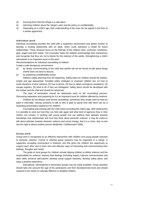- $#$  Assuring them that the refuge is a safe place
- $#$  Informing children about the refuge's rules and the policy on confidentiality
- $#$  Depending on a child's age, their understanding of the rules can be signed in the form of a written agreement.

## **Individual work**

Individual counselling provides the child with a supportive environment and allows him/her to develop a trusting relationship with an adult, which could represent a model for future relationships. These sessions focus on the feelings of the children (fear, confusion, loneliness, guilt, anger) and their needs. The counsellor helps the children acknowledge their experiences and recognise that they are not to blame for the violence of the adults. Strengthening a child's self-esteem is an important issue in this work.

Recommendations for individual counselling of children:

Create a safe therapeutic environment:

- $#$  by clearly communicating to the child that she/he will not be forced to talk about things she/he does not want to discuss
- $#$  by explaining confidentiality issues

Address safety planning from the beginning. Safety plans for children should be realistic, simple and age appropriate. Possible safety strategies to empower children are: (1) how to avoid situations of prior violence, (2) how to phone, (3) how to obtain emergency assistance, (4) escape logistics, (5) what to do if they are kidnapped. Safety plans should be developed with the mother and the child and should be rehearsed.

The topic of termination should be addressed early on the counselling process. Discussing separation and preparing for it is an important issue for children affected by violence.

Children do not always need formal counselling; sometimes they simply want to meet an adult in informally. Having someone to talk to who is glad to spend time with them can be a rewarding and positive experience for children.

Counselling and working with the child varies according the child's age. With adolescents it is possible to work out how they can feel safe again and what kind of agencies they or their mother can contact. In working with young people one can address their attitudes towards friendships and relationships and how they think about domestic violence. It may be useful to talk about attitudes towards domestic violence and social change, that it is a crime, that no-one has the right to abuse another person (Mullender / Debbonnaire 2000).

#### **Group work**

Group work is recognised as an effective intervention with children and young people exposed to domestic violence. Formal or informal group sessions may be organised in a refuge. A supportive accepting environment is fostered, and this gives the children the opportunity to support each other and to learn new and effective ways of interacting and communicating their feelings, thoughts and needs.

The goals of most groups for children include helping children to define violence and the responsibility for violence; express their feelings (including anger); improve communication and other skills; enhance self-esteem; develop social support networks; develop safety plans; and enjoy a positive experience.

Educational, informational or preventive groups may be made available. Group activities should take into account the age of the participants and their developmental level and should respond to the needs of culturally different or disabled children.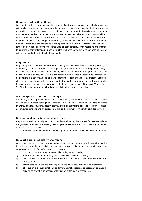#### **Conjoint work with mothers**

Services for children in refuge should not be confined to practical work with children; working with mothers should be considered equally important, because they can give the best support to the children's needs. In some cases child workers can work individually with the mother; appointments can be fixed at her or the counsellor's request. The aim is to convey children's needs, fears and problems, when the children ask for this or if the situation requires it (for example, violence in the refuge). Another way of working with mothers is the group (mothers' groups), where child counsellors have the opportunity to share the children's point of view in terms of their age, observing the constraints of confidentiality. With regard to the methods (supportive or confrontational) utilised during the work with mothers, the role of child counsellors is to convey and advocate the children's needs.

#### **Play therapy**

Play therapy is a valuable method when working with children who are developmentally or emotionally unable to express their feelings, thoughts and experiences through words. Play is the child's natural medium of communication, which he/she uses "to manage his/her fears and anxieties about abuse, express his/her feelings about what happened to him/her, and demonstrate his/her knowledge and understanding of relationships. Play therapy allows the child to represent symbolically those events that generate fear and anxiety and helps the child to move toward resolution and integration of frightening experience." (Urquiza & Winn, 1994, p. 59) Play therapy can also be utilized during individual and group counselling.

#### **Art therapy / Expressive art therapy**

Art therapy is an important method of communication, assessment and treatment. The child utilises art to express feelings and emotions that he/she is unable to articulate in words. Drawing, painting, sculpting, poetry, drama, music or storytelling can help children to release accumulated tensions and anxieties. Individual and group work can benefit from this method.

#### **Recreational and educational activities**

Play and recreational activity sessions in an informal setting that are not focused on violence are good opportunities for promoting peer support between children. Sport, walking, movement, dance etc. can be provided.

Some children may need educational support for improving their school-related abilities.

#### **Support during judicial interventions**

A child who needs to testify at court proceedings benefits greatly from being introduced to judicial procedures by a specialist (psychologist, clinical social worker) who understands and can prepare the child for her/his appearance in court.

Recommendations for supporting a child during a court hearing:

- $#$  a week or so before the hearing, escort the child to the court building
- $\#$  take the child to the courtroom where he/she will testify and allow the child to sit in the witness chair
- $#$  tell the child about the role of each person and where they will be sitting or standing
- $#$  offer the child all such emotional and informational support as is necessary to make the child as comfortable as possible with this part of the judicial procedures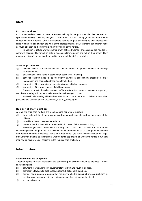## **Staff**

#### **Professional staff**

Child care workers need to have adequate training in the psycho-social field as well as specialised training. Child psychologists, childcare workers and pedagogic experts can work to support children in refuge. Child care workers have to be paid according to their professional skills. Volunteers can support the work of the professional child care workers, but children need as much attention as their mothers when they come to the refuge.

In addition to refuge workers working with battered women, professionals are needed to work with children. They must be able to assess children's needs and act on their behalf. They represent children's needs in refuge and in the work of the staff as a whole.

#### **Staff requirements:**

- $#$  full-time children's advocates on the staff are needed to provide services or develop referral sources
- $\#$  qualifications in the fields of psychology, social work, teaching
- $#$  staff for children need to be thoroughly trained in assessment procedures, crisis intervention and counselling techniques for children
- $#$  knowledge of the dynamics of domestic violence, child development
- $#$  knowledge of the legal aspects of child protection

Co-operation with the other counsellors/therapists at the refuge is necessary, especially with those working with mothers, to improve the well-being of children.

Professionals working with children often have to co-ordinate and collaborate with other professionals, such as police, prosecutors, attorney, and judges.

# **Number of staff members:**

At least two child care workers are recommended per refuge, in order:

- $#$  to be able to fulfil all the tasks as listed above professionally and for the benefit of the children
- $#$  to facilitate the exchange of experience
- $#$  to guarantee that the children are cared for in cases of sick leave or holidays.

Some refuges have male children's care-givers on the staff. The idea is to instil in the children a positive image of men and to show them that men can also be caring and affectionate and deplore all forms of violence. However, it may be felt (as at the women's refuge in Liège, Belgium) that it would be inconsistent with the feminist principle on which the refuge is run that men should occupy senior positions in the refuge's care of children.

## **Infrastructure**

#### **Special rooms and equipment**

Adequate space for care, recreation and counselling for children should be provided. Rooms should comprise:

- $\#$  playroom(s) with a range of equipment for children and youth of all ages,
- $#$  therapeutic toys, dolls, dollhouses, puppets, blocks, balls, sand etc.
- $#$  games: board games or games that require the child to construct or solve problems in creative ways; drawing, painting, writing etc. supplies; educational material,
- $#$  a counselling room,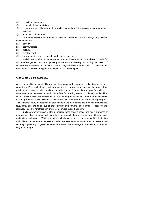- $\epsilon$  a multi-function room.
- $#$  a room for leisure activities,
- $#$  a garden where children and their mothers could benefit from physical and recreational activities,
- $#$  a room for adolescents.

The rooms should meet the special needs of children who live in a refuge. In particular,

these needs are:

- $#$  security,
- $\notin$ # communication,
- $#$  solitude,
- $\notin$ # creativity and
- $#$  movement (to express oneself, to release tensions, etc.).

Well-lit rooms with robust equipment are recommended. Rooms should provide for accident-free games. Toys and games promote cultural diversity and satisfy the needs of children with disabilities. For administrative and organisational matters, the child care workers need a separate office equipped with telephone, fax and computer.

# **Obstacles / Drawbacks**

At present, reality looks quite different from the recommended standards defined above. In most countries in Europe child care work in refuges receives too little or no financial support from public sources (where public funding is usually common). Very often support for children is dependent on private donations and income from fund-raising events. This is particularly critical since children's needs are at least as important and urgent as women's needs when they come to a refuge. Either as witnesses or victims of violence, they are traumatised in varying degrees. This is intensified by the fact that children had to leave their homes, leave behind their clothes, toys, pets, and are taken out of their familiar environment (kindergarten, school, friends, relatives, etc.). Their mothers can provide only limited support and care.

Child care workers have to step in, address these specific needs, and begin a process of reappraising what has happened. In a refuge there are children of all ages, from different social and cultural backgrounds. Working with these children also means coping with a high fluctuation and different levels of traumatisation. Inadequate resources for either staff or infrastructure severely impede any progress that could be made to the advantage of the children during their stay in the refuge.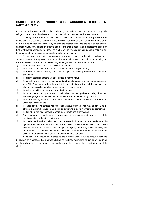# **GUIDELINES / BASIC PRINCIPLES FOR WORKING WITH CHILDREN (ARTEMIS 2001)**

In working with abused children, their well-being and safety have the foremost priority: The refuge is there to stop the abuse and protect the child and to meet her/his basic needs.

Working for children who have suffered abuse also means **counselling with adults**, especially with those who assume the responsibility for the well-being of the child. One of the best ways to support the child is by helping the mother, who has the role of non-abusing caretaker/trustworthy person in order to address the child's needs and to protect the child from further abuse for as long as needed. The mother will be involved in finding optimal solutions and bringing about the necessary changes for resolving the situation.

Psychological work with children on current abuse issues can be addressed only after safety is assured. The approach and mode of work should result in the child understanding that the abuse wasn't his/her fault. In developing a dialogue with the child it's important:

- $#$  That meetings take place in a familiar environment
- $\#$  To explain to the child why she/he is coming to counselling or therapy
- $#$  The non-abusive/trustworthy adult has to give the child permission to talk about everything
- $\neq$  To clearly establish that the violence/abuse is not their fault
- $#$  To use clear and simple sentences and direct questions and to avoid sentences starting with "Why?" which often lead to a self-defensive situation or transmit the message that she/he is responsible for what happened or has been a part of it.
- $\#$  To talk with children about "good" and "bad" secrets
- $#$  To give them the opportunity to talk about sexual problems using their own words/language – sometimes children take over the perpetrator's "ugly words"
- $\notin$  To use drawings, puppets it is much easier for the child to explain the abusive event using non-verbal means
- $#$  To keep direct eye contact with the child without touching (this may be similar to an abusive situation, because (s)he is with an adult who expects him/her to do something)
- $#$  To talk about feelings, especially about fear, threats and ambivalence
- $#$  Not to create new secrets, new promises, to say thank you for trusting at the end of the meeting and to explain the next steps
- $#$  To understand and to take into consideration in intervention and assistance the dynamics of the abuser-victim relationship. The children's supportive system (nonabusive parent, non-abusive relatives, psychologists, therapists, social workers, and others) has to be aware of the fact that recurrence of any abusive behaviour towards the child will traumatise him/her again and exacerbate the damage.

A situation that should be avoided is the normalisation of abuse through attitudes, behaviour or messages that promote clichés of thinking, minimising abuse or wrong-doing, insufficiently prepared approaches – especially when intervening to stop persistent abuse of the child.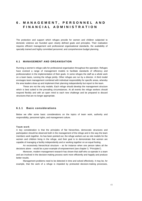# **6. MANAGEMENT, PERSONNEL AND FINANCIAL ADMINISTRATION**

The protection and support which refuges provide for women and children subjected to domestic violence are founded upon clearly defined goals and principles. Their realisation requires efficient management and professional organisational standards, the availability of specially trained and highly committed personnel, and comprehensive budget planning.

# **6.1 MANAGEMENT AND ORGANISATION**

Running a women's refuge calls for professional organisation throughout the operation. Refuges have evolved a range of management models to facilitate standards of efficiency and professionalism in the implementation of their goals. In some refuges the staff as a whole work on a team basis, running the refuge jointly. Other refuges are run by a director. A third model envisages team management combined with individual responsibility for specific areas, whereby the area leaders draw up and implement their planning independently but report to the team.

These are not the only models. Each refuge should develop the management structure which is best suited to the prevailing circumstances. At all events the refuge workers should respond flexibly and with an open mind to each new challenge and be prepared to discard structures that are no longer appropriate.

# **6.1.1 Basic considerations**

Below we offer some basic considerations on the topics of team work, authority and responsibility, personnel rights, and management culture.

## **Team work**

A key consideration is that the principles of flat hierarchies, democratic structures and participation should be observed both in the management of the refuge and in the way the team members work together. As has been pointed out, the refuge workers act as role models for the women and children living in the refuge, and their goal is to demonstrate that women are capable of managing a facility independently and or working together on an equal footing.

An excessively hierarchical structure – as for instance when one person takes all the decisions alone – would be a poor example of empowerment (see chapter 3, "Principles").

Moreover, modern management research has shown that staff who co-operate in a team and are involved in the decision-making process work more efficiently and happily and produce better results.

Management problems need to be detected in time and solved effectively. It may be, for example, that the work of a refuge is impeded by protracted decision-making processes,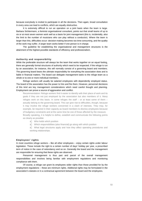because everybody is invited to participate in all the decisions. Then again, broad consultation in every area can lead to conflicts, which are equally obstructive.

It is extremely difficult to run an operation on a joint basis when the team is large. Barbara Sichtermann, a feminist organisational consultant, points out that small teams of up to six or at most seven women work well as a basis for joint management (this is, incidentally, also the limit to the number of musicians who can play without a conductor). Where the team is larger than this, difficulties occur: decision-making becomes too time-consuming, and the quality of the work may suffer. A larger team works better if one person is in charge.

The guideline for establishing the organisational and management structures is the attainment of the highest possible standards of efficiency and professionalism.

## **Authority and responsibility**

While the preferable structure will always be the team that works together on an equal footing, there are generally formal structures of authority which need to be respected. If the refuge is run by an association, for instance, this will normally consist of a governing board and members. The governing board bears the ultimate responsibility for everything the association does and is liable in financial matters. The board can delegate management tasks to the refuge team as a whole or to one or more individual members.

Refuge workers will usually be salaried employees with dependently employed status. The board of the association has the power to hire and fire them. However, personnel decisions of this kind are key management considerations which need careful thought and planning. Employment can prove a source of aggravation and conflict.

Recommendation: Refuge workers find it easier to identify with their place of work and its goals if they are not just employed by the association but also members of it. Many refuges work on this basis. In some refuges the staff – or at least some of them – actually belong to the governing board. This can give rise to difficulties, though, because it may involve the refuge workers concerned in a clash of interests. They may, for example, be required in their capacity as board members to dismiss employees because of budgetary constraints and at the same time be one of those affected by the measure.

Broadly speaking, it is helpful to define, establish and communicate the following points as clearly as possible:

- $#$  Who holds which position
- $#$  Which responsibilities (also financial) go along with which position

 $#$  What legal structures apply and how they affect operating procedures and working relationships.

## **Employees' rights**

In most countries refuge workers – like all other employees – enjoy certain rights under labour legislation. These include the right to a certain number of days' holiday per year, a prescribed term of notice in the case of redundancy and so on. Generally the board and the management are responsible for ensuring that these rights are observed.

Personnel management is thus part and parcel of the overall management responsibilities and involves being familiar with employment regulations and monitoring compliance with them.

Of course, a refuge can grant its employees wider rights than those provided for by the employment regulations – these are minimum rights. Additional rights may be formulated in the association's statutes or in a contractual agreement between the board and the employees.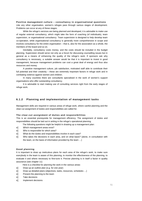#### **Positive management culture – consultancy in organisational questions**

Like any other organisation, women's refuges pass through various stages of development. Problems can occur at any of these stages.

While the refuge's services are being planned and developed, it is advisable to make use of regular external consultancy, which might take the form of coaching (of individuals), team supervision, or organisational consultancy. Team supervision is designed to help develop team co-operation, while organisational consultancy is generally more comprehensive in scope and involves consultancy for the entire organisation – that is, also for the association as a whole, the members of the board and so on.

Inevitably, consultancy costs money, and the costs should be included in the budget planning. Supervision should serve not only as a forum for discussing counselling issues but in general as a means of enhancing the quality of the refuge's work. If sponsors ask why consultancy is necessary, a suitable answer would be that it is important to invest in good management, because management problems can cost a great deal of energy and thus also resources and money.

A positive management culture, job satisfaction, motivated staff able to contribute their full potential and their creativity – these are extremely important factors in refuge work and in combating violence against women and children.

In many countries there are consultants specialised in the work of women's support organisations who offer outstanding consultancy.

It is advisable to start making use of consulting services right from the early stages of refuge work.

## **6.1.2 Planning and implementation of management tasks**

Management skills are required in various areas of refuge work, where careful planning and the clear-cut assignment of duties and responsibilities are called for.

#### **The clear-cut assignment of duties and responsibilities**

This is an essential prerequisite for management efficiency. The assignment of duties and responsibilities should be laid out in writing in the refuge's operational planning.

- The following questions might be helpful in drawing up a management plan:
- $#$  Which management areas exist?
- $#$  Who is responsible for which area?
- $\#$  What do the duties and responsibilities involve in each case?
- $#$  Who takes the decisions in each area, and on what basis? (alone, in consultation with the team, on the basis of information provided by the team …)

#### **Good planning**

It is important to draw up meticulous plans for each area of the refuge's work, to make sure everybody in the team is aware of this planning, to monitor the effectiveness of the planning, to evaluate it and where necessary to fine-tune it. Precise planning is in itself a factor in quality assurance (see chapter 11)

Here is a checklist for planning the work in the various areas:

- $\#$  Draw up an outline plan (e.g. for one year)
- $#$  Draw up detailed plans (objectives, tasks, resources, schedules ...)
- $#$  Present the planning to the team
- $#$  Take decisions
- $#$  Implement decisions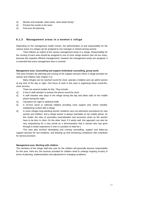- $#$  Monitor and evaluate: what works, what needs fixing?
- $#$  Present the results to the team
- $#$  Fine-tune the planning

# **6.1.3 Management areas in a women's refuge**

Depending on the management model chosen, the administration of and responsibility for the various areas of a refuge can be assigned to one manager or shared among several.

There follows an outline of the various management areas in a refuge. Responsibility for the running of each area should be assigned to one of more refuge workers (but not too many, because this impedes efficient management). However the management areas are assigned, it is essential that every management area is covered.

#### **Management area: Counselling and support (individual counselling, group work)**

This area includes the planning and running of the support services which a refuge provides for women and children (see chapter 5.1).

Many refuges can be reached round the clock, operate a helpline and can admit women at any time of the day or night. One focus of work in this area is organising these round-theclock services.

There are several models for this. They include:

- $#$  A live-in staff member to answer the phone round the clock
- $#$  A staff member who stays in the refuge during the day and takes calls on her mobile phone during the night
- $#$  Volunteers for night or weekend shifts
- $\notin$  A 24-hour (local or national) helpline providing crisis support and, where needed, establishing contact with a refuge
- $\notin$  In some refuges long-standing women residents carry out admission procedures for new women and children, and a refuge worker is always reachable on her mobile phone. (In this model, the risks of secondary traumatisation and excessive strain on the women have to be born in mind. On the other hand, if it works well, this approach can also be very empowering for a new arrival as a demonstration that a woman who has gone through a similar experience is now in a position to help her.)

This area also involves developing and running counselling, support and follow-up support services for non-residents, and drawing up and monitoring compliance with schedules for service provision.

#### **Management area: Working with children**

The members of the refuge staff who care for the children will generally assume responsibility for this area. Here too, the services provided for children need to undergo ongoing scrutiny in terms of planning, implementation and adjustment to changing conditions.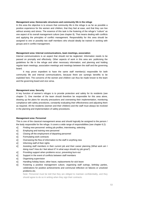#### **Management area: Democratic structures and community life in the refuge**

In this area the objective is to ensure that community life in the refuge is as far as possible a positive experience for the women and children, that they feel at ease, and that they can live without anxiety and stress. The essence of this task is the fostering of the refuge's "culture" as one aspect of its overall management culture (see chapter 8). That means dealing with conflicts and applying the principles of conflict management. Responsibility for this area should be assigned to one or possibly two staff members who should ideally be trained in working with groups and in conflict management.

#### **Management area: Internal communications, team meetings, association**

Internal communications is an aspect that should not be neglected. Information needs to be passed on promptly and effectively. Other aspects of work in this area are: publicising the guidelines for life in the refuge and other necessary information; and planning and holding regular team meetings, association meetings and meetings between the staff and the governing board.

It may prove expedient to have the same staff member(s) responsible for both community life and internal communications, because there are synergic benefits to be exploited here. The concerns of the women and children can thus be made known to the team and the governing board and vice versa.

#### **Management area: Security**

A key function of women's refuges is to provide protection and safety for its residents (see chapter 7). One member of the team should therefore be responsible for this area alone, drawing up the plans for security precautions and overseeing their implementation, monitoring compliance with safety procedures, constantly evaluating their effectiveness and adjusting them as required. All the residents (women and their children) and the staff must always be involved in the planning and implementation of safety procedures.

#### **Management area: Personnel**

This is one of the classical management areas and should logically be assigned to the person / the body responsible for the refuge. It covers a wide range of responsibilities (see chapter 6.2):

- $#$  Finding new personnel: writing job profiles, interviewing, selecting
- $#$  Employing and training new personnel
- $#$  Closing off the employment of departing personnel
- $#$  Formulating work contracts
- $\#$  Overseeing the flow of information to the staff in anything new
- $#$  Informing staff of their rights
- $#$  Assisting staff members in their current job and their career planning (What work am I doing now? How do I feel about it? In what ways should my job grow?)
- $#$  Providing support when problems occur, preventing burn-out
- $#$  Support in the event of conflicts between staff members
- $#$  Organising supervision
- $#$  Handling holiday leave, other leave, replacements for sick leave
- $#$  Fostering a positive management culture, organising staff outings, birthday parties, celebrations for positive achievements and communal reflection on failures or unsolved problems etc.

Note: Personnel must be told that they are obliged to maintain confidentiality, and they should agree to do so in writing when they sign their contracts.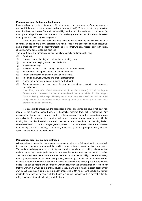#### **Management area: Budget and fundraising**

It goes without saying that this area is of key importance, because a women's refuge can only operate if it has access to adequate funding (see chapter 4.2). This is an extremely sensitive area, involving as it does financial responsibility, and should be assigned to the person(s) running the refuge, if there is such a person. Fundraising is another task that should be taken over by the association's governing board.

If the refuge runs into debt, this may have to be covered by the association. It is important to decide and clearly establish who has access to the association's bank account(s) and is entitled to carry out monetary transactions. Personnel who bear responsibility in this area should have the appropriate qualifications.

The area Budget and fundraising entails the following tasks and responsibilities:

- $#$  Fundraising
- $#$  Current budget planning and calculation of running costs
- $#$  Accurate bookkeeping in the prescribed form
- $#$  Payroll accounting
- $#$  Payment of taxes, social security payments and other deductions
- $#$  Assignment and supervision of outsourced contracts
- $#$  Financial transactions (payment of salaries, bills etc.)
- $#$  Interim and annual accounts and financial statements
- $#$  Report to the governing board, auditing by the board
- $#$  On-going contacts with sponsors, clear-cut agreement on accounting and payment procedures etc.

Note: Many women's refuges entrust some of the above tasks (like bookkeeping) to freelance staff. However, it must be remembered that responsibility for the refuge's financial dealings will always ultimately rest with the members of staff responsible for the refuge's financial affairs and/or with the governing board, and that the greatest care must therefore be taken in this area.

It is essential to ensure that the association's financial dealings are sound, not least with regard to the financial support which it (hopefully) receives from public authorities. Any inaccuracy in the accounts can give rise to problems, especially when the association renews an application for funding. It is therefore advisable to reach clear-cut agreements with the funding body on the financial procedures involved. At the same time, the financing bodies should take into account that refuges generally have no "capital" (indeed, they are not allowed to have any capital resources), so that they have to rely on the prompt handling of their applications and transfer of the money.

#### **Management area: Internal administration**

Administration is one of the more extensive management areas. Refuges tend to have a high turn-over rate, as some women and their children move out and new arrivals take their places. The furniture and equipment are constantly in use and frequently need repairing. It is a daunting undertaking to keep the refuge in shape to the extent that its residents can live there in comfort. This area, then, requires a separate staff member to take responsibility. She should enjoy handling organisational tasks and working closely with a large number of women and children. In most refuges the women residents are asked to contribute to carrying out the household duties. This can be helpful and good for the women. However, the administrator must remember that the women may well be in a critical situation, they may have to handle a great deal on their own behalf, and they must not be put under undue strain. On no account should the women residents be expected to handle all the household duties themselves. It is advisable for the refuge to allocate funds for cleaning staff, for instance.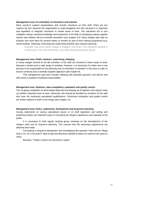#### **Management area: Co-ordination of volunteers and trainees**

Many women's support organisations also include volunteers on their staff. There are two reasons for this: because the organisation is under-budgeted, but also because it is important and expedient to integrate volunteers in certain areas of work. The volunteers are in turn multipliers whose acquired knowledge and experience in the field of combating violence against women and children will be of benefit elsewhere (see chapter 6.2). Many refuges also take on trainees who work there for several weeks or months as part of their training programme (e.g. social studies). Selecting, instructing and supervising trainees also requires planning.

Example: One of the oldest refuges in England, The Haven, has volunteers working in several areas. For more information, go to http://www.havenrefuge.org.uk/.

#### **Management area: Public relations, networking, lobbying**

In many refuges several (if not all) members of the staff are involved in these areas of work, because it entails such a wide range of activities. However, it is necessary for either one or two persons to be responsible for the planning and co-ordination of activities in this area in order to ensure continuity and a carefully targeted approach (see chapter 9).

This management area also includes lobbying with potential sponsors and donors and with those in positions of political responsibility.

#### **Management area: Statistics, data compilation, evaluation and quality control**

The on-going compilation of work-related data and the drawing up of statistics and reports make up another important area of work. Obviously, this should be handled by members of the staff who have the necessary specialised qualifications. Continuous evaluation and quality control are further aspects of work in the refuge (see chapter 11).

#### **Management area: Policy, statements, development and long-term planning**

Issuing statements on various specialised issues or on draft legislation and writing and publishing articles are important ways of conveying the refuge's experience and expertise to the public.

It is necessary to hold regular working group meetings on the development of the refuge's work and its long-term planning. This ensures that the necessary adjustments are detected and made.

Formulating a long-term perspective and investigating the question "How will our refuge look in 10, 15 or 20 years?" help to take the decisions needed to keep it on track for the years to come.

Because: "Today's visions are tomorrow's reality."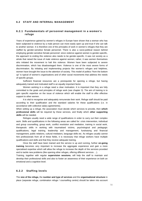## **6.2 STAFF AND INTERNAL MANAGEMENT**

# **6.2.1 Fundamentals of personnel management in a women's refuge**

Years of experience gained by women's refuges in Europe have shown that a woman who has been subjected to violence by a male person can more easily open up and trust if she can talk to another woman. It is therefore one of the principles of work in women's refuges that they are staffed by gender-sensitive female personnel. There is also a socio-political reason behind employing gender-sensitive female personnel: since violence against women is gender-specific, the approach to ending this violence also needs to be gender-specific. It was not society as a whole that raised the issue of male violence against women; rather, it was women themselves who initiated the movement to halt this violence. Women have been subjected to severe discrimination, which has disadvantaged them. Violence is one of the most severe forms of discrimination. By initiating and implementing projects like women's refuges and helplines, women have brought the issue to the attention of society. This model of politics "from the bottom up" is typical of women's organisations and of other social movements that address the needs of specific groups.

Sufficient financial resources are a prerequisite for opening a refuge, but having adequately trained and motivated staff is an equally important factor.

Women working in a refuge need a clear motivation. It is important that they are fully committed to the goals and principles of refuge work (see chapter 3). The aim of training is to gain specific expertise on the issue of violence which will enable the staff to offer effective support to other women.

It is vital to recognise and adequately remunerate their work. Refuge staff should be paid according to their qualification and the standard salaries for these qualifications (i.e. in accordance with collective salary agreements).

When setting up a refuge, the association must decide which services to provide, then **which professional skills** will be required by these services, and finally which **other supporting skills** will be needed.

Refuges usually need a wide range of qualifications in order to carry out their complex work. Skills and qualifications in the following areas are called for: crisis intervention, individual and group counselling, group work, conflict resolution and mediation, training in social work, therapeutic skills in working with traumatised victims, psychological and pedagogic qualifications, legal training, leadership and management, fundraising and financial management, public relations, cultural mediators, language skills etc. As refuges usually cannot hire professionals from all of these fields, it is necessary that refuge workers have multiple qualifications and skills and that they receive adequate training.

Once the staff have been trained and the service is up and running, further **on-going training** becomes very important to increase the aggregate experience and gain a more specialised expertise which will allow the refuge to increase the depth of the services provided and to tackle new problems (like opening other refuges, offering different services …).

Training, together with regular **supervision sessions**, will help the staff to maintain and develop their professional skills and also to foster an awareness of their experience on both an emotional and a cognitive level.

# **6.2.2 Staffing levels**

The **size of the refuge,** the **number and type of services** and the **organisational structure** in place (separate refuge, combination refuge / counselling centre) should be taken into account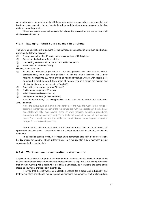when determining the number of staff. Refuges with a separate counselling centre usually have two teams, one managing the services in the refuge and the other team managing the helpline and the counselling services.

There are several essential services that should be provided for the women and their children (see chapter 5).

# **6.2.3 Example - Staff hours needed in a refuge**

The following calculation is a guideline for the staff resources needed in a medium-sized refuge providing the following services:

- $#$  Refuge places for 10 to 15 family units, making a total of 25-35 places
- $#$  Operation of a 24-hour refuge helpline
- $#$  Counselling services and support as outlined in chapter 5.1
- $#$  Public relations and networking

Working hours per week:

- $\#$  At least 200 hours/week (40 hours = 1 full time position, 200 hours = 5 full time or correspondingly more part time positions) to run the refuge including the 24-hour helpline; at least 80 to 100 hours should be handled by refuge workers with special skills to support migrant women (50% or more of women living in a refuge are migrant and ethnic minority women, see chapters 2 and 5.1)
- $#$  Counselling and support (at least 80 hours)
- $\#$  Child care work (at least 60 hours)
- $#$  Administration (at least 40 hours)
- $\ll 1$  Management and PR (at least 40 hours)

A medium-sized refuge providing professional and effective support will thus need about 10 full-time staff.

Note: the above rule of thumb is independent of the way the work in the refuge is assigned. In many cases each of the refuge workers (with the exception of the child care specialists) will take over several areas of work (helpline, admission procedures, counselling, refuge assembly etc.). These tasks will account for part of their working hours. The remainder of their time will be spent on individual counselling and support or on specific tasks (see chapter 6.1).

The above calculation method does **not** include those personnel resources needed for specialised responsibilities – part-time lawyers and legal experts, an accountant, PR experts and so on.

In calculating staffing levels, it is important to remember that staff members will take holiday or sick leave and will attend further training. So a refuge's staff budget must also include substitutes for the regular staff.

## **6.2.4 Workload and remuneration – risk factors**

As pointed out above, it is important that the number of staff matches the workload and that the level of remuneration likewise matches the professional skills required. It is a caring profession that involves working with people who are highly traumatised, so it warrants the same social status as equivalent professions in other fields.

It is vital that the staff workload is closely monitored (as a group and individually) and that various steps are taken to reduce it, such as increasing the number of staff or closing down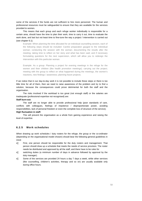some of the services if the funds are not sufficient to hire more personnel. The human and professional resources must be safeguarded to ensure that they are available for the services provided to women.

This means that each group and each refuge worker individually is responsible for a certain area, should have the time to plan their work, time to carry it out, time to evaluate the work done, and last but not least time to fine-tune the way a project / intervention is carried out (see chapter 6.1).

Example: When planning the time allocated for an individual counselling session, each of the following steps should be included: Careful preparation gauged to the indiviidual woman; conducting the session with the woman; documenting the results after the meeting; taking time to reflect on her story and what has been said; and if necessary formulating questions for the next supervision, which will allow you to redesign the intervention with this particular woman.

Example: As a group: Planning a project for evening meetings in the refuge for the women and their children (like health promotion meetings); carrying out the project; meeting with the group to reflect on what happened during the meetings, the women's reactions, new findings / awareness; planning future projects.

If we notice that in our day-to-day work it is not possible to include these steps or there is too little time for all of them, then we need to raise awareness of the problem and try to find a solution, because the consequences could prove detrimental for both the staff and the organisation.

The risks involved if the workload is too great (not enough staff) or the salaries are inadequate (professional expertise not recognised) are:

#### **Staff burn-out:**

The staff are no longer able to provide professional help (poor standards of care, conflicts with colleagues, feelings of impotence / disproportionate power, avoiding responsibilities, lack of personal freedom or even the complete loss of structure of the service); **High fluctuation in staff:** 

This will prevent the organisation as a whole from gaining experience and raising the level of expertise.

# **6.2.5 Work schedules**

When drawing up work schedules / duty rosters for the refuge, the group or the co-ordinator (depending on the organisational model chosen) should bear the following general guidelines in mind:

- $#$  First, one person should be responsible for the duty rosters and management. That person should draw up a schedule that meets the needs of service provision. The roster needs be distributed and approved by all the staff, and there have to be rules for
- $#$  switching duties (a minimum number of days in advance followed by approval by the duty manager).
- $#$  Some of the services are provided 24 hours a day 7 days a week, while other services (like counselling, children's activities, therapy and so on) are usually available only during office hours.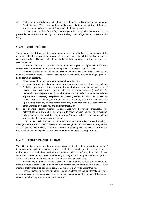$#$  Shifts can be decided on a monthly basis but with the possibility of making changes on a fortnightly basis. When planning the monthly roster, take into account days off for those working on the night shift, and staff for special forthcoming events.

Depending on the size of the refuge and the possible emergencies that can occur, it is preferable that – apart from at night – there are always two refuge workers present in the refuge.

# **6.2.6 Staff Training**

The objective of staff training is to create competence areas in the field of intervention and the prevention of violence against women and children, and familiarity with the practical aspects of work in the refuge. The approach followed is the feminist approach based on empowerment (see chapter 3).

The trainers need to be qualified trainers with several years of experience. Each NGO should choose the trainers on the basis of the specific requirements for their training.

The training includes an initial phase, which should be relatively intensive, consisting of a course of at least 80 hours (10 seminar days or two weeks' work), followed by ongoing training and supervision sessions.

The contents of the training programme can be divided into:

- **a basic module** including *scientific and theoretical aspects* of gender violence (definition, prevalence of the problem, forms of violence against women, cycle of violence, short and long-term impact of violence, perpetrator strategies); *guidelines* for intervention and empowerment (to provide protection and safety, to name the violence experienced, to re-assign responsibilities stressing social responsibilities, to take the victim's side, to believe her, to do more than just respecting her choices, jointly to draw up a plan for her safety, to consider the complexity of the intervention…); *networking* with other agencies on a local, national and international level
- x one or more **specific modules** in accordance with the refuge's *organisation*, the different *services* provided in the refuge (admission, helpline, counselling, prevention, public relations, etc.) and the *target groups* (women, children, adolescents, elderly women, disabled women, migrant women…)

It can be very useful if some or all of the workers spend a period of on-the-job-training in a refuge that is already up and running. When new refuge workers are taken on, they should also receive this initial training, in the form of one to one training sessions with an experienced refuge worker and working side by side with a number of experienced refuge workers.

## **6.2.7 Further training of staff**

The initial training needs to be followed up by ongoing training. In order to maintain the quality of the services provided, the refuge needs to run regular further training sessions on more specific topics such as sexual abuse and violence against children, trafficking in women, female circumcision, legal amendments, laws relating to migrant and refugee women, support for women and children with disabilities, post-traumatic stress syndrome, etc.

Another way to enhance the staff's skills is for them to attend conferences, seminars and other events on gender violence, combined with reading specific material on the issue. Every member of staff should be free to devote at least two weeks a year to further training.

Finally, exchanging training with other refuges on a local, national or international level is a valuable way to improve services and prevention measures. Another aspect of the training consists of enhancing awareness of gender violence.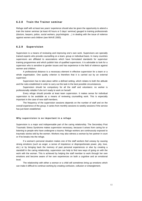## **6.2.8 Train the Trainer seminar**

Refuge staff with at least two years' experience should also be given the opportunity to attend a train the trainer seminar (at least 40 hours or 5 days' seminar) gauged to training professionals (doctors, lawyers, police, social workers, psychologists ...) in dealing with the issue of violence against women and children (see WAVE 2000).

# **6.2.9 Supervision**

Supervision is a means of reviewing and improving one's own work. Supervisors are specially trained experts who provide counselling on a team, group or individual basis. In many countries supervisors are affiliated to associations which have formulated standards for supervisor training programmes and which publish lists of qualified supervisors. It is advisable to look for a supervisor who is sensitive to gender issues and has experience in the field of violence against women and children.

A professional distance is a necessary element in effective supervision for a team or a whole organisation. One quality criterion is therefore that it is carried out by an external supervisor.

Supervision has to take place within a defined setting, which relates to both the attitude and the rules established in order to carry out the task in the best possible circumstances.

Supervision should be compulsory for all the staff and volunteers: no worker is professionally reliable if she isn't ready to work on herself.

Every refuge should provide at least team supervision. It makes sense for individual supervision to be available as a means of reviewing counselling work. This is especially important in the case of new staff members.

The frequency of the supervision sessions depends on the number of staff and on the overall experience of the group. It varies from monthly sessions to weekly sessions if the service has just been established.

### **Why supervision is so important in a refuge**

Supervision is a major and indispensable part of the caring relationship. The Secondary Post Traumatic Stress Syndrome makes supervision necessary, because it arises from caring for or listening to people who have undergone a trauma. Refuge workers are continuously exposed to traumatic stories told by the women. Workers may also witness a woman by her partner in court or if he breaks into the refuge.

If a woman's personal situation makes one of the staff workers feel uneasy by causing strong emotions (such as anger, a sense of impotence or disproportionate power, pity, love, etc.) or by bringing back the memory of past personal experiences or else by creating a standstill in the caring relationship, supervision can help to find new ways of going on with the work with the woman. This is achieved by helping the staff member to work through her own emotions and become aware of her own experiences on both a cognitive and an emotional level.

The relationship with either a woman or a child will sometimes bring up emotions which can make it difficult to continue working by creating confusion, collusion or entanglement.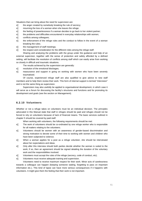Situations that can bring about the need for supervision are:

- $\#$  the anger created by somebody breaking the rule of secrecy;
- $\#$  mourning the loss of a woman when she leaves the refuge;
- $\#$  the feeling of powerlessness if a woman decides to go back to her violent partner;
- $#$  the problems and difficulties encountered in everyday relationships with women;
- $#$  conflicts among colleagues;
- $#$  the enforcement of the refuge rules and the conduct to follow in the event of a woman breaking the rules;
- $#$  the management of staff meetings;
- $#$  the respect and consideration for the different roles among the refuge staff.

Sharing and analysing the problems with the group under the guidance and help of an external supervisor, together with the sense of protection and safety afforded by a defined setting, will facilitate the resolution of conflicts among staff which can easily arise from working so closely in difficult and traumatic situations.

The results achieved by the supervision are generally:

- $#$  resolution of the emotional blockages;
- $#$  reassurance and support in going on working with women who have been severely traumatised.

Of course, experienced refuge staff are also qualified to give advice to new staff members and to help them review their work. This form of internal support is termed "intervision" and is not the same thing as supervision.

Supervision may also usefully be applied to organisational development, in which case it will serve as a forum for discussing the facility's structures and functions and for promoting its development and goals (see the section on Management).

# **6.2.10 Volunteers**

Whether or not a refuge takes on volunteers must be an individual decision. The principles advocated in this Manual state that staff in refuges should be paid and refuges should not be forced to rely on volunteers because of lack of financial means. The basic services outlined in chapter 5 should be covered by paid staff.

When working with volunteers, the following requirements should be met:

- $#$  The work of volunteers should be co-ordinated by one refuge worker who is responsible for all matters relating to the volunteers.
- $#$  Volunteers should be women with an awareness of gender-based discrimination and strong motivation to devote some of their time to working with women and children who have been subjected to violence.
- $#$  When a woman applies for a post as a refuge volunteer, she should be interviewed about her expectations and ideas.
- $#$  Only after this interview should both parties decide whether the woman is suited to the work; if so, then an agreement should be signed detailing the duration of the voluntary work and the responsibilities involved.
- $#$  Volunteers must accept the rules of the refuge (secrecy, code of conduct, etc).
- $\#$  Volunteers must receive adequate training and supervision.

Volunteers need to receive maximum respect for their work. Minor acts of carelessness towards a colleague can happen (keeping someone waiting, forgetting to pass on important information etc.). This kind of lapse can have more serious consequences if it happens with volunteers. It might give them the feeling that their work is not important.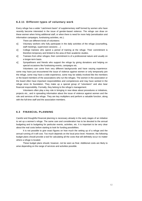## **6.2.11 Different types of voluntary work**

Every refuge has a wider "catchment basin" of supplementary staff formed by women who have recently become interested in the issue of gender-based violence. The refuge can draw on these women when hiring additional staff, or when there is need for more help (sensitisation and information campaigns, fundraising activities, etc.).

There are different kinds of volunteers:

- $\notin$  Voluntary workers who fully participate in the daily activities of the refuge (counselling, staff meetings, supervision sessions …)
- $#$  College trainees who spend a period of training at the refuge. Their commitment is therefore temporary and limited to the area of their academic studies.
- $#$  Trainees from other refuges; their commitment is of a professional nature and usually on a longer-term basis.
- $#$  Sympathisers and friends who support the refuge by giving donations and helping on special occasions like fundraising events, campaigns etc.

Volunteers can come from very different backgrounds and have varying experience: some may have just encountered the issue of violence against women or only temporarily join the refuge, some may have a wide experience, some may be widely involved like the members or the board members of the associations who run the refuges. The women in the association or the board often have important responsibilities and competences and may have worked in the refuge since its foundation. They make up a special group of "volunteers" and also bear financial responsibility. Formally, they belong to the refuge's management.

Volunteers often play a key role in bringing in new ideas about procedures or initiatives, projects etc., and in spreading information about the issue of violence against women and the role and services of the refuge. They are key multipliers and perform a valuable function, along with the full-time staff and the association members.

# **6.3 FINANCIAL PLANNING**

Careful and thoughtful financial planning is necessary already in the early stages of an initiative to set up a women's refuge. The same care and consideration has to be devoted to the annual budgeting and to budgeting for particular events, activities, etc. It is important to be very clear about the real costs before starting to look for funding possibilities.

It is not possible to give exact figures on how much the setting up of a refuge and the annual running of it will cost. Too much depends on the local price level. However, the following budget plans should provide a tool for calculating all the costs that will definitely occur no matter where a refuge is located.

These budget plans should, however, not be seen as final. Additional costs are likely to arise depending on the range of services and activities possible.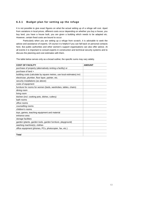# **6.3.1 Budget plan for setting up the refuge**

It is not possible to give exact figures on what the actual setting up of a refuge will cost. Apart from variations in local prices, different costs occur depending on whether you buy a house, you buy land, you have a house built, you are given a building which needs to be adapted etc. However, certain fixed costs are bound to occur.

Particularly when you are setting up a refuge from scratch, it is advisable to seek the advice and assistance of experts. Of course it is helpful if you can fall back on personal contacts here. But public authorities and other women's support organisations can also offer advice. At all events it is important to consult experts in construction and technical security systems and to discuss the planning and cost estimates with them.

The table below serves only as a broad outline; the specific sums may vary widely.

| <b>COST OF FACILITY</b>                                                | <b>AMOUNT</b> |
|------------------------------------------------------------------------|---------------|
| purchase of property (alternatively renting a facility) or             |               |
| purchase of land +                                                     |               |
| building costs (calculate by square metres, use local estimates) incl. |               |
| electrician, plumber, floor layer, painter, etc.                       |               |
| security installations (as above)                                      |               |
| costs of equipment                                                     |               |
| furniture for rooms for women (beds, wardrobes, tables, chairs)        |               |
| dining room                                                            |               |
| living room                                                            |               |
| kitchen (incl. cooking pots, dishes, cutlery)                          |               |
| bath rooms                                                             |               |
| office rooms                                                           |               |
| counselling rooms                                                      |               |
| children's rooms                                                       |               |
| toys, games, teaching equipment and material                           |               |
| entrance area                                                          |               |
| storage facilities                                                     |               |
| garden (plants, garden tools, garden furniture, playground)            |               |
| washing machine(s), clothes                                            |               |
| office equipment (phones, PCs, photocopier, fax, etc.)                 |               |
|                                                                        |               |
| Total                                                                  |               |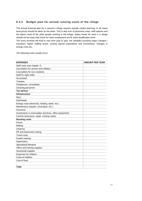# **6.3.2 Budget plan for annual running costs of the refuge**

The annual financial plan for a women's refuge requires equally careful planning. In all cases local prices should be taken as the basis. This is also true of personnel costs: staff salaries and the labour costs of the other people working in the refuge. Salary levels for work in a refuge should not be lower than those for other employment at the same qualification level. The sums involved will tend to vary from year to year, the variables including salary changes /

increases, higher staffing levels, varying special expenditure and investments, changes in energy costs etc.

The following costs usually occur:

| <b>EXPENSES</b>                                         | <b>AMOUNT PER YEAR</b> |
|---------------------------------------------------------|------------------------|
| Staff costs (see chapter 7)                             |                        |
| Counsellors for women and children                      |                        |
| Counsellors for non-residents                           |                        |
| Staff for night shifts                                  |                        |
| Accountant                                              |                        |
| <b>Trainees</b>                                         |                        |
| Freelancers, consultants                                |                        |
| Cleaning personnel                                      |                        |
| <b>Tax advisor</b>                                      |                        |
| <b>Infrastructure</b>                                   |                        |
| Rent                                                    |                        |
| Overheads                                               |                        |
| Energy costs (electricity, heating, water, etc.)        |                        |
| Maintenance (repairs, renovation, etc.)                 |                        |
| Insurance                                               |                        |
| Investments in immovables (furniture, office equipment) |                        |
| Car/van (insurance, repair, running costs)              |                        |
| <b>Running costs</b>                                    |                        |
| Phone                                                   |                        |
| Mailing                                                 |                        |
| Cleaning                                                |                        |
| PR and awareness raising                                |                        |
| <b>Travel costs</b>                                     |                        |
| Further training                                        |                        |
| Supervision                                             |                        |
| Specialised literature                                  |                        |
| Office and training supplies                            |                        |
| Household supplies                                      |                        |
| Expenses for children                                   |                        |
| Costs of children                                       |                        |
| Cost of food                                            |                        |
|                                                         |                        |
| Total                                                   |                        |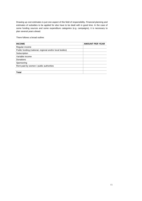Drawing up cost estimates is just one aspect of this field of responsibility. Financial planning and estimates of subsidies to be applied for also have to be dealt with in good time. In the case of some funding sources and some expenditure categories (e.g. campaigns), it is necessary to plan several years ahead.

There follows a broad outline:

| <b>INCOME</b>                                           | <b>AMOUNT PER YEAR</b> |
|---------------------------------------------------------|------------------------|
| Regular income                                          |                        |
| Public funding (national, regional and/or local bodies) |                        |
| Subscription                                            |                        |
| Variable income                                         |                        |
| Donations                                               |                        |
| Sponsoring                                              |                        |
| Rent paid by women / public authorities                 |                        |
|                                                         |                        |
| <b>Total</b>                                            |                        |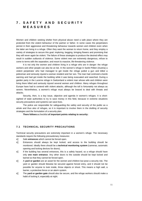# **7. SAFETY AND SECURITY MEASURES**

Women and children seeking shelter from physical abuse need a safe place where they are protected from the violent behaviour of the partner or father. In some cases the perpetrators persist in their aggressive and threatening behaviour towards women and children even when the latter are living in a refuge. Often they want the woman to return home, and they employ a variety of strategies to secure this goal: imploring, begging, bringing flowers and promising that they will never again be violent. The failure of these strategies to produce the desired effect may result in sudden outbursts of violence. Some violent men are extremely dangerous, refuse to come to terms with the separation, and resort to massive, life-threatening violence.

It is not only the women and children living in a refuge who are in danger: the refuge workers and other people can also be at risk. In the women's refuge in Sankt Pölten (Austria) a violent perpetrator who had managed to get inside the refuge pulled a gun and killed a policeman and seriously injured a woman resident and her son. The man had contrived a bomb warning and had got inside the building while it was being evacuated and searched. During a garden party in the Lucerne refuge in Switzerland a violent man whose wife and children were living there killed and seriously injured several women and children. Many refuges throughout Europe have had to contend with violent attacks, although the toll is fortunately not always as severe. Nevertheless, a women's refuge must always be braced to deal with threats and attacks.

Security, then, is a key issue, objective and agenda in women's refuges. It is shortsighted of state authorities to try to save money in this field, because in extreme situations security precautions and systems can save lives.

The police are responsible for safeguarding the safety and security of the public as a whole and thus also of refuges, so it is important to involve them in the drafting of security strategies and the formulation of a security plan.

 **There follows a** checklist **of important points relating to security:**

# **7.1 TECHNICAL SECURITY PRECAUTIONS**

Technical security precautions are extremely important in a women's refuge. The necessary standards require the following precautionary measures:

- x Safe **entrances** which cannot be forced open.
- $#$  Entrances should always be kept locked, and access to the building should be monitored. Ideally there should be a **technical monitoring system** (cameras, automatic opening and locking devices for doors).
- $\notin$  If the building has several entrances, this is a safety hazard, so a refuge should have only **one main entrance**. Any other doors to the outside should be kept locked and barred so that they cannot be forced open.
- x A **yard or garden** are an asset for the women and children but pose a security risk. The yard or garden should likewise be secured against forced entry, and it should not be possible for anyone to look inside, throw objects or shoot. This means a high wall, a barrier, a protective fence or an alarm system.
- x The **yard or garden gate** should also be secure, and the refuge workers should make a habit of locking it, especially at night.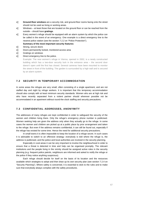- x **Ground-floor windows** are a security risk, and ground-floor rooms facing onto the street should not be used as living or working areas.
- $#$  Windows at least those that are located on the ground floor or can be reached from the outside – should have **gratings**.
- $#$  Every women's refuge should be equipped with an alarm system by which the police can be called in the event of an emergency. One example is a direct emergency line to the nearest police station (see the section 7.2.2 on "Police Protection").

**Summary of the most important security features:**

- $#$  Strong, secure doors
- $#$  Doors permanently locked, monitored access area
- $#$  Gratings on windows
- $#$  Direct emergency line to the police.

Example: The new women's refuge in Vienna, opened in 2002, is a newly constructed building which has a two-door security lock in the entrance area – the second door doesn't open until the first has closed. Several cameras have been mounted to monitor the street in front of the building. The garden is surrounded by a high wall and is secured by an alarm system.

## **7.2 SECURITY IN TEMPORARY ACCOMMODATION**

In some areas the refuges are very small, often consisting of a single apartment, and are not staffed day and night by refuge workers. It is important that this temporary accommodation should also comply with at least minimum security standards. Women who are at high risk and who have recently separated from a violent partner should wherever possible not be accommodated in an apartment without round-the-clock staffing and security precautions.

# **7.3 CONFIDENTIAL ADDRESSES, ANONYMITY**

The addresses of many refuges are kept confidential in order to safeguard the security of the women and children living there. Only the refuge's emergency phone number is publicised. Women seeking help are given the address only when they actually go to the refuge. In some cases the women and children are picked up at a public place by prior arrangement and taken to the refuge. But even if the address remains confidential, it can still be found out, especially if the refuge has existed for some time. Hence the need for additional security precautions.

In small towns it is often impossible to keep the location of a refuge secret. In such cases it is advisable to switch to an offensive strategy: everybody is told where the refuge is, the address is publicised, and the police and local authorities are involved in the security planning.

Especially in rural areas it can be very important to involve the neighbourhood in order to ensure that a threat is detected in time and help can be organised promptly. The relevant institutions and the people living in the vicinity should be assigned active roles in the security planning (e.g. frequent police patrols, neighbours are informed and asked to notify the refuge or the police if they notice anything suspicious).

Each refuge should decide for itself on the basis of its location and the resources available which strategies to adopt and then draw up its own security plan (see section 7.2.4 on "Security Planning"). Where safety is concerned, it is essential to stick to the rules and to make sure that everybody always complies with the safety procedures.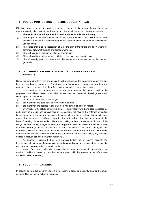# **7.4 POLICE PROTECTION – POLICE SECURITY PLAN**

Effective co-operation with the police on security issues is indispensable. Before the refuge opens, a security plan needs to be drawn up, and this should be subject to constant revision.

#### **The necessary security precautions and features include the following:**

- $#$  The refuge should have a technical security system by which the police can be called directly in the case of a serious threat (button-activated alarm line to the police station as used in banks)
- $#$  The police should be in possession of a ground plan of the refuge and know where the entrances are, what facilities are located where etc.
- $#$  There should be a contingency plan for emergencies
- $#$  There should be regular meetings with the police to discuss security issues
- $#$  Like all security plans, this one should be evaluated and updated at regular intervals (annually).

# **7.5 INDIVIDUAL SECURITY PLANS AND ASSESSMENT OF THREATS**

Some women and children are at particularly high risk because the perpetrator concerned has been assessed as very dangerous. Perpetrators may threaten and endanger not only their own partners but also other people in the refuge, as the examples quoted above show.

It is therefore very important that the dangerousness of the threat posed by the perpetrator should be assessed on an individual basis with each woman in the refuge and that a security plan be drawn up for:

- $\#$  the duration of her stay in the refuge
- $\#$  the event that she goes back to living with her partner
- $#$  the event that she decides to separate from her partner and live by herself.

Everybody in the refuge should be aware of perpetrators who have been assessed as particularly dangerous, and special security precautions will have to be enforced at certain times. One extremely important measure is to make it clear to the perpetrator that definite limits apply – that, for example, it will not be tolerated if he waits in front of or close to the refuge in the hope of meeting his partner and/or children and talking to them. Conversations in front of the refuge can be extremely dangerous and are a frequent occasion for violence. A woman staying in a Viennese refuge, for instance, went to the front door to talk to her partner and try to "calm him down", with the result that she was severely injured. The man wanted her to return home and, when she refused, pulled out a knife and stabbed her. By the same token, any meetings outside the refuge can put the woman at high risk.

As Chapter 2 explained, there is a particularly high risk of severe, possibly lifethreatening violence during the process of separation and divorce, and special attention must be paid to security considerations during these times.

Many refuges use a checklist in assessing the dangerousness of a perpetrator and another checklist to draw up individual security plans with the women in the refuge (see Appendix "Safety Planning").

# **7.6 SECURITY PLANNING**

In addition to individual security plans, it is necessary to draw up a security plan for the refuge as such. This serves the following purposes: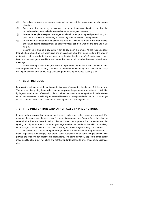- $#$  To define preventive measures designed to rule out the occurrence of dangerous situations
- $#$  To ensure that everybody knows what to do in dangerous situations, so that the procedures don't have to be improvised when an emergency does occur
- $#$  To enable people to respond to dangerous situations as promptly and professionally as possible with a view to preventing or containing violence and its consequences
- $#$  In the wake of dangerous situations and acts of violence, to handle the after-effects, shock and trauma professionally so that everybody can deal with the incident and learn from it.

Security must also be a key issue in day-to-day life in the refuge. All the residents (and their children) should be told what risks are involved and what they need to do in the way of maintaining safety standards (for instance, never leaving the door open). Security issues must feature in the rules governing life in the refuge, but they should also be discussed at residents' meetings.

Where security is concerned, discipline is of paramount importance. Security precautions and the provisions of the security plan must be observed by everybody. It is necessary to carry out regular security drills and to keep evaluating and revising the refuge security plan.

# **7.7 SELF-DEFENCE**

Learning the skills of self-defence is an effective way of countering the danger of violent attack. The purpose of acquiring these skills is not to overpower the perpetrator but rather to outwit him by ingenuity and resourcefulness in order to defuse the situation or escape from it. Self-defence techniques developed specifically for women like WenDo have proved effective, and both refuge workers and residents should have the opportunity to attend training courses.

# **7.8 FIRE PREVENTION AND OTHER SAFETY PRECAUTIONS**

It goes without saying that refuges must comply with other safety standards as well. For example, they must take the necessary fire prevention precautions. Some refuges have had to contend with fires and have found out the hard way how important fire prevention and fire fighting techniques can be. In most refuges large numbers of residents live within a relatively small area, which increases the risk of fire breaking out and of a high casualty rate if it does.

Most countries enforce stringent fire regulations. It is essential that refuges are aware of these regulations and comply with them. State authorities which fund refuges should also provide the financing for effective fire precautions. The same obviously applies to other safety measures like child-proof wall plugs and safety standards relating to toys, household appliances etc.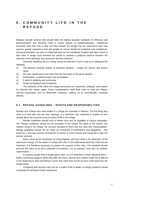# **8. COMMUNITY LIFE IN THE REFUGE**

Refuges provide services that should meet the highest possible standards of efficiency and professionalism and therefore need a certain degree of institutionalisation. Institutional structures have their role to play, but they harbour the danger that the institution's rules may assume greater importance than the people on whose behalf the institution was established. Structural principles can loom so large that they rob the individuals' freedom and take control of their lives. A refuge must therefore be careful to maintain a judicious balance between the interests of the individual, the community and the institution.

Generally speaking, life in a refuge should be planned in such a way as to safeguard the following:

- $\epsilon$  The greatest possible degree of individual freedom respect for privacy and human rights
- $#$  No more requirements and rules than are necessary in the given situation
- $#$  Participation, co-determination and consultation
- $\#$  A spirit of solidarity and community
- $#$  Scope for feedback and complaints.

The hallmarks of life within the refuge community are: autonomy, solidarity, and respect for diversity and human rights. These considerations leave their mark on both the refuge's internal organisation and its discernible character, making up its unmistakable corporate identity.

# **8.1 REFUGE GUIDELINES – RIGHTS AND RESPONSIBILITIES**

Women and children who seek shelter in a refuge are invariably in distress. The first thing they need is to feel safe and get their bearings. It is therefore very important to explain to new arrivals about the structures and principles of life in the refuge.

Refuge Guidelines should exist in written form and be available in various languages. The Refuge Guidelines should list the principles of the refuge, the rights of the women and children living in the refuge, the services provided to them and the rules and responsibilities. Refuge guidelines should not be made up exclusively of prohibitions and obligations – this would be a one-way process reminiscent of homes or youth hostels and would fail to take the women seriously.

Rules serve as the foundation for living together and thus need to be observed. At the same time, though, it is far easier to comply with rules if one understands why they exist and are important. It is therefore necessary to explain the purpose of the rules. The residents should perceive the rules as an aid to peaceful co-existence, not as coercion, even less as arbitrary regimentation.

In practice people tend to forget about rules, so it is important to keep repeating them – before something happens rather than after the event. Women and children might find it difficult in the beginning to bear everything in mind; they need time to find out and understand how the refuge works.

Complying with security rules can be a matter of life or death, so refuge residents should constantly be reminded of their importance.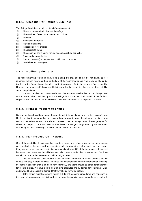# **8.1.1. Checklist for Refuge Guidelines**

The Refuge Guidelines should contain information about:

- $\lll$  The structures and principles of the refuge
- $#$  The services offered to the women and children
- $#$  The staff
- $#$  Security in the refuge
- $#$  Visiting regulations
- $#$  Responsibility for children
- $#$  The residents' rights
- $\#$  The scope for participation (house assembly, refuge council ...)
- $#$  Rules and responsibilities
- $\#$  Contact person(s) in the event of conflicts or complaints
- $#$  Guidelines for moving out

## **8.1.2. Modifying the rules**

The rules governing refuge life should be binding, but they should not be immutable, so it is important to keep reviewing them in the light of their appropriateness. The residents should be involved in the formulation of the rules and their approval – for instance, at a refuge assembly. However, the refuge staff should establish those rules that absolutely have to be observed (like security regulations).

It should be clear and understandable to the residents which rules can be changed and which cannot. The principles by which a refuge is run are part and parcel of the facility's corporate identity and cannot be modified at will. This too needs to be explained carefully.

## **8.1.3. Right to freedom of choice**

Special mention should be made of the right to self-determination in terms of the resident's own life. In practice this means that the resident has the right to leave the refuge at any time or to return to her violent partner if she wishes. However, she can always turn to the refuge again for shelter and support. In many cases women leave the refuge strengthened by the resources which they will need in finding a way out of their violent relationship.

# **8.1.4. Fair Procedures – Hearing**

One of the most difficult decisions that have to be taken in a refuge is whether or not a woman who has broken the rules and agreements should be prematurely dismissed from the refuge. Many women have nowhere else to live, which makes it very difficult for the refuge staff to expel her – and then there are her children, who also have to suffer the consequences. But if no decision is taken, other women and children might suffer.

One fundamental consideration should be which behaviour or which offences are so serious that they warrant dismissal. Because the consequences can be extremely far-reaching, this form of sanction should be used very sparingly, and there should be other consequences for breaking rules. We have also to bear in mind that rules are guidelines for communal living, and it would be unrealistic to demand that they should never be broken.

Often refuge guidelines define norms but do not prescribe procedures and sanctions in the event of non-compliance. It is therefore important to establish formal procedures to deal with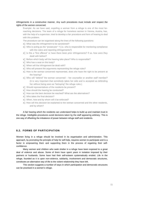## infringements in a constructive manner. Any such procedures must include and respect the rights of the women concerned.

Example: As we have said, expelling a woman from a refuge is one of the most farreaching decisions. The team of a refuge for homeless women in Vienna, Austria, has, with the help of a supervisor, tried to develop a fair procedure and form of hearing to deal with this problem.

- The procedure can be organised along the lines of the following questions:
- $#$  What was the infringement to be sanctioned?
- $#$  Who is acting as the "prosecutor" ? (i.e. who is responsible for monitoring compliance with the rulers and reporting infringements?)
- $#$  Is this a "first offence" or have there been prior infringements? If so, how were they dealt with before?
- $#$  Before which body will the hearing take place? Who is responsible?
- $#$  Who has a seat on this body?
- $#$  When will the infringement be dealt with?
- $#$  Who will present the arguments representing the refuge rules?
- $#$  How is the woman concerned represented, does she have the right to be present at the hearing?
- $#$  Who will "defend" the woman concerned her counsellor or another staff member? (It is very important that somebody takes her side and is accepted as defending her without being seen as "betraying" the refuge rules.)
- $#$  Should representatives of the residents be present?
- $#$  How should the hearing be conducted?
- $#$  How can the best decision be reached? What are the alternatives?
- $#$  Who takes the final decision?
- $#$  When, how and by whom will it be enforced?
- $#$  How will this decision be explained to the woman concerned and the other residents, and by whom?

A fair hearing which the residents can understand helps to build up and maintain trust in the refuge. Intelligible procedures avoid decisions taken by the staff appearing arbitrary. This is one way of offsetting the imbalance of power between refuge staff and residents.

# **8.2. FORMS OF PARTICIPATION**

Women living in a refuge should be involved in its organisation and administration. This approach, by promoting the principle of help for self-help, requires women to participate and is a factor in empowering them and supporting them in the process of regaining their selfconfidence.

Many women and children who seek shelter in a refuge have been exposed to a great deal of violence and abuse. Some of them have spent years in isolation imposed by their partners or husbands. Some have had their self-esteem systematically eroded. Life in the refuge, founded as it is upon non-violence, solidarity, involvement and democratic structures, constitutes an alternative way of life to the violent relationship they have left.

This section suggests a number of ways in which participation and democratic structures can be practised in a women's refuge.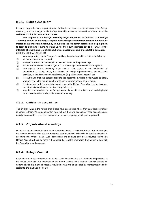# **8.2.1. Refuge Assembly**

In many refuges the most important forum for involvement and co-determination is the Refuge Assembly. It is customary to hold a Refuge Assembly at least once a week as a forum for all the residents to voice their concerns and ideas.

**The purpose of the Refuge Assembly might be defined as follows: "The Refuge Assembly should be an integral aspect of the refuge's democratic practice. It should be treated as an important opportunity to build up the residents' social skills, helping them to learn to adjust to others, to stand up for their own interests but to be aware of the interests of others, and to distinguish between acceptable and unacceptable demands.** (BMFSFJ 2000, Vol. 191.2, 31)

When organising regular Refuge Assemblies, it can be helpful to consider the following:

- $#$  All the residents should attend.
- $\#$  An agenda should be drawn up in advance to structure the proceedings.
- $#$  All the women should have the right and be encouraged to add items to the agenda.
- $#$  The agenda of the Assembly might include such issues as the introduction or amendment of refuge rules, the election of refuge representatives, planning joint activities, or the discussion of specific issues (e.g. with external experts) etc.
- $#$  It is advisable that two persons facilitate the assembly; a viable model would be that a woman living in the refuge together with one refuge worker act as facilitators.
- $#$  It is important to define what rights and powers the Refuge Assembly has: for instance, the introduction and amendment of refuge rules etc.
- $#$  Any decisions reached by the Refuge Assembly should be written down and displayed on a notice board or made public in some other way.

## **8.2.2. Children's assemblies**

The children living in the refuge should also have assemblies where they can discuss matters important to them. Young people often want to have their own assembly. These assemblies are usually facilitated by a child care worker or, in the case of young people, self-organised.

## **8.2.3. Organisational meetings**

Numerous organisational matters have to be dealt with in a women's refuge. In many refuges the women play an active role in running the joint household. This calls for detailed planning in allocating the various tasks. Such discussions are perhaps best not conducted during the Refuge Assembly, because there is the danger that too little time would then remain to deal with the Assembly agenda as such.

## **8.2.4. Refuge Council**

It is important for the residents to be able to voice their concerns and wishes in the presence of the refuge staff and the members of the board. Setting up a Refuge Council creates an opportunity for this. It should meet at regular intervals and be attended by representatives of the residents, the staff and the board.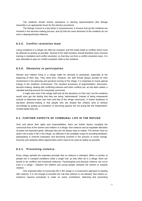The residents should receive assistance in electing representatives (the Refuge Assembly is an appropriate forum for the election procedure).

The Refuge Council is a key factor in empowerment. It ensures that (a) the residents are involved in the decision-making process, and (b) that the more dominant of the residents do not exert a disproportionate influence.

# **8.2.5. Conflict resolution team**

Living conditions in a refuge can often be cramped, and this easily leads to conflicts which must be defused as quickly as possible. Several of the staff members should therefore have received training in mediation and conflict resolution, so that they can form a conflict resolution team. It is also advisable to pass on conflict resolution skills to the residents.

## **8.2.6. Obstacles to participation**

Women and children living in a refuge might be reluctant to participate, especially at the beginning of their stay. They need time. However, the staff should always provide for their involvement in the planning and practical running of the refuge. It is important to invest special energy in the residents' involvement. The resultant processes of argumentation, discussion, decision-making, dealing with conflicting interests and other conflicts are, as has been stated, a valuable learning process for everybody concerned.

It might save time if the refuge staff took all the decisions on their own, but the residents would soon get the feeling that they are being "administered" instead of being empowered actively to determine their own lives and that of the refuge community. A further drawback of top-down decision-making is that people who are treated like children tend to behave accordingly by putting up resistance or becoming passive but not acting like the independentminded adults they are.

## **8.3. FURTHER ASPECTS OF COMMUNAL LIFE IN THE REFUGE**

Over and above their rights and responsibilities, there are further factors moulding the communal lives of the women and children in a refuge. Non-violence and an equitable allocation of power are important goals, although they are not always easy to realise. The women have an active role to play in life in the refuge, as reflected in the available scope for providing feedback, participating in external evaluation and becoming involved in the process of social change. Diversity and solidarity afford opportunities which need to be used as widely as possible.

#### **8.3.1. Preventing violence**

Every refuge upholds the important principle that no violence is tolerated. When a number of people live in cramped conditions under a single roof, as they often do in a refuge, there are bound to be conflicts and emotional outbursts. Psychological and physical violence can occur even in a refuge – between the children and young people, between the women or towards children.

One important pillar of community life in the refuge is a constructive approach to dealing with violence. It is not enough to proclaim the rule that violence is not allowed. Non-violent coexistence requires everybody to make an active contribution, detecting and preventing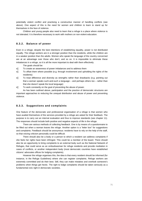potentially violent conflict and practising a constructive manner of handling conflicts (see above). One aspect of this is the need for women and children to learn to stand up for themselves in the face of violence.

Children and young people also need to learn that a refuge is a place where violence is not tolerated. It is therefore necessary to work with mothers on non-violent education.

## **8.3.2. Balance of power**

Even in a refuge, despite the best intentions of establishing equality, power is not distributed equally. The refuge workers are in a stronger position than the residents, while the children are in a weaker position than the adults. Women who speak the language of the country concerned are at an advantage over those who don't, and so on. It is impossible to eliminate these imbalances in a refuge, so it is all the more important to deal with them effectively.

The goals should be:

- $#$  To create an awareness of power imbalances and to address them
- $#$  To offset them where possible (e.g. through involvement and upholding the rights of the residents)
- $#$  To treat difference and diversity as strengths rather than drawbacks (e.g. pointing out that a woman speaks such-and-such a language – and perhaps others too – rather than that she doesn't speak the local language)
- $\epsilon$  To work constantly on the goal of preventing the abuse of power.

As has been outlined above, participation and the practice of democratic structures are important approaches to reducing the unequal distribution and abuse of power and preventing violence.

## **8.3.3. Suggestions and complaints**

One feature of the democratic and professional organisation of a refuge is that women who have availed themselves of the services provided by a refuge are asked for their feedback. The purpose is to carry out an internal evaluation and thus to improve standards (see chapter 11). The responses should include both positive and negative aspects of life in the refuge.

There are various methods of collecting feedback. One is by means of a questionnaire to be filled out when a woman leaves the refuge. Another option is a "letter box" for suggestions and complaints. Feedback should be anonymous: residents have to rely on the help of the staff, so that voicing criticism personally could be difficult.

There should also be a body or a person to which a resident can address complaints if she feels her rights have been infringed. This could be a member of the board. There should also be an opportunity to bring complaints to an external body such as the National Network of Refuges, that could serve as an ombudswoman for refuge residents and provide mediation in cases of conflicts, or another independent body (most democratic countries have established citizens' advocates offices for lodging complaints).

However the refuge organises this, the idea is that every resident should be informed (for instance, in the Refuge Guidelines) where she can register complaints. Refuge workers are extremely committed and do their best. Still, they can make mistakes and overlook someone's problems when things get hectic. The right to lodge complaints should be taken seriously as a fundamental civic right in democratic societies.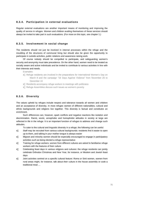## **8.3.4. Participation in external evaluations**

Regular external evaluations are another important means of monitoring and improving the quality of service in refuges. Women and children availing themselves of these services should always be invited to take part in such evaluations. (For more on this topic, see chapter 1.)

## **8.3.5. Involvement in social change**

The residents should not just be involved in internal processes within the refuge and the moulding of the structures of communal living but should also be given the opportunity to participate in outside activities, public relations and awareness raising work.

Of course nobody should be compelled to participate, and safeguarding women's security and anonymity must take precedence. On the other hand, women need to be treated as socially aware and active individuals and be invited to contribute to various activities in line with their interests and needs.

Examples:

- $#$  Refuge residents are involved in the preparations for International Women's Day on March 8 and the campaign "16 Days Against Violence" from November 25 to December 10
- $#$  Residents accompany refuge workers to meetings with politicians
- ∉ Refuge Assemblies discuss such issues as women's poverty

## **8.3.6. Diversity**

The values upheld by refuges include respect and tolerance towards all women and children and an acceptance of diversity. In most refuges women of different nationalities, cultural and ethnic backgrounds and religions live together. This diversity is factual and constitutes an enrichment.

Such differences can, however, spark conflicts and negative reactions like isolation and discrimination. Racist, sexist, xenophobic and homophobic attitudes in society at large are reflected in life in the refuge. It is an important function of refuges to address and change such attitudes.

To cater to the cultural and linguistic diversity in a refuge, the following can be useful:

- $#$  Staff may be recruited from various cultural backgrounds: residents find it easier to open up to them, and talking in your mother tongue is always easier
- $#$  Migrant and minority women should be especially encouraged to engage in participatory activities such as being elected a refuge representative
- $#$  Training for refuge workers: women from different cultures are asked to familiarise refuge workers with the features of their culture
- $#$  Celebrating feast days in various religions and cultures: the refuge residents can jointly celebrate Orthodox Christmas and New Year, for instance, or Moslem and Jewish feast days
- $#$  Joint activities centred on a specific cultural feature: Roma or Sinti women, women from rural areas might, for instance, talk about their culture in the house assembly or cook a traditional meal …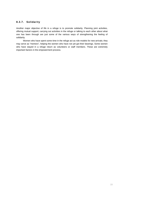# **8.3.7. Solidarity**

Another major objective of life in a refuge is to promote solidarity. Planning joint activities, offering mutual support, carrying out activities in the refuge or talking to each other about what one has been through are just some of the various ways of strengthening the feeling of solidarity.

Women who have spent some time in the refuge act as role models for new arrivals; they may serve as "mentors", helping the women who have not yet got their bearings. Some women who have stayed in a refuge return as volunteers or staff members. These are extremely important factors in the empowerment process.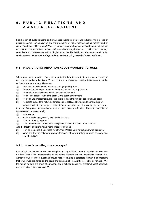# **9. PUBLIC RELATIONS AND AWARENESS-RAISING**

It is the aim of public relations and awareness-raising to create and influence the process of public discourse, communication and the perception of male violence against women and of women's refuges. PR is a must! Who is supposed to care about women's refuges if not women activists and refuge workers themselves? Male violence against women is still a taboo in many countries. Public interest seems low. Single contacts and isolated supporters cannot ensure the continuation of refuge work. Refuge workers need supporting networks for successful PR.

## **9.1 PROVIDING INFORMATION ABOUT WOMEN'S REFUGES**

When founding a women's refuge, it is important to bear in mind that even a women's refuge needs some kind of 'advertising'. There are several reasons for providing information about the work of a women's refuge. These are:

- $\#$  To make the existence of a women's refuge publicly known
- $\#$  To underline the importance and the benefit of such an organisation
- $#$  To create a positive image within the local environment
- $\#$  To build confidence within the political and social environment
- $#$  To persuade important players / the public to back the refuge's concerns and goals
- $#$  To create supporters' networks for reasons of political lobbying and financial support When developing a comprehensive information policy and formulating the message,

there are five points that absolutely must be taken into consideration. The first is decisive in developing a corporate identity:

 $\notin$  Who are we?

Two questions deal more generally with the final output:

- $\#$  Who are the target groups?
- $#$  What methods have the highest multiplication factor in relation to our means?

And the last two questions relate more directly to content:

- How do we define the services we offer? or What is a/our refuge, and what it is NOT?
- $#$  What are the implications of giving information about our refuge in terms of safety and confidentiality?

# **9.1.1 Who is sending the message?**

First of all it has to be clear who is sending the message. What is the refuge, which services can it offer? What is the understanding of the refuge workers and the responsible women of a women's refuge? These questions should help to develop a corporate identity. It is important that refuge workers agree on the goals and contents of PR activities. Positive self-image ("We the refuge workers are proud of our work") and a solution-based (vs. problem-based) approach are prerequisites for successful PR.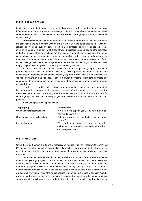## **9.1.2 Target groups**

Ideally, it is good to think through consciously whom women's refuges wish to address with our information. Who is the recipient of our message? This will to a significant degree influence both contents and methods. It is advisable to focus on relevant target groups within and outside the women's refuge.

 **Internally** communication and information are directed at the refuge workers, the board, the association and its members, women living in the refuge and colleagues at other women's refuges or women's support services. Internal information should comprise up-to-date information material which covers all areas of work, publications and studies and the promotion of further training. Regular meetings are the focus of internal communications; the refuge workers have weekly team meetings, while the women living in the refuge attend regular house meetings. The board will be informed two or three times a year. Refuge workers of different women's refuges will meet to exchange experiences and discuss campaigns or initiatives which may go beyond daily refuge work, or participate in training seminars.

External public relations should address three main groups: firstly experts and expert groups, e.g. from specific federations, institutes, political parties, parliaments and advisory committees or members of parliament; secondly supporters from society and business, e.g. victims / survivors of male violence, relatives of murdered victims, supporters, sponsors and contributors; thirdly representatives and consumers of the media like reporters, editors, readers or radio-listeners.

It might be a good idea to list not only target groups, but also the core message that will be the organising element of the contents chosen. After listing all groups and possible messages, we might end up deciding that the same means of communication are useful for several groups, but still, we are likely to get better results if this is the result of a conscious process.

A few examples of such pairs include:

| Target group:                       | Core message:                                                                                                         |
|-------------------------------------|-----------------------------------------------------------------------------------------------------------------------|
| Women in violent relationships      | "We are here to support you", "You have a right to<br>safety and security."                                           |
| Other services (e.g. child welfare) | "Refuges provide safety for battered women and<br>children."                                                          |
| Potential donors                    | "We need your support to provide a safe<br>environment for battered women and their children<br>and to empower them." |

## **9.1.3 Methods**

Given the limited human and financial resources of refuges, it is very important to identify out PR methods with the highest possible multiplication factor. Before we can do this, however, we need to decide whether we want to reach national, regional or local audiences with our message.

Once this has been decided, it is useful to brainstorm on the different media that can be used in the given geographical context, as well as the effectiveness and cost involved. For example, the electronic media, both radio and television, reach a wide section of the population, and the target group receives the information without actually seeking it. At the same time, this has the highest production costs; in addition the costs of buying air time in the electronic media are generally very high. Thus, if the refuge decides to use this option, special attention must be given to fundraising, to resources that can be shared (for example video spots produced somewhere else which can be easily adapted) and to getting as much in-kind media support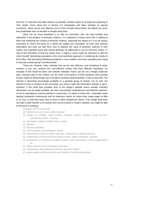from the TV channels and radio stations as possible. Another option is to target the acquiring of "free media" (more about this in Section 9.3 Campaigns and other activities on special occasions), which can be very effective, but if it has not been done before, the effects are much less predictable than by donated or bought airing time.

What can be more beneficial is to look for journalists who are open-minded and interested in the problem of domestic violence. It is important to invest some time in talking to them and explaining the context of domestic violence, especially the impact of it. It is not always necessary to inform the press as a whole but supply your journalists "of trust" with relevant information and work out with them how to address the issue of domestic violence in their media. One important issue that should definitely be addressed is how to interview victims. In view of the principles of how the media work, it might in some cases be important to talk the victim herself. Sensitising journalists is the most beneficial approach in combining the needs of both sides. And educating individual journalists is more realistic and more rewarding than trying to educate a whole group of professionals!

There are, however, other methods that can be very effective, and sometimes it works wonders if one can combine two cost-effective means that have different handicaps. An example of this would be flyers and Internet websites. Flyers can be very cheaply produced (also, because part of the surface can be used to list donors; in-kind donations from printing houses might be forthcoming), but to be able to produce large quantities, it has to stay brief. The Internet is becoming increasingly available to a growing group of women. On its own, the Internet is more a medium of the converted: you need to seek the information actively to get it. However, if the small flyer provides links to the refuge's website where virtually unlimited information can be made available, we have successfully combined two cost-effective methods. As far as operating an Internet website is concerned, it is useful to know that – especially newly starting companies continuously look for reference clients, for whom they create pages at little or no cost, so that they have work to show to other prospective clients. If the refuge itself does not have a staff member or an activist who can be trusted to create a website, you might be able to find such a company.

Examples of PR Instruments:

- $#$  Stickers for buses, taxis, public transport
- $#$  Posters for schools, youth hostels, hospitals, doctors, lawyers, social services, counselling centres, churches
- $#$  Information material, leaflets, flyers, folders
- ∉# Website
- $#$  Regular newsletter
- $#$  Press releases and newspaper articles
- $#$  Participation in panels, expert meetings, conferences or political lectures
- $#$  Organisation of events like fund-raising parties, public exhibitions, marches
- $#$  Acceptance of invitations by political parties, local associations, social organisations etc.
- $#$  Radio, television and newspaper interviews
- $#$  Collaboration with politicians and other decision-makers
- $#$  public speak-out (letting victims and relatives of victims talk publicly)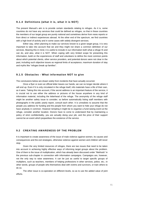### **9.1.4 Definitions (what it is, what it is NOT)**

The present Manual's aim is to provide certain standards relating to refuges. As it is, some countries do not have any services that could be defined as refuges, so that in these countries the members of our target group are purely notional and sometimes derive from news reports or from direct or indirect experiences abroad. At the other end of the spectrum, we find countries with a high level of activity and in some cases with widely divergent services.

Either way, when planning to make our services known to a given target group, it is very important to take into account that we and they might not share a common definition of our services. Bearing this in mind, it is useful to include in our information both what a refuge IS and can do, and also, what it is NOT. When coping with very limited scope for presenting this information, build on the experiences of staff and volunteers to define the most common points about which potential clients, other service providers, and potential donors were not clear in the past, including such objective issues as regional limits of acceptance, maximum duration of stay and myths like "refuges break up families".

## **9.1.5 Obstacles - What information NOT to give**

The conclusions below are drawn solely from incidents that have actually occurred.

Once a flyer or even an official letter leaves our hands, we can no longer decide where it will end up. Even if it is only circulated in the refuge itself, info materials have a life of their own, as it were. Taking this into account, if the secret address is an important feature of the service, it is crucial not to use either the address or pictures of the house anywhere in any kind of information material, including the letterhead of the refuge. The anonymity of the refuge staff might be another safety issue to consider; so before automatically listing staff members with photographs in the public yearly report, consult each other. It is unrealistic to assume that the people you address for funding and the people from whom you want to hide your refuge do not have anybody in common. However tempting it might be to organise a fund-raising event at the refuge, consider another location. Donors have to come to understand that by maintaining a policy of strict confidentiality, you are actually doing your job, and the price of their support cannot be an event which jeopardises the existence of the service.

#### **9.2 CREATING AWARENESS OF THE PROBLEM**

It is important to create awareness of the issue of male violence against women, its causes and consequences and the exit strategies, otherwise violence against women and children will never stop.

Given the very limited resources of refuges, there are two issues that need to be taken into account in achieving highly effective ways of informing target groups about the problem. One of them is the issue of multiplication, which has already been discussed under "Methods" in the previous sub-chapter in connection with information campaigns. Campaigns are, however, not the only way to raise awareness. It can be just as useful to target specific groups of multipliers, such as teachers, members of helping professions in other services, police*,* etc.; in other words, groups of people who themselves deal with victims and survivors, or train others to do so.

The other issue is co-operation on different levels, so as to use the added value of joint efforts.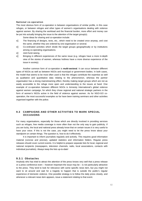#### **National co-operation**

The most obvious form of co-operation is between organisations of similar profile, in this case refuges, or between refuges and other types of women's organisations dealing with violence against women. By sharing the workload and the financial burden, more effort and money can be put into actually bringing the issue to the attention of the target group(s).

Some ideas for sharing and co-operation include:

- $#$  The financing of designs, texts, etc., which need to be created once anyway, and cost the same, whether they are ordered by one organisation or several.
- $#$  Co-ordinated activities which divide the target groups geographically or by institutions among co-operating organisations.
- $#$  Joint fund-raising.
- $#$  Bringing in different experiences of the same issue (e.g. refuges have a more in-depth view of the stories of women, whereas hotlines have a more diverse experience of the issue in society).

Another common form of co-operation is **multi-sectoral**. It can occur between different types of NGOs as well as between NGOs and municipal or government bodies. In both cases, the model that seems to be most often used is that the refuges contribute the expertise as well as qualitative and quantitative data relating to the phenomenon, whereas the partner organisation has a strong mainstreaming effect, thereby making target groups which are not as easily accessible to the refuge more open and understanding to the issues at hand. One example of co-operation between different NGOs is Amnesty International's global violence against women campaign, for which they chose regional and national strategic partners in the form of women's NGOs active in the field of violence against women. As for NGO-GO cooperation, the most successful examples so far have been training seminars and other activities organised together with the police.

# **9.3 CAMPAIGNS AND OTHER ACTIVITIES TO MARK SPECIAL OCCASIONS**

For many organisations, especially for those which are directly involved in providing services such as refuges, free media coverage is more often than not the only way to gain publicity. If you are lucky, the local and national press already know that on certain issues it is very useful to have your voice. If this is not the case, you might need to let the press know about your standpoint on certain things. The question is, how to do it effectively.

It is important to inform journalists regularly and actively. This requires good information material (concise and precise), updated statistics and information folders. Regular press releases should cover current events. It is helpful to prepare separate lists for local, regional and national recipients (newspapers, television channels, radio, local associations, contacts with individual journalists). Always keep the lists up-to-date!

## **9.3.1 Obstacles**

Anybody who has tried to attract the attention of the press knows very well that a press release or a press conference even  $-$  however important the issue may be  $-$  is not particularly attractive to the press. They tend to look for relevance with some specific news item, but you might not want to sit around and wait for a tragedy to happen that is outside the public's regular experience of domestic violence. One possible strategy is to follow the daily press closely, and whenever a relevant news item appears, issue a statement relating to that event.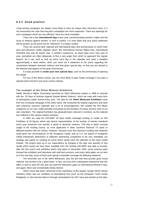## **9.3.2 Good practice**

Long-running campaigns are always more likely to have an impact than short-term ones. It is not necessarily the case that long-term campaigns are more expensive. There are openings for such campaigns which are very efficient. Here are some examples:

There are a few **international days** every year commemorating women's rights and the issue of violence against women. In such a context, it is more likely that your press statement will be quoted, as the press has its "relevance" in a larger context.

There are several other national and international days and anniversaries on which both print and electronic media regularly report, like International Human Rights Day, International HIV/AIDS Day and All Saints' Day. In NANE's experience, as these days recur from year to year, journalists are often desperate to find a new angle from which to approach the regular feature. So it can work to look up every such day in the calendar and mark a deadline approximately a week before, when you send out a statement to the press regarding the connections between domestic violence and that given special day, so that you are quoted in the features that appear on the given anniversary.

It is also possible to **create your own special days**, such as the anniversary of opening the refuge.

For any of the above events, you are more likely to gain media coverage if you plan a special event and don't just issue a press release.

#### **The example of the Silent Witness Exhibition**

NANE Women's Rights Association launched its Silent Witnesses project in 1998 to coincide with the '16 Days of Activism Against Gender-Based Violence', which we mark with some form of participatory public events every year. The idea for the **Silent Witnesses Exhibition** came from the US-based campaign of the same name. We contacted the original organizers and were sent extensive resource materials and a lot of encouragement. We created the first fifteen sculptures on our own, made possible exclusively by the donation of money and the work of our own volunteers. The original Exhibition has gradually been reduced in numbers, as the material has suffered in the various outdoor activities.

In 2002 we used the OSI-NWP 16 days media campaign funding to create an SW Exhibition of 40 figures which was almost representative of the number of women murdered every year (minimum one woman a week) in domestic violence. This was a rather unusual usage of the funding source, as most applicants in other countries financed TV spots or billboard posters with the money. However, because even the maximum funding was relatively small given the circumstances of the Hungarian media, and as it is not typical of Hungarian media enterprises (televisions or billboard advertising companies) to be very charitable, our strategy was based on creating an event which would catch the attention of the news media instead. The project lived up to our expectations by bringing in the type and quantity of free media which would not have been available from the funding OSI-NWP was able to provide: after the first march and exhibition which took place in November 2003, every evening news showed the exhibition and interviews with staff and survivors, and every daily paper ran an item on it the next day, some of them even giving it extended coverage the following weekend.

The event-like use of the Silent Witnesses, plus the fact that they provide good visual material, has proved to be a good tactic. In fact, we know from subsequent experience that this effect is slow to wear off: this year we used the Witnesses again on International Women's Day, and again, there was considerable media interest.

Others have also been convinced of the usefulness of this project: foreign NGOs whose members either saw our exhibition at international fora (such as the European Youth Center Budapest), or who learned about it through presentations by OSI, have also picked up the idea,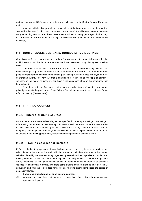and by now several NGOs are running their own exhibitions in the Central-Eastern European region.

A woman with her five-year old son was looking at the figures and reading their stories. She said to her son: "Look, I could have been one of them." A middle-aged woman: "You are doing something very important here. I was in such a situation twenty years ago. I had nobody to talk to about it. But now I see I was lucky. I'm alive and well." (Quotations from people at the exhibition).

## **9.4 CONFERENCES, SEMINARS, CONSULTATIVE MEETINGS**

Organising conferences can have several benefits. As always, it is essential to consider the multiplication factor; that is, to ensure that the limited resources bring the highest possible results.

Conferences themselves can be a further type of special event creating relevance for news coverage. A good PR for such a conference ensures that from the first day many more people benefit from the conference than those participating. As conferences are a type of more conventional activity, the very fact that a conference is organised on the topic of domestic violence, on the role of refuges, etc. can have a mainstreaming effect in the community that hears about it.

Nevertheless, in the first place conferences and other types of meetings are meant primarily to benefit the participants. There follow a few points that need to be considered for an effective meeting (See Handout).

## **9.5 TRAINING COURSES**

#### **9.5.1 Internal training courses**

As one cannot get a standardised degree that qualifies for working in a refuge, most refuges offer training to their new recruits, be they volunteers or staff members. So far this seems to be the best way to ensure a continuity of the service. Such training courses can have a role in integrating new people into the team, so it is advisable to include experienced staff members or volunteers in the training programme, either as resource persons or even as trainers.

# **9.5.2 Training courses for partners**

Refuges, whether they operate their own 24-hour hotline or not, rely heavily on services that refer clients to them, or which work with the women and children who stay in the refuge. Whether offered by the refuge or jointly organised by several services, agencies and institutions, training courses provided to staff in other agencies are very useful. The content might vary widely depending on the given circumstances: in some countries awareness of domestic violence is higher than in others. Therefore some training courses might go into more detail about how and what the refuge does for its clients, whereas others might stress the basics of domestic violence.

#### **Some recommendations for such training courses:**

 $#$  Whenever possible, these training courses should take place outside the usual working space of participants.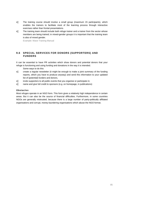- $#$  The training course should involve a small group (maximum 15 participants), which enables the trainers to facilitate most of the learning process through interactive exercises rather than frontal presentations.
- $#$  The training team should include both refuge trainer and a trainer from the sector whose members are being trained; in mixed-gender groups it is important that the training team is also of mixed gender.

Example: Wave Training Manual

# **9.6 SPECIAL SERVICES FOR DONORS (SUPPORTERS) AND FUNDERS**

It can be essential to have PR activities which show donors and potential donors that your refuge is functioning and using funding and donations in the way it is intended.

Some ways to do this:

- $#$  create a regular newsletter (it might be enough to make a joint summary of the funding reports, which you have to produce anyway) and send this information to your updated list of (potential) funders and donors,
- $\#$  invite supporters to all public events that you organise or participate in;
- $\#$  name and give full credit to sponsors (e.g. on homepage, in publications)

#### **Obstacles**

Most refuges operate in an NGO form. This form gives a relatively high independence in certain areas. But it can also be the source of financial difficulties. Furthermore, in some countries NGOs are generally mistrusted, because there is a large number of party-politically affiliated organisations and corrupt, money-laundering organisations which abuse the NGO format.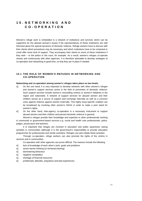# **10. NETWORKING AND CO-OPERATION**

Women's refuge work is embedded in a network of institutions and services which can be supportive for the abused woman's issues if the representatives of these institutions are well informed about the special dynamics of domestic violence. Refuge workers have to discuss with their clients which procedures may be necessary and which institutions have to be contacted or could offer some kind of support. They accompany their clients to some of these institutions if they wish – to the police or the court, for example. As a result, women's refuges co-operate closely and continuously with other agencies. It is therefore advisable to develop strategies of co-operation and networking in good time, so that they are in place if needed.

# **10.1 THE ROLE OF WOMEN'S REFUGES IN NETWORKING AND CO-OPERATION**

#### **Networking and co-operation among women's refuges takes place on two levels**:

- $#$  On the one hand, it is very important to develop networks with other women's refuges and women's support services active in the field of prevention of domestic violence. Such support services include women's counselling centres or women's helplines in the region and nationwide. A network of support services for abused women and their children serves as a source of support and exchange internally as well as a common voice against violence against women externally. This highly issue-specific coalition can be broadened by involving other women's NGOs in order to make a joint stand for women's rights.
- $#$  On the other hand, inter-agency co-operation is a necessary instrument to support abused women and their children and prevent domestic violence in general.

Women's refuges provide their knowledge and expertise to other professionals working in community or government-based services e.g. social and health care professionals, police, judges, prosecutors and teachers.

It is important that refuges are involved in education and public awareness raising activities in communities (although it is the government's responsibility to provide education programmes for professionals and similar activities). Refuges can also initiate these activities.

Through co-operation, refuge workers can also promote the rights of the victims in services and in communities.

Co-operation with other agencies can prove difficult. The reasons include the following:

- $\#$  lack of knowledge of each other's work, goals and problems
- $\#$  sector barrier thinking (or territorial thinking)
- $#$  domineering behaviour
- $\notin$  negative competition
- $#$  shortage of financial resources
- $#$  problematic attitudes, prejudices and bad experiences.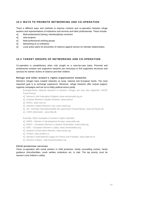# **10.2 WAYS TO PROMOTE NETWORKING AND CO-OPERATION**

There a different ways and methods to improve contacts and co-operation between refuge workers and representatives of institutions and services and other professionals. These include:

- $#$  Multi-professional training, interdisciplinary seminars
- $#$  Joint projects
- $#$  Multi-professional working groups
- $#$  Networking of co-ordinators
- $#$  Local action plans for prevention of violence against women (in intimate relationships).

# **10.3 TARGET GROUPS OF NETWORKING AND CO-OPERATION**

Co-operation is unsatisfactory when only sought on a case-by-case basis. Personal and professional contacts and supportive networks are necessary to find supportive structures and services for women victims of violence and their children.

#### **Refuge and other women's rights organisation networks**

Women's refuges have created networks on local, national and European levels. The most important goal is to exchange experience. Moreover, refuge networks offer mutual support, organise campaigns and set out to lobby political actors jointly.

Example:Some national networks of women's refuges are (see also Appendix: WAVE Focal Points):

- x Women's Aid Federation England, www.womensaid.org.uk
- x Austrian Women's Shelter Network, www.aoef.at
- # ROKS, www.roks.se
- # Northern Ireland Women's Aid, www.niwaf.org
- x ZIF- Zentrale Informationsstelle der autonomen Frauenhäuser, www.zif-frauen.de
- ∉# LOKK (Denmark), www.lokk.dk

Example: Other examples of women's rights networks:

- $#$  WIDE Women in Development Europe, www.wide.org
- e# EWLA European Women's Lawyers Association, www.ewla.org
- x EWL European Women's Lobby, www.womenlobby.org
- ∉# Network of East-West Women, www.neww.org
- $\notin$  Profem, www.profem.cz
- x Women's International League for Peace and Freedom, www.wilpf.int.ch
- x Women in Black , http://womeninblack.net

#### **Child protection services**

Close co-operation with social workers in child protection, family counselling centres, family guidance clinics/facilities, youth welfare institutions etc. is vital. The top priority must be women's and children's safety.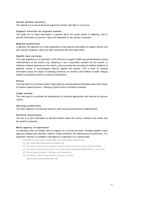#### **Social welfare services**

The objective is to secure financial support for women with little or no income.

#### **Support services for migrant women**

The goals are to share information in general about the social impact of battering, and to provide information on women's rights and legislation in the country in question.

#### **Migrant authorities**

In general, the objective is to raise awareness of the special vulnerability of migrant women and their specific problems, which are often connected with their legal status.

### **Health care services**

The main objectives of co-operation in this field are to support health care professionals to avoid medicalisation of the victims (e.g. battering is not a psychiatric problem for the victim), to influence medical responses to the victims, and to promote the recording of medical evidence of physical, sexual or psychological violence against the woman. This is done by sharing information about the impact of battering (violence) on women's and children's health. Refuge workers accompany women to medical examinations.

#### **Police**

The main goal is to promote victims' legal rights by sharing general information about the impact of violence against women. Training of police forces is therefore essential.

#### **Legal system**

The main goal is to promote the development of sensitive approaches and services for women victims.

#### **Housing authorities**

The main objective is to promote women's safe housing and economic independence.

#### **Political institutions**

The aim is to give information to decision-makers about the victims' problems and needs and the need for protection.

#### **Multi-agency co-operation**

Co-operation does not always have to happen on a one-to-one basis. Bringing together many agencies dealing with domestic violence clearly enhances the effectiveness of prevention. It is important, however, to establish multi-agency co-operation on a regular basis.

Examples of successful networking and intervention projects are:

- x BIG (www.big-intervenzionszentrale.de)
- $#$  The Swiss intervention projects (www.frauenhaus-schweiz.ch/d\_links.html#bip)
- $#$  Domestic Violence Fora in the UK (www.womensaid.org.uk/network/a-z\_for a.htm)
- # Round table groups in Germany and elsewhere
- x Domestic Violence Intervention Centres in Austria (www.interventionsstelle-wien.at)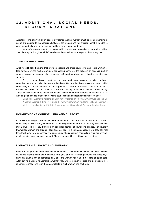# **12. ADDITIONAL SOCIAL NEEDS, RECOMMENDATIONS**

Assistance and intervention in cases of violence against women must be comprehensive in scope and gauged to the specific situation of the woman and her children. What is needed is crisis support followed up by medium and long-term support strategies.

Women's refuges have to be integrated in a system of preventive action and activities. The following section gives a brief overview of the most important aspects of such a system.

## **24-HOUR HELPLINES**

A toll-free **24-hour helpline** that provides support and crisis counselling and refers women to face-to-face services such as refuges, counselling centres or the police is an essential part of support services for women victims of violence. Support by a helpline is often the first step to a safer life.

Every country should operate at least one nationwide women's helpline. In larger countries there should also be regional helplines. National helplines provide important initial counselling to abused women, as envisaged in a Council of Ministers' decision (Council Framework Decision of 15 March 2001 on the standing of victims in criminal proceedings). These helplines should be funded by national governments and operated by women's NGOs with long-standing experience in providing counselling and support for victims of violence.

Examples: Women's helpline against male violence in Austria (www.frauenhelpline.at), National Women's Line in Finnland (www.finnishwomenline.com), National Domestic Violence Helpline in the UK (http://www.womensaid.org.uk/help/national\_helpline.htm).

# **NON-RESIDENT COUNSELLING AND SUPPORT**

In addition to refuges, women exposed to violence should be able to turn to non-resident counselling services. Many women need counselling and support but do not (yet) want to move into a refuge. There should thus be an adequate network of counselling centres. For severely traumatised women and children, additional facilities – like trauma centres, where they can rest for a few hours – are necessary. Trauma centres should provide counselling, child supervision, meals, medical care and crisis support. Many countries still do not have such centres.

# **LONG-TERM SUPPORT AND THERAPY**

Long-term support should be available for women who have been exposed to violence. In some cases this support may have to continue for a year or more. Herman ("Trauma and Recovery") says that trauma can be remedied only after the woman has gained a feeling of being safe. After leaving a violent relationship, a woman may undergo psychic crises and depression. It is important to make long-term therapy available to such women free of charge.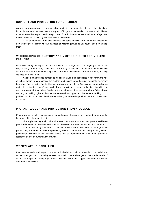#### **SUPPORT AND PROTECTION FOR CHILDREN**

As has been pointed out, children are always affected by domestic violence, either directly or indirectly, and need massive care and support. If long-term damage is to be averted, all children must receive crisis support and therapy. One of the indispensable standards of a refuge must therefore be that counselling and care extend to children.

It is also important to develop methods and good practice, for example for schools, on how to recognise children who are exposed to violence (and/or sexual abuse) and how to help them.

# **WITHHOLDING OF CUSTODY AND VISITING RIGHTS FOR VIOLENT FATHERS**

Especially during the separation phase, children run a high risk of undergoing violence. An English study (Hester 1998) shows that children may be subjected to various forms of violence when a father exercises his visiting rights. Men may take revenge on their wives by inflicting violence on the children.

A violent fathers does damage to his children and thus disqualifies himself from the role of father. Before he can exercise his custody and visiting rights he must terminate his violent behaviour, face up to the fact that he has a problem with violence (for instance by attending an anti-violence training course), and work slowly and without pressure on helping his children to gain or regain their trust in him. So during the initial phase of separation a violent father should not be given visiting rights. Only when the violence has stopped and the father is working on his problem should contact with the children gradually be restored – provided that the children want to see him.

## **MIGRANT WOMEN AND PROTECTION FROM VIOLENCE**

Migrant women should have access to counselling and therapy in their mother tongue or in the language which they speak best.

The applicable legislation should ensure that migrant women are given a residence permit independent of their husbands and that they receive a work permit and social benefits.

Women without legal residence status who are exposed to violence tend not to go to the police. They run the risk of forced repatriation, while the perpetrator will often get away without prosecution. Women in this situation should not be repatriated but should be granted a residence permit on humanitarian grounds.

#### **WOMEN WITH DISABILITIES**

Measures to assist and support women with disabilities include wheelchair compatibility in women's refuges and counselling centres, information material gauged to the special needs of women with sight or hearing impairments, and specially trained support personnel for women with mental disabilities.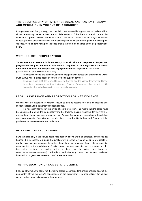# **THE UNSUITABILITY OF INTER-PERSONAL AND FAMILY THERAPY AND MEDIATION IN VIOLENT RELATIONSHIPS**

Inter-personal and family therapy and mediation are unsuitable approaches to dealing with a violent relationship because they take too little account of the threat to the victim and the imbalance of power between the perpetrator and the victim. Domestic violence against women is not a problem that occurs within the relationship but is caused by the person practising the violence. Work on terminating the violence should therefore be confined to the perpetrator (see below).

## **WORKING WITH PERPETRATORS**

**To terminate the violence it is necessary to work with the perpetrator. Perpetrator programmes are just one form of intervention; they need to be integrated in an overall intervention scheme and coupled with legal protection and support for the victim.**

(*Gondolf 2001, in Logar/Rösemann/Zürcher 2002).*

The victim's needs and safety must be the first priority in perpetrator programmes, which must always work in close cooperation with women's support services.

Example: Since 1999 the Men's Counselling Service and the Vienna Intervention Centre have been running a joint Anti-Violence Training Programme that complies with international standards (www.interventionsstelle-wien.at).

# **LEGAL ASSISTANCE AND PROTECTION AGAINST VIOLENCE**

Women who are subjected to violence should be able to receive free legal counselling and support in legal affairs at women's support centres.

It is necessary for the law to provide effective protection. This means that the police must be empowered to expel the perpetrator from the dwelling, making it possible for the victim to remain there. Such laws exist in countries like Austria, Germany and Luxembourg. Legislation governing protection from violence has also been passed in Spain, Italy and Turkey, but the provisions for its enforcement are inadequate.

# **INTERVENTION PROGRAMMES**

Laws that exist only in the statute books help nobody. They have to be enforced. If this does not happen, it is necessary to pursue the question why it is that victims of violence are unable to invoke laws that are supposed to protect them. Laws on protection from violence must be accompanied by the establishing of victim support centres providing active support, and by intervention centres co-ordinating action on behalf of the victim (see Logar at www.interventionsstelle-wien.at). Switzerland and Germany have, like Austria, instituted intervention programmes (see Gloor 2000, Kavemann 2001).

# **THE PROSECUTION OF DOMESTIC VIOLENCE**

It should always be the state, not the victim, that is responsible for bringing charges against the perpetrator. Given the victim's dependence on the perpetrator, it is often difficult for abused women to take legal action against their partners.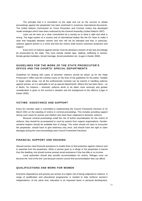The principle that it is incumbent on the state and not on the survivor to initiate proceedings against the perpetrator has been enshrined in numerous international documents. The United Nations Commission on Crime Prevention and Criminal Justice has developed model strategies which have been endorsed by the General Assembly (United Nations 1997).

Laws can be seen as a clear commitment by a society as to what is right and what is wrong. The legal system of a country and of international bodies like the EU have to make it clear that inequality between women and men will not be tolerated and that, in particular, violence against women is a crime and that the victims shall receive maximum protection and support.

Every form of violence against women must be declared a breach of law and accordingly be prosecuted by the state. This must include marital rape, stalking, trafficking in women, female genital mutilation, forced marriage, forced prostitution etc. (Logar in Keeler 2000).

# **GUIDELINES FOR THE WORK OF THE STATE PROSECUTOR'S OFFICE AND THE COURTS' SPECIAL DEPARTMENTS**

Guidelines for dealing with cases of domestic violence should be drawn up for the State Prosecutor's Office and the criminal courts on the lines of the guidelines for the police. Notably in larger urban areas, not all the professionals involved can be trained in handling violence against women, so it is advisable to set up special departments. Where this has been done – as in Berlin, for instance – domestic violence tends to be taken more seriously and greater consideration is given to the survivor's situation and the background to the offence (Logar in Keeler 2000).

## **VICTIMS' ASSISTANCE AND SUPPORT**

Every EU member state is committed to implementing the Council Framework Decision of 15 March 2001 on the standing of victims in criminal proceedings. This includes providing support during court cases for women and children who have been subjected to domestic violence.

Because criminal proceedings entail the risk of further traumatisation for the victims of violence, they should be accompanied to court by experts from support organisations. Gendersensitive lawyers should be available free of charge. The victim should not have to encounter the perpetrator, should have to give testimony only once, and should have the right to claim damages during the court proceedings (see Council Framework Decision).

# **FINANCIAL SUPPORT AND HOUSING**

Abused women need financial assistance to enable them to find protection against violence and to separate from the perpetrator. When a woman goes to a refuge or the perpetrator is barred from the dwelling, she should receive prompt social assistance if she has little or no income.

Local authorities should also provide accommodation for victims. Refuges must not become the "end of the line" just because women cannot find accommodation they can afford.

## **QUALIFICATIONS AND WORK FOR WOMEN**

Economic dependence and poverty put women at a higher risk of being subjected to violence. A range of qualification and educational programmes is needed to help reinforce women's independence. At the same time, education is an important factor in personal development,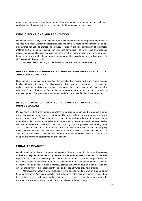encouraging women as it does to understand their own situation and the connections with social conditions and thus enabling them to participate in the process of social change.

## **PUBLIC RELATIONS AND PREVENTION**

Prevention work at every social level has a decisive impact because it targets the prevention of violence at its roots. Women's support organisations play a far-reaching role in this field (training programmes for various professional groups, lectures in schools, compilation of information material etc.), sometimes in conjunction with state authorities – as in the case of awarenessraising campaigns. Sufficient financial resources must be made available for these purposes, because the problem of violence against women cannot be solved only by providing support for victims on an individual basis.

For examples of campaigns, see the WAVE website: www.wave-network.org.

# **PREVENTION / AWARENESS-RAISING PROGRAMMES IN SCHOOLS AND YOUTH CENTRES**

Since violence is intrinsic to our societies, it is essential that children and young people become familiar with non-violent ways of resolving conflicts, living together, dealing with problems etc. as early as possible. Activities to promote non-violence have to be part of all levels of child education. Experts from women's organisations / women's rights experts must be included in the development of programmes, curricula etc. and also be involved in their implementation.

# **INTEGRAL PART OF TRAINING AND FURTHER TRAINING FOR PROFESSIONALS**

Professionals working with women and children who have been subjected to violence must be aware that violence against women is a crime. They need to know how to respond and how to provide proper support. Training on violence against women has to be an integral part, not an alternative subject/course, in the training and further training of every professional group dealing with abused women and children in their work. Such groups are professionals working in the areas of justice, law enforcement, health, education, social work etc. In addition, on-going training should be made available especially for those who wish to extend their expertise. In 2000 the WAVE Office – with financial support from the DAPHNE Initiative – drew up a comprehensive training programme for professionals.

## **EQUALITY MEASURES**

Both international bodies and women's NGOs refer to the root cause of violence as the outcome of the historically manifested inequality between women and men (see chapter 2). It is therefore right to assume that there will be gender-based violence as long as there is inequality between the sexes. Equality measures need to be implemented in a variety of contexts such as economic life (in particular the labour market). It is vital that women have an income of their own which enables them to live independently, also and especially when they have children.

Moreover, the labour market must adjust to the specific needs of women. It is no longer tolerable that women's lives are curtailed by the demands of the economy. Women usually bear the brunt of child care. Adequate and high-quality child care facilities must be made available by the state. For women with little or no income, they should be free of charge.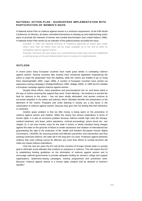# **NATIONAL ACTION PLAN - GUARANTEED IMPLEMENTATION WITH PARTICIPATION OF WOMEN'S NGOS**

A National Action Plan on violence against women is a minimum requirement. At the Fifth World Conference on Women, all states committed themselves to drawing up and implementing action plans to promote the interests of women and combat discrimination (see United Nations 1996). A National Action Plan serves as an indicator of the political priority accorded the issue.

Example: In 2001 the Spanish province of Andalusia approved an action plan under which more than 38 million Euro will be made available up to the end of 2004 for combating violence against women.

Example: Germany has also drawn up a comprehensive action plan and has established a working group at the joint federal-länder level to oversee its implementation.

# **OUTLOOK**

In recent years many European countries have made great strides in combating violence against women. Several countries (like Austria) have introduced legislation empowering the police to expel the perpetrator from the dwelling, while the victims are entitled to go on living there (Dearing/Haller 2000, Logar 1998). A number of European countries have carried out awareness-raising campaigns (Heiliger/Hoffmann 1998. Heiliger 2000). In 1999 the EU initiated a European campaign against violence against women.

Despite these efforts, many prejudices and preconceptions live on, and these stand in the way of victims receiving the support they need. Victim blaming – the tendency to ascribe the fault for violence to the victim – has not been wholly eliminated. And women continue to encounter prejudice in the police and judiciary which ultimately benefits the perpetrators to the detriment of the victims. Prejudice and victim blaming in society are a key factor in the continuation of violence against women, because they give men the feeling that their behaviour is condoned.

Another grave problem is that too little money is being spent on the prevention of violence against women and children. While this clearly has serious implications in terms of human rights, it is also an economic problem because violence entails high costs (for therapy, medical treatment, sick leave, police operations, criminal proceedings, prison terms etc.; see chapter 2). It can also involve costs for the state if victims or family members bring charges against the state on the grounds of failure to render assistance and violation of international law guaranteeing the right to the protection of life, health and freedom (European Human Rights Conventions, CEDAW). By ensuring prompt and effective prevention and intervention and thus averting continued violence, the state will in the long term cut costs. Protection against domestic violence that costs nothing cannot be effective any more than efforts to combat terrorism will make any impact without expenditure.

Over the next ten years the EU and all the countries of Europe should make it a priority goal to eliminate social attitudes that condone or acquiesce in violence. This will require the EU to establishing binding guidelines on the elimination of violence against women and to encourage national governments to provide adequate funding for women's refuge and support organisations, awareness-raising campaigns, training programmes and prevention work. Because "violence against women is a human rights violation and an obstacle to women's equality."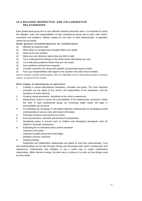# **10.4 BUILDING RESPECTFUL AND COLLABORATIVE RELATIONSHIPS**

Each professional group has its own attitudes towards prevention work. It is important to clarify the attitudes, roles and responsibilities of each professional group and to learn each others' constraints and problems. Without respect for the work of other professionals, co-operation cannot be successful.

# **Some general recommendations for collaboration**

- $#$  Maintain an assertive style.
- $#$  Allow others to complete their thoughts before you speak.
- $#$  Stand up for your position.
- $#$  Make your own decisions about what you think is right.
- $#$  Try to understand the feelings of the others before describing your own.
- $\#$  Try to talk about problems before they turn into crises.
- $#$  Face problems and decisions squarely.
- $#$  Consider yourself to be strong and capable, but generally equal to others.
- $#$  Face your responsibilities with regard to the situation and action that is needed.

*(Source: Examples of people working together. Ideas for collaboration at work. Interdisciplinary project on domestic violence. A resource kit from Canada.)*

#### **Nine stages of developing co-operation**

- 1. Creating a mutual philosophical orientation, principles and goals. The most important principles are the safety of the victims, the responsibility of the perpetrator, and the avoidance of victim blaming.
- 2. Creating mutual procedures. Sensitivity to the victim's experiences
- 3. Monitor/track cases to ensure the accountability of the professionals concerned. Clarify the roles of each professional group; by monitoring single cases, the gaps in accountability can be found
- 4. Co-ordinating the exchange of information between professionals by developing mutual understanding of secrecy rules and shared information
- 5. Providing resources and services for victims
- 6. Ensuring sanctions, restraints and services for perpetrators
- 7. Developing action to prevent harm to children and developing therapeutic work for children's traumatic experiences.
- 8. Evaluating the co-ordinated justice system response: response of the police response of public prosecutors and judges probation services' response
- 9. Ongoing training

Respectful and collaborative relationships are based on trust and understanding. Trust and understanding can be built through sharing and discussing each others' perspectives and experiences. Emphasising only mistakes is not a useful way to create collaborative relationships. When barriers emerge, the best way to continue is to work out how things could be done better.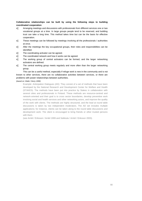# **Collaborative relationships can be built by using the following steps to building coordinated cooperation**:

- $#$  Arranging meetings and discussions with professionals from different services one or two vocational groups at a time. In large groups people tend to be reserved, and building trust can take a long time. This method takes time but can be the basis for effective cooperation.
- $#$  These meetings can be followed by meetings involving all the professionals / authorities at once.
- $#$  After the meetings the key occupational groups, their roles and responsibilities can be identified.
- $#$  The coordinating activator can be agreed.
- $#$  The coordinated network and how it works can be agreed.
- $#$  The working group of central activators can be formed, and the larger networking activators are defined.
- $#$  The central working group meets regularly and more often than the larger networking group.

This can be a useful method, especially if refuge work is new in the community and is not known to other services, there are no collaborative activities between services, or there are problems with power relationships between authorities.

#### *(based on: Waltz / Derry 1999)*

Example: Anticipation Dialogues (AD): They consist of a set of methods that have been developed by the National Research and Development Center for Welfare and Health (STAKES). The methods have been put into practice by Stakes in collaboration with several cities and professionals in Finland. These methods are resource-centred and network-oriented and their goal is to cross sector boundaries, develop preventive work involving social and health services and other networking actors, and improve the quality of the work with clients. The methods are highly structured, and the lead at round table discussions is taken by two independent moderators. The AD set includes multiple applications; for instance, clients can be taken along to the round table discussions and development work. The client is encouraged to bring friends or other trusted persons with them.

(see Arnkil / Eriksson / Arnkil 1999 and Seikkula / Arnkil / Eriksson 2003).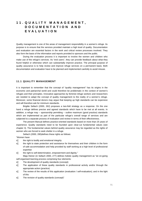# **11. QUALITY MANAGEMENT, DOCUMENTATION AND EVALUATION**

Quality management is one of the areas of management responsibility in a women's refuge. Its purpose is to ensure that the services provided maintain a high level of quality. Documentation and evaluation are essential factors in the work and critical review processes involved. They also form the basis of the information and reports provided to sponsors and the public.

During the evaluation process it is important to involve the women and children who make use of the refuge's services. As "end users", they can provide feedback about what they found helpful or otherwise which can substantially improve practice. The principal purpose of quality assurance is to help review and improve refuge services on a permanent basis. Both documentation and evaluation have to be planned and implemented carefully to avoid misuse.

## **11.1 QUALITY MANAGEMENT**

It is important to remember that the concept of "quality management" has its origins in the economic and patriarchal world and could therefore be problematic in the context of women's refuges and their principles. Innovative approaches by feminist refuge workers and researchers are needed to adapt the concept of quality management to the reality of a women's refuge. Moreover, some financial donors may argue that keeping up high standards can be expensive and will therefore ask for minimum standards.

Brigitte Sellach (2000, 262) proposes a two-fold strategy as a response. On the one hand a refuge defines precise and agreed standards which have to be met at all events. In addition, a refuge may – sponsorship permitting – outline maximum (good practice) standards which are implemented as part of the particular refuge's overall range of services and are subjected to a separate process of evaluation and review in terms of their effectiveness.

The present Manual defines practice-oriented standards based on more than 25 years of experience. Quality standards need to be founded upon clear-cut fundamental values (see chapter 3). The fundamental values behind quality assurance may be regarded as the rights of women who are forced to seek shelter in a refuge.

Sellach (2000, 280)defines these rights as follows:

"Women have

- $#$  the right to bodily and emotional integrity
- $#$  the right to state protection and assistance for themselves and their children in the form of safe accommodation and help provided by staff working at a high level of professional expertise
- $#$  the right to self-determination, empowerment and dignity."

Maja Heiner (in Sellach 2000, 277) defines holistic quality management as "an on-going self-organised learning process comprising four elements:

- $#$  The development of quality standards (concept)
- $#$  The application of these quality standards in professional activity and/or through the appropriate action (practice)
- $#$  The review of the results of this application (evaluation / self-evaluation); and in the light of this
- $#$  The revision of quality standards (concept)"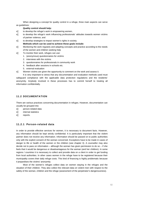When designing a concept for quality control in a refuge, three main aspects can serve as guidelines:

#### **Quality control should help:**

- $\epsilon$  to develop the refuge's work in empowering women,
- $#$  to develop the refuge's work influencing professionals' attitudes towards women victims of partner violence, and
- $\#$  to develop strategies to impact women's rights in society.
	- **Methods which can be used to achieve these goals include:**
- $#$  Monitoring the work regularly and adapting concepts and practice according to the needs of the women and children seeking help
- $#$  To monitor their work, refuges can use:
	- 1. (anonymous) questionnaires for victims
	- 2. interviews with the victims
	- 3. questionnaires for professionals in community work
	- 4. feedback after sessions in schools etc.
	- 5. external evaluation
- $#$  Women victims are given the opportunity to comment on the work and assess it.

It is very important to stress that any documentation and evaluation methods used must safeguard compliance with the applicable data protection regulations and the residents' anonymity. Anybody involved in these processes has to commit herself to treating all information confidentially.

## **11.2 DOCUMENTATION**

There are various practices concerning documentation in refuges. However, documentation can usually be grouped into:

- $#$  person-related data
- $#$  internal statistics
- $#$  reports.

# **11.2.1 Person-related data**

In order to provide effective services for women, it is necessary to document facts. However, any information should be kept strictly confidential. It is particularly important that the violent partner does not receive any information. Information should be passed on to public authorities only with the explicit consent of the woman concerned. Exceptions have to be made in cases of danger to life or health of the women or the children (see chapter 3). A counsellor may also decide not to pass on information – although the woman has given permission to do so – if she feels that it would be dangerous or disadvantageous for the woman (and her children). In some regions / countries it is necessary to collect and provide data on a client in order to get funding from local authorities. In other cases women in the refuge have to be registered because their municipality covers their daily refuge costs. This kind of financing is highly problematic because it jeopardises the victims' anonymity.

Most of the women's refuges collect data on women staying in the refuges and the situation of their children. They also collect the relevant data on violent men with respect to the safety of the woman, children and the refuge (assessment of the perpetrator's dangerousness).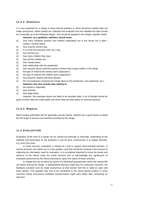# **11.2.2 Statistics**

It is very important for a refuge to keep internal statistics in which all person-related data are made anonymous. Which details are collected and analysed and how detailed the data should be is basically up to the individual refuge – this should be gauged to the refuge's specific needs.

#### **However, as a guideline, statistics should show:**

- $#$  how many residents (women and children separately) are in the house (on a daily / weekly / monthly basis)
- $#$  how long the women stay
- $#$  if it is their first (second, third, etc.) stay
- $\notin$  how old they are
- $#$  how many children they have
- $#$  how old the children are
- $#$  their marital status
- $#$  their relationship with the perpetrator
- $#$  how long the abuse had been going on before they sought shelter in the refuge
- $#$  the type of violence the women were subjected to
- $#$  the type of violence the children were subjected to
- $#$  how long the children had been abused
- $#$  the circumstances of leaving the refuge (back to the perpetrator, new apartment, etc.) **Statistics may also include data relating to:**
- $\epsilon$  the women's nationality
- $#$  their domicile
- $#$  their legal status.

However, the examples above are likely to be sensitive data. A lot of thought should be given to which data are made public and which data are kept solely for internal purposes.

## **11.2.3 Reports**

Many funding authorities ask for (generally annual) reports. Reports are a good means to detail the full range of services and activities provided by the refuge.

## **11.3 EVALUATION**

Evaluation of the work of a refuge can be carried out internally or externally. Depending on the methods and particularly on the purposes, it can be done continuously or at regular intervals, e.g. every five years.

In social services, evaluation is viewed as a tool to support client-oriented services. In service provision, the clients are in a key position, and they should be involved in the process of collecting the information used for evaluation. It is considered important to know the needs and opinions of the clients using the social services and to acknowledge the significance of evaluation performed by the clients themselves, given the nature of these activities.

In refuges this can be done by means of a feed-back questionnaire which the woman fills out before leaving the refuge. A standardised interview might also be conducted. However, the feedback provided must be made anonymous so that women feel free to state an open and frank opinion. This question also has to be considered in the socio-cultural context; in some countries strictly anonymous feedback questionnaires might work better than conducting an interview.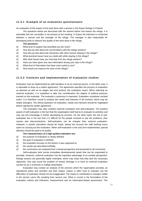## **11.3.1 Example of an evaluation questionnaire**

An evaluation of the impact of the work done with a woman in the Espoo Refuge in Finland:

The questions below are discussed with the woman before she leaves the refuge. It is advisable that her counsellor is not present at the meeting. In Espoo the interview is conducted between a woman and the manager of the refuge. The manager is also responsible for developing tools to improve the quality of the work done in the refuge.

#### **The questions:**

- $#$  What kind of support has benefited you the most?
- $#$  How did you feel about the conversations with the refuge workers?
- $#$  How did you feel about the interaction with other women staying in the refuge?
- $#$  What practical issues have you dealt with while staying in the refuge?
- $#$  With what issues have you had help from the refuge workers?
- $#$  Have you been given any new information during your stay in the refuge?
- $#$  What kind of information has been most useful to you?
- $\#$  How would you improve the work of the refuge?

## **11.3.2 Contents and implementation of evaluation studies**

Evaluation may be implemented by staff members or by an external person. In the latter case, it is advisable to draw up a written agreement. The agreement specifies the process of evaluation as planned as well as its stages and end product, the evaluation report. When selecting an external evaluator, it is expedient to take into consideration the degree of political pressure exerted on the evaluator. The evaluator's autonomy is important. Evaluation constitutes societal action. It is therefore crucial to analyse the needs and interests of all involved, which may be widely divergent. The ethical questions of evaluation, needs and interests should be negotiated before signing the written agreement.

The evaluation may also combine external evaluation and self-evaluation. The positive aspect of self-evaluation is the fact that the organisation itself learns to evaluate its activities and may use this knowledge in further developing its services. On the other hand, the risk of selfevaluation lies in the fact that it is difficult for the people involved to see the problems, their causes and interconnections. Self-evaluation can be cheaper than external evaluation. However, a careful calculation should be made, taking into account the staff working hours spent on carrying out the evaluation. When self-evaluation is the only form implemented, special attention should be paid to its quality.

#### **The characteristics of a high-quality evaluation are:**

- $#$  the purpose of evaluation is clearly defined;
- $#$  the goal of evaluation is defined;
- $\#$  the evaluation focuses on the factors it was supposed to;
- $#$  the results are described truthfully:
- $#$  the conclusions are analysed from a broad perspective and presented to all concerned.

Self-evaluation best serves immediate developmental needs that can be responded to promptly. However, external evaluation has the important advantage of an outside perspective. Refuge workers are generally highly motivated, which may mean that they lack the necessary objectivity. One way round the problem of money shortage is to have an external evaluation carried out as a university or college dissertation.

Evaluation may contain an analysis of the services which the organisation provides, its operational policy and activities and their impact. Impact is often hard to evaluate, but the difficulties of evaluation should not be exaggerated. The impact is manifested in changes visible in the service user's life resulting from service use. What is crucial is the formulation of the evaluation criteria and indicators, measurement and an information-based assessment. The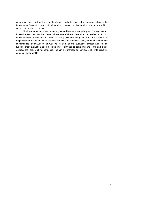criteria may be based on, for example, clients' needs, the goals of actions and activities, the implementers' objectives, professional standards, regular practices and norms, the law, ethical values, circumstances or costs.

The implementation of evaluation is governed by needs and principles. The key persons in service activities are the clients, whose needs should determine the evaluation and its implementation. Evaluation can mean that the participants are given a voice and space. In empowerment evaluation, which stresses the inclusion of service users, the latter become key implementers of evaluation as well as creators of the evaluative targets and criteria. Empowerment evaluation helps the recipients of activities to participate and learn, and it also enlarges their sphere of independence. The aim is to increase an individual's ability to direct the course of his or her life.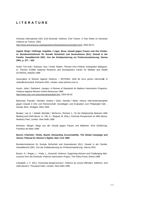# **LITERATURE**

Amnesty International USA, *End Domestic Violence. End Torture*. A Fact Sheet on Domestic Violence as Torture, 2003 http://www.amnestyusa.org/stopviolence/factsheets/humanrights.html, 2004-09-21

**Appelt, Birgit / Höllriegl, Angelika / Logar, Rosa,** *Gewalt gegen Frauen und ihre Kinder***, in: Bundesministerium für Soziale Sicherheit und Generationen (Ed.), Gewalt in der Familie. Gewaltbericht 2001. Von der Enttabuisierung zur Professionalisierung, Vienna 2001, p. 377 – 502** 

Arnkil, Tom Erik / Eriksson, Esa / Arnkil, Robert, *Themes from Finland. Anticipation dialogues*, in: Themes 3/1999. National Research and Development Center for Welfare and Health (STAKES), Helsinki 1999

Association of Women Against Violence – ARTEMIS, *Ghid de lucru pentru interven ie în violen a domestic* , Romania 2001, contact: www.artemis.com.ro

Austin, Juliet / Dankwort, Juergen, *A Review of Standards for Batterer Intervention Programs*. Violence Against Women Online Resources 1998 http://www.vaw.umn.edu/vawnet/standard.htm, 2004-09-20

Baeriswyl, Pascale / Büchler, Andrea / Gloor, Daniela / Meier, Hanna, *Interventionsprojekte gegen Gewalt in Ehe und Partnerschaft.* Grundlagen und Evaluation zum Pilotprojekt Halt – Gewalt, Bern, Stuttgart, Wien 2002

Bowker, Lee H. / Arbitell, Michelle / McFerron, Richard J., *On the Relationship Between Wife Beating and Child Abuse*, in: Yllö, K. / Bograd, M. (Eds.), Feminist Perspectives on Wife Abuse. Newbury Park, London, New Delhi 1989

Brückner, Margrit, *Wege aus der Gewalt gegen Frauen und Mädchen. Eine Einführung*, Frankfurt am Main 1998

# **Bunch, Charlotte / Reilly, Niamh,** *Demanding Accountability. The Global Campaign and Vienna Tribunal for Women's Rights,* **New York 1994**

Bundesministerium für Soziale Sicherheit und Generationen (Ed.), *Gewalt in der Familie. Gewaltbericht 2001. Von der Enttabuisierung zur Professionalisierung, Vienna* 2001

Burton, S. / Regan, L. / Kelly, L., *Domestic Violence: Supporting Women and Challenging Men. Lessons from the Domestic Violence Intervention Project*, The Policy Press, Bristol 1998

Campbell, J. C. (Ed.), *Assessing dangerousness: Violence by sexual offenders, batterers, and child abusers,* Thousand Oaks, London, New Delhi 1995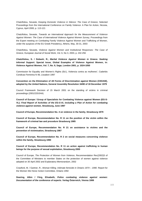Chatzifotiou, Sevaste, *Keeping Domestic Violence in Silence: The Case of Greece*, Selected Proceedings from the International Conference on Family Violence: A Plan for Action, Nicosia, Cyprus, April 2000, p. 113-121

Chatzifotiou, Sevaste, *Towards an International Approach for the Measurement of Violence Against Women: The Case of International Violence Against Women Survey*, Proceedings from the Expert meeting on Combating Family Violence Against Women and Trafficking of Women, under the auspices of the EU Greek Presidency, Athens, May, 30-31, 2003

Chatzifotiou, Sevaste, *Violence Against Women and Institutional Responses: The Case of Greece,* European Journal of Social Work, Vol. 6, No 3, 2003, p. 242-256

**Chatzifotiou, S. / Dobash, R.,** *Marital Violence Against Women in Greece. Seeking Informal Support.* **Special Issue, Global Examples of Violence Against Women, in: Violence Against Women, Vol. 7, No. 9, Sage, London 2001, p. 1024-1050**

Commission for Equality and Women's Rights (Ed.), Violencia contra as mulheres", Caderbis Condicao Feminina N 48, Lissabon 1997

**Convention on the Elimination of All Forms of Discrimination against Women (CEDAW), adopted by the United Nations, General Assembly Resolution 34/80 of 18 December 1979**

Council Framework Decision of 15 March 2001 on the standing of victims in criminal proceedings (2001/220/JHA)

**Council of Europe / Group of Specialists for Combating Violence against Women (EG-S-VL):** *Final Report of Activities of the EG-S-VL including a Plan of Action for combating violence against women,* **Strasbourg, June 1997**

**Council of Europe, Recommendation No. 4 on violence in the family, Strasbourg 1979** 

**Council of Europe, Recommendation No. R 11 on the position of the victim within the framework of criminal law and procedure Strasbourg 1985**

**Council of Europe, Recommendation No. R 21 on assistance to victims and the prevention of victimisation, Strasbourg 1987**

**Council of Europe, Recommendation No. R 2 on social measures concerning violence within the family, Strasbourg 1990** 

**Council of Europe, Recommendation No. R 11 on action against trafficking in human beings for the purpose of sexual exploitation, Strasbourg 2000** 

Council of Europe, *The Protection of Women from Violence*, Recommendation Rec(2002)5 of the Committee of Ministers to member States on the protection of women against violence adopted on 30 April 2002 and Explanatory Memorandum, 2002

Crawford, M. / Gartner, R., *Woman Killing. Initimate femicide in Ontario 1974 – 1990.* Report for the Women We Honor Action Committee, Ontario 1992

**Dearing, Albin / Förg, Elisabeth,** *Police combating violence against women: Documentation of the conference of experts***. Verlag Österreich, Vienna 1999**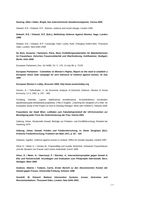#### **Dearing, Albin / Haller, Birgitt,** *Das österreichische Gewaltschutzgesetz,* **Vienna 2000**

Dobash, R.E. / Dobash, R.P., *Women, violence and social change*, London 1992

## **Dobash, R.E. / Dobash, R.P. (Eds.),** *Rethinking Violence Against Women***, Sage, London 1998**

Dobash, R.E. / Dobash, R.P / Cavanagh, Kate / Lewis, Ruth, *Changing Violent Men*, Thousand Oaks, London, New Delhi 2000

**Du Bois, Susanne / Hartmann, Petra,** *Neue Fortbildungsmaterialien für Mitarbeiterinnen im Frauenhaus. Zwischen Frauensolidarität und Überforderung***. Kohlhammer, Stuttgart, Berlin, Köln 2000** 

European Parliament, Doc. A2-44/86, OJ. C. 176, 14 July 86, p. 73-83

**European Parliament - Committee on Women's Rights,** *Report on the need to establish a European Union wide campaign for zero tolerance of violence against women***, 16 July 1997**

#### **European Women's Lobby, Brussels 2000, http://www.womenlobby.org**

Farmer, A. / Tiefenthaler, J., *An Economic Analysis of Domestic Violence. Review of Social Economy,* LV 3, 1997, p. 337 – 358

Forsberg, Hannele, *Lapsen näkökulmaa tavoittamassa. Arviointitutkimus turvakotien lapsikeskeisyyttä kehittävästä projektista,* (Title in English: "Catching the viewpoint of a child. An Evaluation Study of the Project on how to Develop Refuges' Work with Children"), Helsinki 2000

**Frauenbüro der Stadt Wien:** *Leitfaden zum Fakultativprotokoll der UN-Konvention zur Beseitigung jeder Form der Diskriminierung der Frau***, Vienna 2001** 

Galtung, Johan, *Strukturelle Gewalt. Beiträge zur Friedens- und Konfliktforschung,* Reinbek bei Hamburg 1975

**Galtung, Johan,** *Gewalt, Frieden und Friedensforschung***, in: Dieter Senghaas (Ed.): Kritische Friedenforschung, Frankfurt am Main 1971, p. 55 – 104** 

Gislason, Ingolfur, *Violence against women in Iceland,* Office for Gender Equality, Iceland 1997

Gloor D. / Meier H. / Verwey M., *Frauenalltag und soziale Sicherheit. Schweizer Frauenhäuser und die Situation von Frauen nach einem Aufenthalt*, Zürich 1995

**Gloor, D. / Meier, H. / Baeriswyl, P. / Büchler, A.,** *Interventionsprojekte gegen Gewalt in Ehe und Partnerschaft.* **Grundlagen und Evaluation zum Pilotprojekt Halt-Gewalt, Bern, Stuttgart, Wien 2000** 

**Godenzi, Alberto / Yodanis, Carrie,** *Erster Bericht zu den ökonomischen Kosten der Gewalt gegen Frauen***, Universität Freiburg, Schweiz 1998** 

**Gondolf, W. Edward:** *Batterer Intervention Systems. Issues, Outcomes and Recommendations***. Thousand Oaks, London, New Delhi 2001**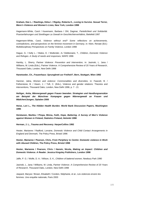## **Graham, Dee L. / Rawlings, Edna I. / Rigsby, Roberta K.,** *Loving to Survive. Sexual Terror, Mens's Violence and Women's Lives,* **New York, London 1998**

Hagemann-White, Carol / Kavemann, Barbara / Ohl, Dagmar, *Parteilichkeit und Solidarität. Praxiserfahrungen und Streitfragen zu Gewalt im Geschlechterverhältnis,* Bielefeld 1997

Hagemann-White, Carol, *Violence without end? Some reflections on achievements, contradictions, and perspectives on the feminist movement in Germany*, in: Klein, Renate (Ed.): Multidisciplinary Perspectives on Family Violence, London 1998

Hague, G. / Kelly L. / Malos, E. / Mullender, A./ Debbonaire, T., *Children, Domestic Violence and Refuges. A Study of needs and responses*, WAFE 1996

Hamby, L. Sherry, *Partner Violence: Prevention and Intervention,* in: Jasinski, L. Jana / Williams, M. Linda (Eds.), Partner Violence. A Comprehensive Review of 20 Years of Research, Thousand Oaks, London, New Delhi 1998

#### **Hanetseder, Ch.,** *Frauenhaus: Sprungbrett zur Freiheit?,* **Bern, Stuttgart, Wien 1992**

Hanmer, Jalna, *Women and violence: Commonalities and diversities,* in: Fawcett, B. / Fetherstone, B. / Hearn, J. / Toft, C. (Eds.), Violence and gender relations: Theories and interventions, Thousand Oaks, London, New Delhi 1996, p. 7 - 21

**Heiliger, Anita,** *Männergewalt gegen Frauen beenden. Strategien und Handlungsansätze am Beispiel der Münchner Kampagne gegen Männergewalt an Frauen und Mädchen/Jungen***, Opladen 2000**

**Heise, Lori L.,** *The Hidden Health Burden.* **World Bank Discussion Papers, Washington 1995**

**Heiskanen, Markku / Piispa, Minna,** *Faith, Hope, Battering. A Survey of Men's Violence against Women in Finland***, Statistics Finland, Helsinki 1998**

#### **Herman, J. L.,** *Trauma and Recovery.* **HarperCollins 1992**

Hester, Marianne / Radford, Lorraine, *Domestic Violence and Child Contact Arrangements in England and Denmark,* The Policy Press, Bristol 1996

**Hester, Marianne / Pearson, Chris,** *From Periphery to Centre: Domestic violence in Work with Abused Children***, The Policy Press, Bristol 1998**

**Hester, Marianne / Pearson, Chris / Harwin, Nicola,** *Making an Impact: Children and Domestic Violence***.** *A Reader***. Jessica Kingsley Publishers, London 1998**

Jaffe, P. G. / Wolfe, D. A. / Wilson, S. K., *Children of battered women,* Newbury Park 1990

Jasinski, L. Jana / Williams, M. Linda, *Partner Violence. A Comprehensive Review of 20 Years of Research*, Thousand Oaks, London, New Delhi 1998

Jaspard, Maryse / Brown, Elisabeth / Condon, Stéphanie, et al., Les violences envers les femmes. Une enquête nationale, Paris 2003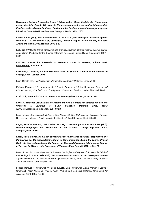**Kavemann, Barbara / Leopold, Beate / Schirrmacher, Gesa,** *Modelle der Kooperation gegen häusliche Gewalt. Wir sind ein Kooperationsmodell, kein Konfrontationsmodell. Ergebnisse der wissenschaftlichen Begleitung des Berliner Interventionsprojektes gegen häusliche Gewalt (BIG)***. Kohlhammer, Stuttgart, Berlin, Köln, 2001** 

**Keeler, Laura (Ed.).,** *Recommendations of the E.U. Expert Meeting on Violence Against Women 8 – 10 November 1999,* **Jyväskylä, Finnland, Report of the Ministry of Social Affairs and Health 2000, Helsinki 2001. p 13** 

Kelly, Liz, *VIP Guide. Vision, innovation and professionalism in policing violence against women and children,* Produced for the Council of Europe Police and Human Rights Programme 1997 – 2000

**K.E.T.H.I. (Centre for Research on Women's Issues in Greece), Athens 2003, www.kethi.gr, 2004-09-20**

**Kirkwood, C.,** *Leaving Abusive Partners: From the Scars of Survival to the Wisdom for Change,* **Sage**, **London 1993** 

Klein, Renate (Ed.), *Multidisciplinary Perspectives on Family Violence*, London 1998

Kofman, Eleonore / Phizacklea, Annie / Parvati, Raghuram / Sales, Rosemary, *Gender and International Migration in Europe. Employment, Welfare and Politics,* London, New York 2000

#### **Korf, Dick,** *Economic Costs of Domestic Violence against Women***, Utrecht 1997**

**L.O.K.K. (National Organization of Shelters and Crisis Centers for Battered Women and Children),** *A Summary of LOKK Statistics.* **Denmark 2001, http:// www.lokk.dk/engelsk/index.htm, 2004-09-20**

Lahti, Minna, *Domesticated Violence. The Power Of The Ordinary*, in: Everyday Finland, University of Helsinki - Faculty on Arts. Institute for Cultural Reseach, Helsinki 2001

**Logar, Rosa/ Rösemann, Ute/ Zürcher, Urs (Hg.),** *Gewalttätige Männer verändern (sich), Rahmenbedingungen und Handbuch für ein soziales Trainingsprogramm***. Bern, Stuttgart, Wien 2002a** 

**Logar, Rosa,** *Gewalt, die Frauen süchtig macht? Annäherung aus zwei Perspektiven. Die Perspektive der Gewaltschutzeinrichtung***. in: HeXenhaus Espelkamp,** *EU Daphne Projekt Sucht als Über-Lebenschance für Frauen mit Gewalterfahrungen / Addiction as Chance of Survival for Women with Experience of Violence***. Final Report 2002b, p. 30 – 57**

Logar, Rosa, *Proposed Measures to Preserve the Rights and Dignity of Survivors in Criminal Proceedings.* in: Laura Keeler (Ed.)., *Recommendations of the E.U. Expert Meeting on Violence Against Women 8 – 10 November 1999, Jyväskylä/Finnland*, Report of the Ministry of Social Affairs and Health 2000, Helsinki 2001

London Borough of Greenwich Women's Equality Unit / Greenwich Asian Women's Centre / Greenwich Asian Women's Project, *Asian Women and Domestic Violence: Information for Advisers.* Kranti 1995, p.1-31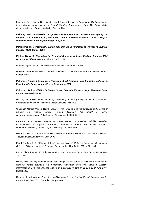Lundgren, Eva / Heimer, Gun / Westerstrand, Jenny / Kalliokoski, Anne-Marie, *Captured Queen. Men's violence against women in "equal" Sweden. A prevalence study.* The Crime Victim Compensation and Support Authority, Sweden 2001

**Mahoney, M.R.,** *Victimization or Oppression? Women's Lives, Violence, and Agency,* **in: Fineman, M.A. / Mykitiuk, R.,** *The Public Nature of Private Violence: The Discovery of Domestic Abuse.* **London, Routledge 1994, p. 59-92** 

**McWilliams, M./ McKiernan M.,** *Bringing it out in the Open: Domestic Violence in Northern Ireland***. HMSO, Belfast 1983** 

**Mirrlees-Black, C.,** *Estimating the Extent of Domestic Violence, Findings from the 1992 BCS***. Home Office Research Bulletin No. 37, 1995**

Mooney, Jayne, *Gender, Violence and the Social Order*. London 2000

Mullender, Audrey, *Rethinking Domestic Violence – The Social Work and Probation Response*. London 1996

**Mullender, Audrey / Debbonaire, Thangam,** *Child Protection and Domestic Violence.* **A Practitioner's Guide. Venture Press, Birmingham 2000** 

**Mullender, Audrey,** *Children's Perspective on Domestic Violence***. Sage, Thousand Oaks, London, New Delhi 2003** 

Nyqvist, Leo, *Väkivaltainen parisuhde, asiakkuus ja muutos* (In English: *Violent Partnership, Clienthood and Change*). Academic Dissertation, Helsinki 2001

O´Connor, Monica/ Wilson, Niamh, *Vision, Action, Change. Feminist principles and practice of working on violence against women*. *Women's Aid Model of Work*. www.womensaid.ie/pages/what/research/docs/vac.pdf, 2004-05-12

Pehkonen, Pirjo, *Naisen puolesta, ei miestä vastaan. Suomalainen naisliike väkivaltaa vastustamassa*, (in English: *On Behalf of Women, not Against Men. Finnish Women's Movement Combating Violence against Women).* Joensuu 2003

Peled E. / Davis D., *Group work with Children of Battered Women. A Practitioner's Manual.* Thousand Oaks/London/New Delhi 1995

Peled E. / Jaffe P. G. / Edleson J. L., *Ending the Cycle of Violence. Community Response to Children of Battered Women.* Thousand Oaks, London, New Delhi 1995, p. 121-144

Pence, Ellen/ Paymar, M., Educati*onal Groups for Men who Batter. The Duluth Model.* New York 1993

Pence, Ellen, *Moving women's safety from margins to the centre of institutional response*, in: *Northern Ireland Women's Aid Federation: Prevention Protection Provision. Effective Intervention in Domestic Violence*. *Report on a conference held on 11 and 12 of June 1997*. Belfast 1997

Ramberg, Ingrid, *Violence Against Young Women in Europe*. *Seminar Report. European Youth Centre. 21-27 May 2001*, Council of Europe 2001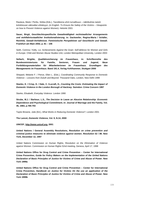Rautava, Marie / Perttu, Sirkka (Eds.), *Tavoitteena uhrin turvallisuus – näkökulmia naisiin kohdistuvan väkivallan ehkäisyyn*, (in English: *To Ensure the Safety of the Victims – Viewpoints on how to Prevent Violence against Women*). Helsinki 2001

**Sauer, Birgit,** *Geschlechtsspezifische Gewaltmäßigkeit rechtstaatlicher Arrangements und wohlfahrtsstaatlicher Institutionalisierung,* **in: Dackweiler, Regina-Maria / Schäfer, Reinhild,** *Gewalt-Verhältnisse. Feministische Perspektiven auf Geschlecht und Gewalt***. Frankfurt am Main 2002, p. 81 – 106**

Seith, Corinna / Kelly, Liz, Ac*hievements Against the Grain: Self-defence for Women and Girls in Europe.* Child and Women Abuse Studies Unit, London Metropolitan University, London 2003

**Sellach, Brigitte,** *Qualitätssicherung im Frauenhaus***, in: Schriftenreihe des Bundesministeriums für Familie, Senioren, Frauen und Jugend,** *Neue Fortbildungsmaterialien für Mitarbeiterinnen im Frauenhaus. Grundlagen des Managements im Frauenhaus.* **Band 191.4, Verlag Kohlhammer, Stuttgart 2000**

Shepard, Melanie F. / Pence, Ellen L. (Eds.), *Coordinating Community Response to Domestic Violence – Lessons from Duluth and Beyond*. Thousand Oaks, London, New Delhi 1999

**Stanko, E. / Crisp, D. / Hale, C. /Lucraft, H.,** *Counting the Costs: Estimating the Impact of Domestic Violence in the London Borough of Hackney.* **Swindon: Crime Concern 1997**

Stanko, Elisabeth, *Everyday Violence*. London 1990

**Strube, M.J. / Barbour, L.S.,** *The Decision to Leave an Abusive Relationship: Economic Dependence and Psychological Commitment***, in: Journal of Marriage and the Family, Vol. 45, 1983, p.785-793**

Taylor-Browne, Julie (Ed.), *What Works in Reducing Domestic Violence?*, London 2001

**The Lancet,** *Domestic Violence***, Vol. 9, N.14, 2000**

#### **UNICEF, http://www.unicef.org, 2001**

**United Nations / General Assembly Resolutions,** *Resolution on crime prevention and criminal justice measures to eliminate violence against women. Resolution 52 / 86***. New York, December 12, 1997**

United Nations Commission on Human Rights, *Resolution on the Elimination of Violence against Women*. Commission on Human Rights 52nd meeting, Geneva, April 17, 1998

**United Nations Office for Drug Control and Crime Prevention – Center for International Crime Prevention,** *Guide for Policy Makers on the Implementation of the United Nations Declaration of Basic Principles of Justice for Victims of Crime and Abuse of Power***. New York 1999a**

**United Nations Office for Drug Control and Crime Prevention – Center for International Crime Prevention,** *Handbook on Justice for Victims On the use an application of the Declaration of Basic Principles of Justice for Victims of Crime and Abuse of Power***. New York 1999b**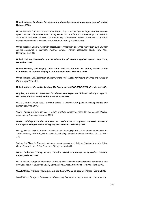# **United Nations,** *Strategies for confronting domestic violence: a resource manual***. United Nations 1993c**

United Nations Commission on Human Rights, *Report of the Special Rapporteur on violence against women, its causes and consequences, Ms. Radhika Coomaraswamy, submitted in accordance with the Commission on Human Rights resolution 1995/85. A framework for model legislation on domestic violence.* (E/CN.4/1996/53Add.2), Geneva 1996

United Nations General Assembly Resolutions, *Resolution on Crime Prevention and Criminal Justice Measures to Eliminate Violence against Women, Resolution 52/86.* New York, December 12, 1997

**United Nations,** *Declaration on the elimination of violence against women***. New York, December 1993b**

**United Nations,** *The Beijing Declaration and the Platform for Action, Fourth World Conference on Women, Beijing, 4-15 September 1995***. New York 1996** 

United Nations, *UN Declaration of Basic Principles of Justice for Victims of Crime and Abuse of Power.* New York 1985

**United Nations,** *Vienna Declaration, UN Document A/CONF.157/DC/1/Add.1.* **Vienna 1993a**

## **Urquiza, A. / Winn, C.,** *Treatment for Abused and Neglected Children: Infancy to Age 18.* **US Department for Health and Human Services 1994**

WAFE / Turner, Atuki (Eds.), *Building Blocks- A women's Aid guide to running refuges and support services*. 1996

WAFE, *Funding refuge services. A study of refuge support services for women and children experiencing Domestic Violence*, 1994

# **WAFE,** *Briefing from the Women's Aid Federation of England. Domestic Violence: Funding for Refuges and Ancillary Support Services***. February 1998**

Walby, Sylvia / Myhill, Andrew, *Assessing and managing the risk of domestic violence*, in: Taylor-Browne, Julie (Ed.), *What Works in Reducing Domestic Violence?* London 2001, p. 309 – 335

Walby. S. / Allen, J., *Domestic violence, sexual assault and stalking. Findings from the British Crime Survey*. Home Office Research Study, London 2004

### **Waltz, Catherine / Derry, Chuck,** *Duluth's model of creating co- operation.* **Seminar Report, Helsinki 1999**

WAVE Office / European Information Centre Against Violence Against Women, *More than a roof over your head. A Survey of Quality Standards in European Women's Refuges*. Vienna 2002

#### **WAVE Office,** *Training Programme on Combating Violence against Women***, Vienna 2000**

WAVE Office, *European Database on Violence against Women*. http:// www.wave-network.org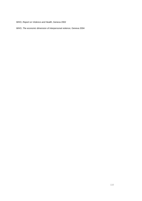WHO, *Report on Violence and Health*, Geneva 2002

WHO, *The economic dimension of interpersonal violence*, Geneva 2004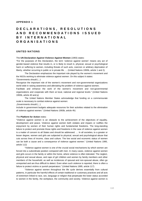### **APPENDIX 1**

# **DECLARATIONS, RESOLUTIONS AND RECOMMENDATIONS ISSUED BY INTERNATIONAL ORGANISATIONS**

### **UNITED NATIONS**

#### The **UN Declaration Against Violence Against Women** (1993) states:

"For the purposes of this Declaration, the term 'violence against women' means any act of gender-based violence that results in, or is likely to result in, physical, sexual or psychological harm or suffering to women, including threats of such acts, coercion or arbitrary deprivation of liberty, whether occurring in public or in private life. … (United Nations 1993b, article 1 and 2).

The Declaration emphasizes the important role played by the women's movement and the NGOs working to eliminate violence against women. On this subject it states: "Governments should (...)

Recognize the important role of the women's movement and non-governmental organizations world wide in raising awareness and alleviating the problem of violence against women;

Facilitate and enhance the work of the women's movement and non-governmental organizations and cooperate with them at local, national and regional levels." (United Nations 1993b, article 40 and p)

The United Nations Member States acknowledge that funding on a commensurate scale is necessary to combat violence against women:

..Governments should (...)

Include in government budgets adequate resources for their activities related to the elimination of violence against women." (United Nations 1993b, article 4h)

#### The **Platform for Action** notes:

"Violence against women is an obstacle to the achievement of the objectives of equality, development and peace. Violence against women both violates and impairs or nullifies the enjoyment by women of their human rights and fundamental freedoms. The long-standing failure to protect and promote those rights and freedoms in the case of violence against women is a matter of concern to all States and should be addressed. … In all societies, to a greater or lesser degree, women and girls are subjected to physical, sexual and psychological abuse that cuts across lines of income, class and culture. The low social and economic status of women can be both a cause and a consequence of violence against women." (United Nations 1995, article 112)

"Violence against women is one of the crucial social mechanisms by which women are forced into a subordinate position compared with men. In many cases, violence against women and girls occurs in the family or within the home, where violence is often tolerated. The neglect, physical and sexual abuse, and rape of girl children and women by family members and other members of the household, as well as incidences of spousal and non-spousal abuse, often go unreported and are thus difficult to detect. Even when such violence is reported, there is often a failure to protect victims or punish perpetrators." (United Nations 1995, article 117)

"Violence against women throughout the life cycle derives essentially from cultural patterns, in particular the harmful effects of certain traditional or customary practices and all acts of extremism linked to race, sex, language or religion that perpetuate the lower status accorded to women in the family, the workplace, the community and society. Violence against women is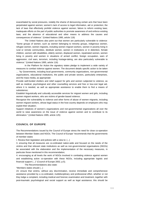exacerbated by social pressures, notably the shame of denouncing certain acts that have been perpetrated against women; women's lack of access to legal information, aid or protection; the lack of laws that effectively prohibit violence against women; failure to reform existing laws; inadequate efforts on the part of public authorities to promote awareness of and enforce existing laws; and the absence of educational and other means to address the causes and consequences of violence." (United Nations 1995, article 118)

The United Nations also point out that women are particularly vulnerable to violence: "Some groups of women, such as women belonging to minority groups, indigenous women, refugee women, women migrants, including women migrant workers, women in poverty living in rural or remote communities, destitute women, women in institutions or in detention, female children, women with disabilities, elderly women, displaced women, repatriated women, women living in poverty and women in situations of armed conflict, foreign occupation, wars of aggression, civil wars, terrorism, including hostage-taking, are also particularly vulnerable to violence." (United Nations 1995, article 116)

In the Platform for Action the signatory states pledge to implement a wide variety of measures to combat violence against women. The document details specific action to be taken … "by Governments, including local governments, community organizations, non-governmental organizations, educational institutions, the public and private sectors, particularly enterprises, and the mass media, as appropriate:

Provide well-funded shelters and relief support for girls and women subjected to violence, as well as medical, psychological and other counselling services and free or low-cost legal aid, where it is needed, as well as appropriate assistance to enable them to find a means of subsistence;

Establish linguistically and culturally accessible services for migrant women and girls, including women migrant workers, who are victims of gender-based violence:

Recognize the vulnerability to violence and other forms of abuse of women migrants, including women migrant workers, whose legal status in the host country depends on employers who may exploit their situation;

Support initiatives of women's organizations and non-governmental organizations all over the world to raise awareness on the issue of violence against women and to contribute to its elimination." (United Nations 1995, article 125)

# **COUNCIL OF EUROPE**

The Recommendations issued by the Council of Europe stress the need for close co-operation between Member States and NGOs. The Council of Europe "recommends that the governments of member states

I. Review their legislation and policies with a view to: (...)

3. ensuring that all measures are co-ordinated nation-wide and focused on the needs of the victims and that relevant state institutions as well as non-governmental organisations (NGOs) be associated with the elaboration and the implementation of the necessary measures, in particular those mentioned in this recommendation;

4. encouraging at all levels the work of NGOs involved in combating violence against women and establishing active co-operation with these NGOs, including appropriate logistic and financial support (...)" (Council of Europe 2002, p.5).

The Recommendations also state:

#### "Members states should (...)

23. ensure that victims, without any discrimination, receive immediate and comprehensive assistance provided by a co-ordinated, multidisciplinary and professional effort, whether or not they lodge a complaint, including medical and forensic examination and treatment, together with post-traumatic psychological and social support as well as legal assistance; this should be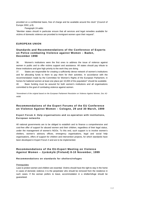provided on a confidential basis, free of charge and be available around the clock" (Council of Europe 2002, p.9).

Paragraph 24 adds:

"Member states should in particular ensure that all services and legal remedies available for victims of domestic violence are provided to immigrant women upon their request".

# **EUROPEAN UNION**

# **Standards and Recommendations of the Conference of Experts on Police combating Violence against Women – Baden, December 1998**

36. Women's institutions were the first ones to address the issue of violence against women in public and to offer victims support and assistance. All states should pay tribute to these institutions and give high priority to the work they are doing.

37. States are responsible for creating a sufficiently dense network of women's institutions and for allocating funds to them to pay them for their activities. In accordance with the recommendation made by the Committee for Women's Rights of the European Parliament, in homes for battered women at least one place per 10,000 of the population\* should be available. 40. Basic funding must be assured for both women's institutions and all organisations committed to the goal of combating violence against women.

*\*Amendment of the original based on the European Parliament Resolution on Violence Against Women, Doc A2- 44/86*

# **Recommendations of the Expert Forums of the EU Conference on Violence Against Women – Cologne, 29 and 30 March, 1999**

# **Expert Forum 4: Help organisations and co-operation with institutions, European networks**

All national governments are to be obliged to establish and to finance a comprehensive and cost-free offer of support for abused women and their children, regardless of their legal status, under the management of women's NGOs. To this end, such support is to involve women's shelters, women's advisory offices, emergency organisations, legal and social help organisations, offers of support for children and intervention projects, for which standards have been developed in Expert Forum 4 and are to be implemented.

# **Recommendations of the EU-Expert Meeting on Violence Against Women – Jyväskylä (Finland) 8-10 November, 1999**

#### **Recommendations on standards for shelters/refuges**

#### **Prerequisites**

Laws to protect women and children are essential. Victims should have the right to stay in the home in cases of domestic violence; it is the perpetrator who should be removed from the residence in such cases. If the woman prefers to leave, accommodation in a shelter/refuge should be guaranteed.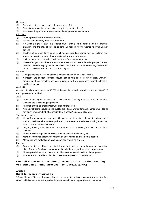### **Objectives**

- $#$  Prevention the ultimate goal is the prevention of violence
- $\#$  Protection protection of the victims (stop the present violence)
- $\angle$ # Provision the provision of services and the empowerment of women

#### **Principles**

- $#$  The empowerment of women is essential.
- $#$  Victims' confidentiality must be guaranteed.
- $#$  No victim's right to stay in a shelter/refuge should be dependent on her financial situation, and the stay should be as long as needed for the woman to evaluate her options.
- ∉# Shelters/refuges should be open to all women, including women with no children and women of minority groups, who are victims of any form of violence.
- $#$  Children must be protected from violence and from the perpetrators.
- $#$  Shelters/refuges should be run by women's NGOs that have a feminist perspective and believe in women helping women. However, there are also other models organised from the perspective of women's and children's rights.

#### Services

- $#$  Refuges/shelters for victims of men's violence should be easily accessible.
- $#$  Advocacy and support services should include help lines, drop-in centres, women's groups, self-help, proactive services (outreach work on awareness-raising), aftercare, and free legal aid.

#### Availability

At least 1 family refuge space per 10,000 of the population and 1 drop-in centre per 50,000 of the population are required.

**Staff** 

- $#$  The staff working in shelters should have an understanding of the dynamics of domestic violence and receive ongoing training.
- $#$  The staff should be properly remunerated for their work.
- $\#$  Among staff there should be one qualified child care worker for each shelter/refuge (as at any given time about 2/3 of all residents at a shelter/refuge are children).

### Training and research

- $\notin$  All staff who come into contact with victims of domestic violence, including social workers, health service workers, police, etc., must receive specialised training in working with victims of domestic violence.
- $#$  Ongoing training must be made available for all staff working with victims of men's violence.
- $\#$  Those providing legal aid for victims must be specialised in family law.
- $#$  More research into all forms of violence against women and children is needed.
- $\#$  Monitoring and evaluation of existing services should be ongoing.

#### **Funding**

- $#$  Governments are obliged to establish and to finance a comprehensive and cost-free offer of support for abused women and their children, regardless of their legal status.
- $#$  The responsibility for the violence should always be placed solely on the perpetrator.
- $#$  Women should be able to directly access refuge/shelter accommodation.

# **Council Framework Decision of 15 March 2001 on the standing of victims in criminal proceedings (2001/220/JHA)**

### **Article 4**

### **Right to receive information**

1.Each Member State shall ensure that victims in particular have access, as from their first contact with law enforcement agencies, by any means it deems appropriate and as far as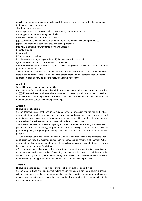possible in languages commonly understood, to information of relevance for the protection of their interests. Such information

shall be at least as follows:

(a)the type of services or organisations to which they can turn for support;

(b)the type of support which they can obtain;

(c)where and how they can report an offence;

(d)procedures following such a report and their role in connection with such procedures;

(e)how and under what conditions they can obtain protection;

(f)to what extent and on what terms they have access to:

(i)legal advice or

(ii)legal aid, or

(iii)any other sort of advice,

if, in the cases envisaged in point (i)and (ii),they are entitled to receive it;

(g)requirements for them to be entitled to compensation;

(h)if they are resident in another State, any special arrangements available to them in order to protect their interests. (...)

3.Member States shall take the necessary measures to ensure that, at least in cases where there might be danger to the victims, when the person prosecuted or sentenced for an offence is released, a decision may be taken to notify the victim if necessary.

### **Article 6**

#### **Specific assistance to the victim**

Each Member State shall ensure that victims have access to advice as referred to in Article 4(1)(f)(iii),provided free of charge where warranted, concerning their role in the proceedings and, where appropriate, legal aid as referred to in Article 4(1)(f)(ii),when it is possible for them to have the status of parties to criminal proceedings.

### **Article 8**

### **Right to protection**

1.Each Member State shall ensure a suitable level of protection for victims and, where appropriate, their families or persons in a similar position, particularly as regards their safety and protection of their privacy, where the competent authorities consider that there is a serious risk of reprisals or firm evidence of serious intent to intrude upon their privacy.

2.To that end, and without prejudice to paragraph 4,each Member State shall guarantee that it is possible to adopt, if necessary, as part of the court proceedings, appropriate measures to protect the privacy and photographic image of victims and their families or persons in a similar position.

3.Each Member State shall further ensure that contact between victims and offenders within court premises may be avoided, unless criminal proceedings require such contact. Where appropriate for that purpose, each Member State shall progressively provide that court premises have special waiting areas for victims.

4.Each Member State shall ensure that, where there is a need to protect victims —particularly those most vulnerable —from the effects of giving evidence in open court, victims may, by decision taken by the court, be entitled to testify in a manner which will enable this objective to be achieved, by any appropriate means compatible with its basic legal principles.

### **Article 9**

### **Right to compensation in the course of criminal proceedings**

1.Each Member State shall ensure that victims of criminal acts are entitled to obtain a decision within reasonable time limits on compensation by the offender in the course of criminal proceedings, except where, in certain cases, national law provides for compensation to be awarded in another manner.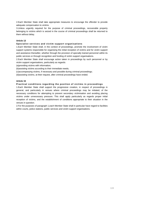2.Each Member State shall take appropriate measures to encourage the offender to provide adequate compensation to victims.

3.Unless urgently required for the purpose of criminal proceedings, recoverable property belonging to victims which is seized in the course of criminal proceedings shall be returned to them without delay.

# **Article 13**

#### **Specialist services and victim support organisations**

1.Each Member State shall, in the context of proceedings, promote the involvement of victim support systems responsible for organising the initial reception of victims and for victim support and assistance thereafter, whether through the provision of specially trained personnel within its public services or through recognition and funding of victim support organisations.

2.Each Member State shall encourage action taken in proceedings by such personnel or by victim support organisations, particularly as regards:

(a)providing victims with information;

(b)assisting victims according to their immediate needs;

(c)accompanying victims, if necessary and possible during criminal proceedings;

(d)assisting victims, at their request, after criminal proceedings have ended.

### **Article 15**

# **Practical conditions regarding the position of victims in proceedings**

1.Each Member State shall support the progressive creation, in respect of proceedings in general, and particularly in venues where criminal proceedings may be initiated, of the necessary conditions for attempting to prevent secondary victimisation and avoiding placing victims under unnecessary pressure. This shall apply particularly as regards proper initial reception of victims, and the establishment of conditions appropriate to their situation in the venues in question.

2.For the purposes of paragraph 1,each Member State shall in particular have regard to facilities within courts, police stations, public services and victim support organisations.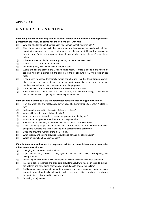# **APPENDIX 2**

# **SAFETY PLANNING**

### **If the refuge offers counselling for non-resident women and the client is staying with the perpetrator, the following points need to be gone over with her:**

- $\#$  Who can she talk to about her situation (teachers in school, relatives, etc.)?
- $#$  She should pack a bag with her most important belongings, especially with all her important documents, and leave it with somebody she can trust. Remind her always to have the keys for the house/apartment and the car with her so that she won't leave them behind.
- $#$  If there are weapons in the house, explore ways to have them removed.
- $\#$  Whom can she call in an emergency?
- $#$  In an emergency what works best to keep her safe?
- $\#$  Would she call the police if the violence starts again? Is there a phone in the house or can she work out a signal with the children or the neighbours to call the police or get help?
- $#$  If she needs to escape temporarily, where can she go? Help her think through several places where she can go in an emergency. Write down the addresses and phone numbers and tell her to keep them secret from the perpetrator.
- $#$  If she has to escape, where are the escape routes from the house?
- $#$  Remind her that in the middle of a violent assault, it is best to run away, sometimes to placate the assailant, anything that works to protect herself.

#### **If the client is planning to leave the perpetrator, review the following points with her:**

- $#$  How and when can she most safely leave? Does she have transport? Money? A place to go?
- $\#$  Is she comfortable calling the police if she needs them?
- $#$  Whom will she tell or not tell about leaving?
- $#$  What can she and others do to prevent her partner from finding her?
- $#$  Whom in her support network does she trust to protect her?
- $\#$  How will she travel safely to and from work or school to pick up children?
- $#$  What community / legal resources will help her feel safer? Write down their addresses and phone numbers and tell her to keep them secret from the perpetrator.
- $#$  Does she know the number of the local refuge?
- $#$  What custody and visiting provisions would keep her and the children safe?
- $#$  Would an injunction be a viable option?

# **If the battered woman has had the perpetrator evicted or is now living alone, evaluate the following options with her:**

- $#$  Changing locks on doors and windows.
- $#$  If possible installing a better security system window bars, locks, better lighting, fire extinguisher etc.
- $#$  Instructing the children or family and friends to call the police in a situation of danger.
- $#$  Talking to school teachers and child care providers about who has permission to pick up the children and developing other special precautions to protect the children.
- $#$  Building up a social network to support the victims, e.g. finding women's support services knowledgeable about family violence to explore custody, visiting and divorce provisions that protect the children and the victim, etc.
- $#$  Obtaining an injunction.